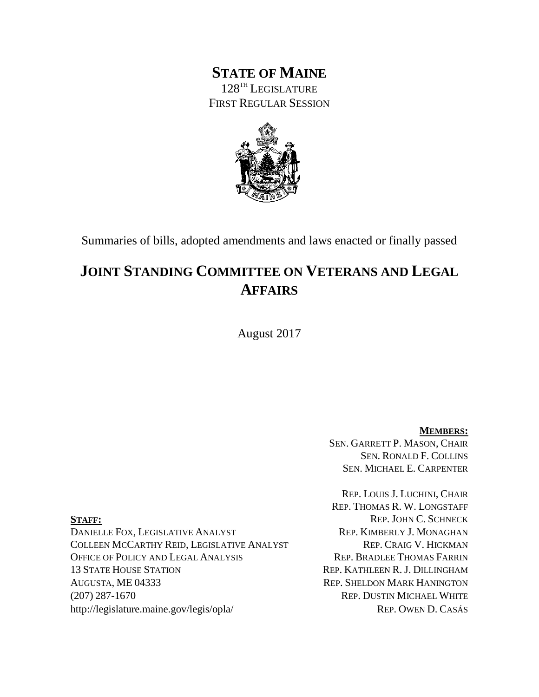## **STATE OF MAINE** 128TH LEGISLATURE FIRST REGULAR SESSION



Summaries of bills, adopted amendments and laws enacted or finally passed

## **JOINT STANDING COMMITTEE ON VETERANS AND LEGAL AFFAIRS**

August 2017

**MEMBERS:** SEN. GARRETT P. MASON, CHAIR SEN. RONALD F. COLLINS SEN. MICHAEL E. CARPENTER

REP. LOUIS J. LUCHINI, CHAIR REP. THOMAS R. W. LONGSTAFF **STAFF:** REP. JOHN C. SCHNECK

DANIELLE FOX, LEGISLATIVE ANALYST REP. KIMBERLY J. MONAGHAN COLLEEN MCCARTHY REID, LEGISLATIVE ANALYST REP. CRAIG V. HICKMAN OFFICE OF POLICY AND LEGAL ANALYSIS REP. BRADLEE THOMAS FARRIN 13 STATE HOUSE STATION REP. KATHLEEN R. J. DILLINGHAM AUGUSTA, ME 04333 REP. SHELDON MARK HANINGTON (207) 287-1670 REP. DUSTIN MICHAEL WHITE http://legislature.maine.gov/legis/opla/ REP. OWEN D. CASÁS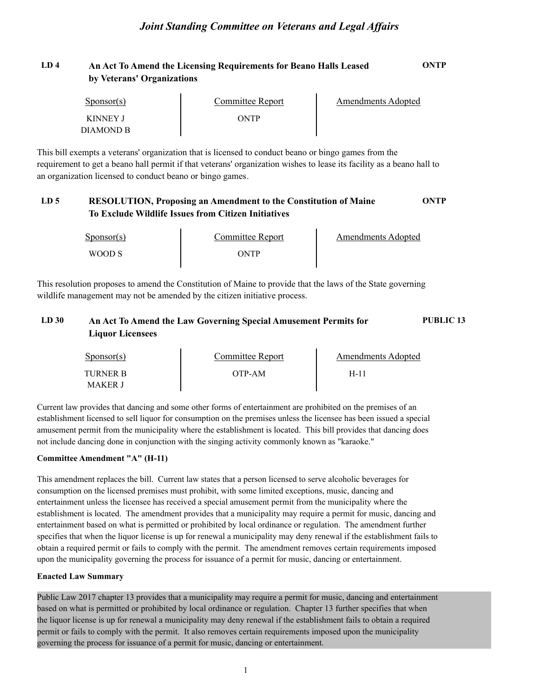### **LD 4 An Act To Amend the Licensing Requirements for Beano Halls Leased ONTP by Veterans' Organizations**

| Sponsor(s) | Committee Report | Amendments Adopted |  |
|------------|------------------|--------------------|--|
| KINNEY J   | ONTP             |                    |  |
| DIAMOND B  |                  |                    |  |

This bill exempts a veterans' organization that is licensed to conduct beano or bingo games from the requirement to get a beano hall permit if that veterans' organization wishes to lease its facility as a beano hall to an organization licensed to conduct beano or bingo games.

### **LD 5 RESOLUTION, Proposing an Amendment to the Constitution of Maine ONTP To Exclude Wildlife Issues from Citizen Initiatives**

| $S_{\text{DOMSOT}}(s)$ | <b>Committee Report</b> | <b>Amendments Adopted</b> |
|------------------------|-------------------------|---------------------------|
| WOOD S                 | ONTP                    |                           |

This resolution proposes to amend the Constitution of Maine to provide that the laws of the State governing wildlife management may not be amended by the citizen initiative process.

### **LD 30 An Act To Amend the Law Governing Special Amusement Permits for PUBLIC 13 Liquor Licensees**

| $S_{\text{PONSOT}}(s)$ | Committee Report | Amendments Adopted |  |
|------------------------|------------------|--------------------|--|
| TURNER B<br>MAKER J    | OTP-AM           | $H-1$              |  |

Current law provides that dancing and some other forms of entertainment are prohibited on the premises of an establishment licensed to sell liquor for consumption on the premises unless the licensee has been issued a special amusement permit from the municipality where the establishment is located. This bill provides that dancing does not include dancing done in conjunction with the singing activity commonly known as "karaoke."

### **Committee Amendment "A" (H-11)**

This amendment replaces the bill. Current law states that a person licensed to serve alcoholic beverages for consumption on the licensed premises must prohibit, with some limited exceptions, music, dancing and entertainment unless the licensee has received a special amusement permit from the municipality where the establishment is located. The amendment provides that a municipality may require a permit for music, dancing and entertainment based on what is permitted or prohibited by local ordinance or regulation. The amendment further specifies that when the liquor license is up for renewal a municipality may deny renewal if the establishment fails to obtain a required permit or fails to comply with the permit. The amendment removes certain requirements imposed upon the municipality governing the process for issuance of a permit for music, dancing or entertainment.

### **Enacted Law Summary**

Public Law 2017 chapter 13 provides that a municipality may require a permit for music, dancing and entertainment based on what is permitted or prohibited by local ordinance or regulation. Chapter 13 further specifies that when the liquor license is up for renewal a municipality may deny renewal if the establishment fails to obtain a required permit or fails to comply with the permit. It also removes certain requirements imposed upon the municipality governing the process for issuance of a permit for music, dancing or entertainment.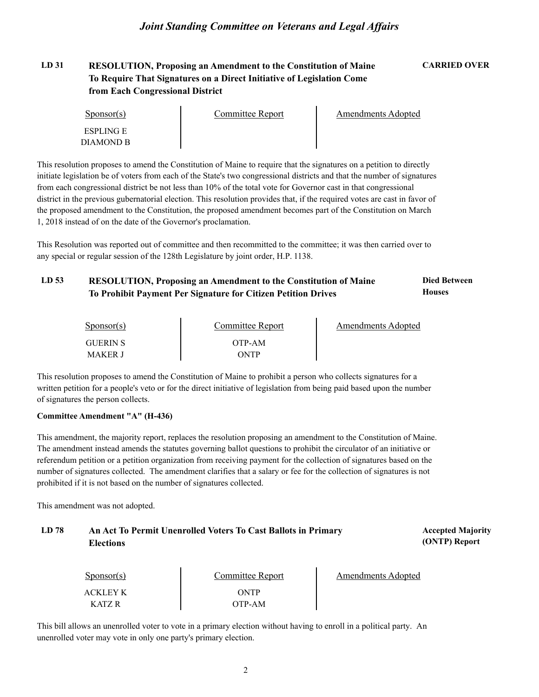### **LD 31 RESOLUTION, Proposing an Amendment to the Constitution of Maine CARRIED OVER To Require That Signatures on a Direct Initiative of Legislation Come from Each Congressional District**

| Sponsor(s)       | Committee Report | <b>Amendments Adopted</b> |  |
|------------------|------------------|---------------------------|--|
| <b>ESPLING E</b> |                  |                           |  |
| DIAMOND B        |                  |                           |  |

This resolution proposes to amend the Constitution of Maine to require that the signatures on a petition to directly initiate legislation be of voters from each of the State's two congressional districts and that the number of signatures from each congressional district be not less than 10% of the total vote for Governor cast in that congressional district in the previous gubernatorial election. This resolution provides that, if the required votes are cast in favor of the proposed amendment to the Constitution, the proposed amendment becomes part of the Constitution on March 1, 2018 instead of on the date of the Governor's proclamation.

This Resolution was reported out of committee and then recommitted to the committee; it was then carried over to any special or regular session of the 128th Legislature by joint order, H.P. 1138.

#### LD 53 RESOLUTION, Proposing an Amendment to the Constitution of Maine **Died Between Houses To Prohibit Payment Per Signature for Citizen Petition Drives**

| $S_{\text{PON}(\text{S})}$ | Committee Report | Amendments Adopted |
|----------------------------|------------------|--------------------|
| <b>GUERIN S</b>            | OTP-AM           |                    |
| <b>MAKER J</b>             | ONTP             |                    |

This resolution proposes to amend the Constitution of Maine to prohibit a person who collects signatures for a written petition for a people's veto or for the direct initiative of legislation from being paid based upon the number of signatures the person collects.

### **Committee Amendment "A" (H-436)**

This amendment, the majority report, replaces the resolution proposing an amendment to the Constitution of Maine. The amendment instead amends the statutes governing ballot questions to prohibit the circulator of an initiative or referendum petition or a petition organization from receiving payment for the collection of signatures based on the number of signatures collected. The amendment clarifies that a salary or fee for the collection of signatures is not prohibited if it is not based on the number of signatures collected.

This amendment was not adopted.

#### LD 78 **An Act To Permit Unenrolled Voters To Cast Ballots in Primary <b>Primary Accepted Majority (ONTP) Report Elections**

| $S_{\text{PON}(\text{s})}$ | Committee Report | Amendments Adopted |
|----------------------------|------------------|--------------------|
| <b>ACKLEY K</b>            | ONTP             |                    |
| K ATZ R                    | OTP-AM           |                    |

This bill allows an unenrolled voter to vote in a primary election without having to enroll in a political party. An unenrolled voter may vote in only one party's primary election.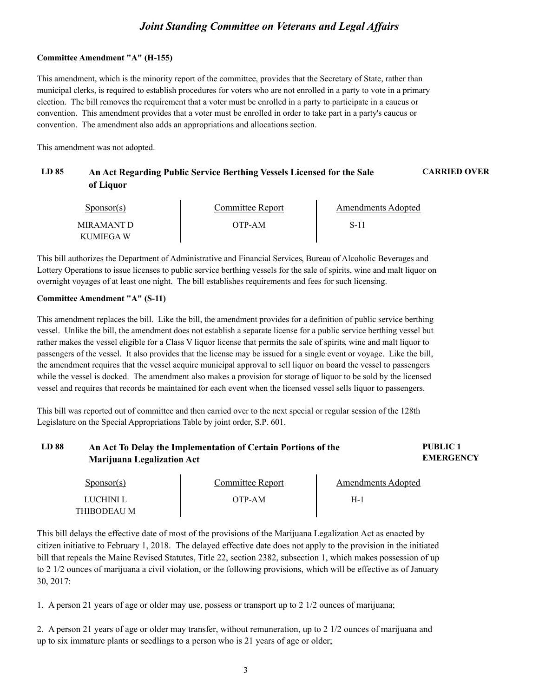#### **Committee Amendment "A" (H-155)**

This amendment, which is the minority report of the committee, provides that the Secretary of State, rather than municipal clerks, is required to establish procedures for voters who are not enrolled in a party to vote in a primary election. The bill removes the requirement that a voter must be enrolled in a party to participate in a caucus or convention. This amendment provides that a voter must be enrolled in order to take part in a party's caucus or convention. The amendment also adds an appropriations and allocations section.

This amendment was not adopted.

### **LD 85 An Act Regarding Public Service Berthing Vessels Licensed for the Sale CARRIED OVER of Liquor**

| $S_{\text{ponsor}(s)}$ | Committee Report | Amendments Adopted |  |
|------------------------|------------------|--------------------|--|
| MIRAMANT D             | OTP-AM           | S-11               |  |
| KUMIEGA W              |                  |                    |  |

This bill authorizes the Department of Administrative and Financial Services, Bureau of Alcoholic Beverages and Lottery Operations to issue licenses to public service berthing vessels for the sale of spirits, wine and malt liquor on overnight voyages of at least one night. The bill establishes requirements and fees for such licensing.

#### **Committee Amendment "A" (S-11)**

LUCHINI L THIBODEAU M

This amendment replaces the bill. Like the bill, the amendment provides for a definition of public service berthing vessel. Unlike the bill, the amendment does not establish a separate license for a public service berthing vessel but rather makes the vessel eligible for a Class V liquor license that permits the sale of spirits, wine and malt liquor to passengers of the vessel. It also provides that the license may be issued for a single event or voyage. Like the bill, the amendment requires that the vessel acquire municipal approval to sell liquor on board the vessel to passengers while the vessel is docked. The amendment also makes a provision for storage of liquor to be sold by the licensed vessel and requires that records be maintained for each event when the licensed vessel sells liquor to passengers.

This bill was reported out of committee and then carried over to the next special or regular session of the 128th Legislature on the Special Appropriations Table by joint order, S.P. 601.

| LD 88 | An Act To Delay the Implementation of Certain Portions of the | PUBLIC <sub>1</sub> |                           |
|-------|---------------------------------------------------------------|---------------------|---------------------------|
|       | <b>Marijuana Legalization Act</b>                             |                     | <b>EMERGENCY</b>          |
|       | $S_{\text{ponsor}(s)}$                                        | Committee Report    | <b>Amendments Adopted</b> |

H-1

OTP-AM

This bill delays the effective date of most of the provisions of the Marijuana Legalization Act as enacted by citizen initiative to February 1, 2018. The delayed effective date does not apply to the provision in the initiated bill that repeals the Maine Revised Statutes, Title 22, section 2382, subsection 1, which makes possession of up to 2 1/2 ounces of marijuana a civil violation, or the following provisions, which will be effective as of January 30, 2017:

1. A person 21 years of age or older may use, possess or transport up to 2 1/2 ounces of marijuana;

2. A person 21 years of age or older may transfer, without remuneration, up to 2 1/2 ounces of marijuana and up to six immature plants or seedlings to a person who is 21 years of age or older;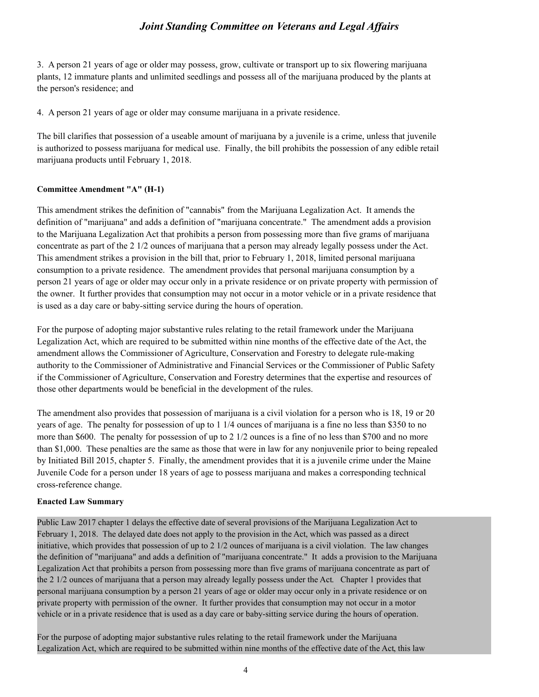3. A person 21 years of age or older may possess, grow, cultivate or transport up to six flowering marijuana plants, 12 immature plants and unlimited seedlings and possess all of the marijuana produced by the plants at the person's residence; and

4. A person 21 years of age or older may consume marijuana in a private residence.

The bill clarifies that possession of a useable amount of marijuana by a juvenile is a crime, unless that juvenile is authorized to possess marijuana for medical use. Finally, the bill prohibits the possession of any edible retail marijuana products until February 1, 2018.

### **Committee Amendment "A" (H-1)**

This amendment strikes the definition of "cannabis" from the Marijuana Legalization Act. It amends the definition of "marijuana" and adds a definition of "marijuana concentrate." The amendment adds a provision to the Marijuana Legalization Act that prohibits a person from possessing more than five grams of marijuana concentrate as part of the 2 1/2 ounces of marijuana that a person may already legally possess under the Act. This amendment strikes a provision in the bill that, prior to February 1, 2018, limited personal marijuana consumption to a private residence. The amendment provides that personal marijuana consumption by a person 21 years of age or older may occur only in a private residence or on private property with permission of the owner. It further provides that consumption may not occur in a motor vehicle or in a private residence that is used as a day care or baby-sitting service during the hours of operation.

For the purpose of adopting major substantive rules relating to the retail framework under the Marijuana Legalization Act, which are required to be submitted within nine months of the effective date of the Act, the amendment allows the Commissioner of Agriculture, Conservation and Forestry to delegate rule-making authority to the Commissioner of Administrative and Financial Services or the Commissioner of Public Safety if the Commissioner of Agriculture, Conservation and Forestry determines that the expertise and resources of those other departments would be beneficial in the development of the rules.

The amendment also provides that possession of marijuana is a civil violation for a person who is 18, 19 or 20 years of age. The penalty for possession of up to 1 1/4 ounces of marijuana is a fine no less than \$350 to no more than \$600. The penalty for possession of up to 2 1/2 ounces is a fine of no less than \$700 and no more than \$1,000. These penalties are the same as those that were in law for any nonjuvenile prior to being repealed by Initiated Bill 2015, chapter 5. Finally, the amendment provides that it is a juvenile crime under the Maine Juvenile Code for a person under 18 years of age to possess marijuana and makes a corresponding technical cross-reference change.

### **Enacted Law Summary**

Public Law 2017 chapter 1 delays the effective date of several provisions of the Marijuana Legalization Act to February 1, 2018. The delayed date does not apply to the provision in the Act, which was passed as a direct initiative, which provides that possession of up to 2 1/2 ounces of marijuana is a civil violation. The law changes the definition of "marijuana" and adds a definition of "marijuana concentrate." It adds a provision to the Marijuana Legalization Act that prohibits a person from possessing more than five grams of marijuana concentrate as part of the 2 1/2 ounces of marijuana that a person may already legally possess under the Act. Chapter 1 provides that personal marijuana consumption by a person 21 years of age or older may occur only in a private residence or on private property with permission of the owner. It further provides that consumption may not occur in a motor vehicle or in a private residence that is used as a day care or baby-sitting service during the hours of operation.

For the purpose of adopting major substantive rules relating to the retail framework under the Marijuana Legalization Act, which are required to be submitted within nine months of the effective date of the Act, this law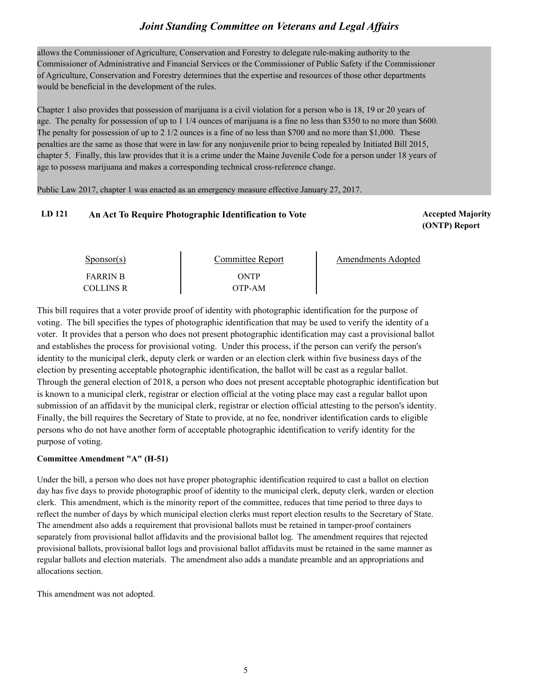allows the Commissioner of Agriculture, Conservation and Forestry to delegate rule-making authority to the Commissioner of Administrative and Financial Services or the Commissioner of Public Safety if the Commissioner of Agriculture, Conservation and Forestry determines that the expertise and resources of those other departments would be beneficial in the development of the rules.

Chapter 1 also provides that possession of marijuana is a civil violation for a person who is 18, 19 or 20 years of age. The penalty for possession of up to 1 1/4 ounces of marijuana is a fine no less than \$350 to no more than \$600. The penalty for possession of up to 2 1/2 ounces is a fine of no less than \$700 and no more than \$1,000. These penalties are the same as those that were in law for any nonjuvenile prior to being repealed by Initiated Bill 2015, chapter 5. Finally, this law provides that it is a crime under the Maine Juvenile Code for a person under 18 years of age to possess marijuana and makes a corresponding technical cross-reference change.

Public Law 2017, chapter 1 was enacted as an emergency measure effective January 27, 2017.

### LD 121 **An Act To Require Photographic Identification to Vote Accepted Majority Accepted Majority**

**(ONTP) Report**

| Sponsor(s)       | Committee Report | Amendments Adopted |
|------------------|------------------|--------------------|
| <b>FARRIN B</b>  | ONTP             |                    |
| <b>COLLINS R</b> | OTP-AM           |                    |

This bill requires that a voter provide proof of identity with photographic identification for the purpose of voting. The bill specifies the types of photographic identification that may be used to verify the identity of a voter. It provides that a person who does not present photographic identification may cast a provisional ballot and establishes the process for provisional voting. Under this process, if the person can verify the person's identity to the municipal clerk, deputy clerk or warden or an election clerk within five business days of the election by presenting acceptable photographic identification, the ballot will be cast as a regular ballot. Through the general election of 2018, a person who does not present acceptable photographic identification but is known to a municipal clerk, registrar or election official at the voting place may cast a regular ballot upon submission of an affidavit by the municipal clerk, registrar or election official attesting to the person's identity. Finally, the bill requires the Secretary of State to provide, at no fee, nondriver identification cards to eligible persons who do not have another form of acceptable photographic identification to verify identity for the purpose of voting.

#### **Committee Amendment "A" (H-51)**

Under the bill, a person who does not have proper photographic identification required to cast a ballot on election day has five days to provide photographic proof of identity to the municipal clerk, deputy clerk, warden or election clerk. This amendment, which is the minority report of the committee, reduces that time period to three days to reflect the number of days by which municipal election clerks must report election results to the Secretary of State. The amendment also adds a requirement that provisional ballots must be retained in tamper-proof containers separately from provisional ballot affidavits and the provisional ballot log. The amendment requires that rejected provisional ballots, provisional ballot logs and provisional ballot affidavits must be retained in the same manner as regular ballots and election materials. The amendment also adds a mandate preamble and an appropriations and allocations section.

This amendment was not adopted.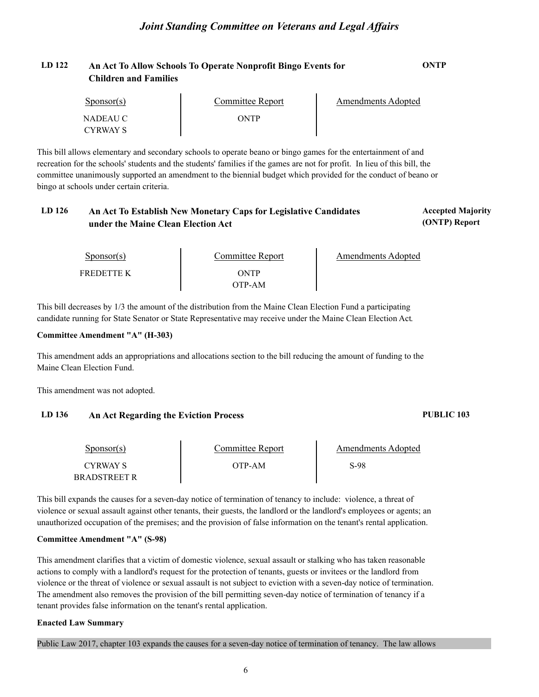### **LD 122 An Act To Allow Schools To Operate Nonprofit Bingo Events for ONTP Children and Families**

| $S_{\text{ponsor}}(s)$ | Committee Report | Amendments Adopted |  |
|------------------------|------------------|--------------------|--|
| NADEAU C               | ONTP             |                    |  |
| <b>CYRWAY S</b>        |                  |                    |  |

This bill allows elementary and secondary schools to operate beano or bingo games for the entertainment of and recreation for the schools' students and the students' families if the games are not for profit. In lieu of this bill, the committee unanimously supported an amendment to the biennial budget which provided for the conduct of beano or bingo at schools under certain criteria.

### LD 126 **An Act To Establish New Monetary Caps for Legislative Candidates Accepted Majority under the Maine Clean Election Act**

Sponsor(s) FREDETTE K THE REDUCE ON TP OTP-AM **Amendments Adopted** 

This bill decreases by 1/3 the amount of the distribution from the Maine Clean Election Fund a participating candidate running for State Senator or State Representative may receive under the Maine Clean Election Act.

### **Committee Amendment "A" (H-303)**

This amendment adds an appropriations and allocations section to the bill reducing the amount of funding to the Maine Clean Election Fund.

This amendment was not adopted.

### **LD 136 An Act Regarding the Eviction Process PUBLIC 103**

#### Sponsor(s) CYRWAY S OTP-AM BRADSTREET R Committee Report Fig. 2. Amendments Adopted S-98

This bill expands the causes for a seven-day notice of termination of tenancy to include: violence, a threat of violence or sexual assault against other tenants, their guests, the landlord or the landlord's employees or agents; an unauthorized occupation of the premises; and the provision of false information on the tenant's rental application.

### **Committee Amendment "A" (S-98)**

This amendment clarifies that a victim of domestic violence, sexual assault or stalking who has taken reasonable actions to comply with a landlord's request for the protection of tenants, guests or invitees or the landlord from violence or the threat of violence or sexual assault is not subject to eviction with a seven-day notice of termination. The amendment also removes the provision of the bill permitting seven-day notice of termination of tenancy if a tenant provides false information on the tenant's rental application.

### **Enacted Law Summary**

Public Law 2017, chapter 103 expands the causes for a seven-day notice of termination of tenancy. The law allows

**(ONTP) Report**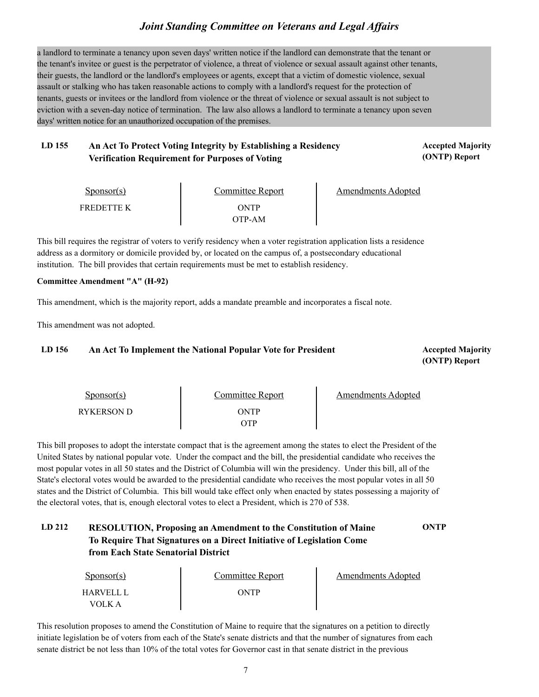a landlord to terminate a tenancy upon seven days' written notice if the landlord can demonstrate that the tenant or the tenant's invitee or guest is the perpetrator of violence, a threat of violence or sexual assault against other tenants, their guests, the landlord or the landlord's employees or agents, except that a victim of domestic violence, sexual assault or stalking who has taken reasonable actions to comply with a landlord's request for the protection of tenants, guests or invitees or the landlord from violence or the threat of violence or sexual assault is not subject to eviction with a seven-day notice of termination. The law also allows a landlord to terminate a tenancy upon seven days' written notice for an unauthorized occupation of the premises.

### LD 155 An Act To Protect Voting Integrity by Establishing a Residency **Accepted Majority Verification Requirement for Purposes of Voting**

**(ONTP) Report**

| $S_{\text{ponsor}(s)}$ | Committee Report | Amendments Adopted |
|------------------------|------------------|--------------------|
| <b>FREDETTE K</b>      | ONTP<br>OTP-AM   |                    |

This bill requires the registrar of voters to verify residency when a voter registration application lists a residence address as a dormitory or domicile provided by, or located on the campus of, a postsecondary educational institution. The bill provides that certain requirements must be met to establish residency.

#### **Committee Amendment "A" (H-92)**

This amendment, which is the majority report, adds a mandate preamble and incorporates a fiscal note.

This amendment was not adopted.

### LD 156 **An Act To Implement the National Popular Vote for President Accepted Majority**

**(ONTP) Report**

| Sponsor(s)        | Committee Report | <b>Amendments Adopted</b> |
|-------------------|------------------|---------------------------|
| <b>RYKERSON D</b> | ONTP<br>)TP      |                           |

This bill proposes to adopt the interstate compact that is the agreement among the states to elect the President of the United States by national popular vote. Under the compact and the bill, the presidential candidate who receives the most popular votes in all 50 states and the District of Columbia will win the presidency. Under this bill, all of the State's electoral votes would be awarded to the presidential candidate who receives the most popular votes in all 50 states and the District of Columbia. This bill would take effect only when enacted by states possessing a majority of the electoral votes, that is, enough electoral votes to elect a President, which is 270 of 538.

### **LD 212 RESOLUTION, Proposing an Amendment to the Constitution of Maine ONTP To Require That Signatures on a Direct Initiative of Legislation Come from Each State Senatorial District**

| $S_{\text{PON}(\text{S})}$ | Committee Report | Amendments Adopted |  |
|----------------------------|------------------|--------------------|--|
| HARVELL L<br>VOLK A        | ONTP             |                    |  |

This resolution proposes to amend the Constitution of Maine to require that the signatures on a petition to directly initiate legislation be of voters from each of the State's senate districts and that the number of signatures from each senate district be not less than 10% of the total votes for Governor cast in that senate district in the previous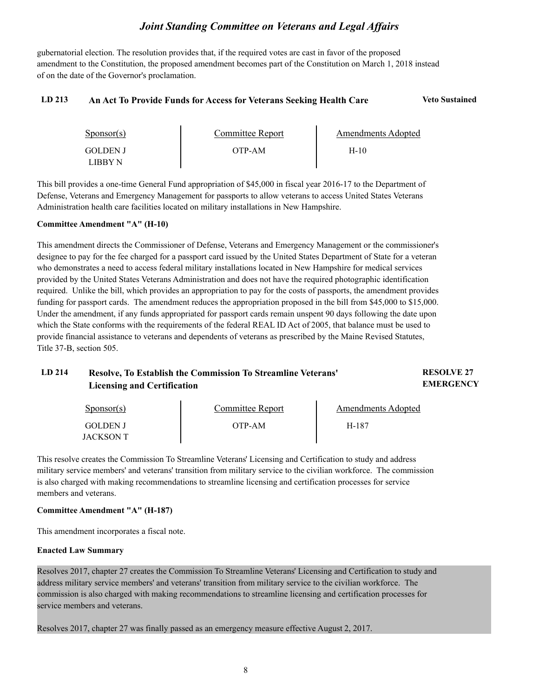gubernatorial election. The resolution provides that, if the required votes are cast in favor of the proposed amendment to the Constitution, the proposed amendment becomes part of the Constitution on March 1, 2018 instead of on the date of the Governor's proclamation.

#### **LD 213 An Act To Provide Funds for Access for Veterans Seeking Health Care Veto Sustained**

| $S_{\text{PON}(\text{S})}$ | Committee Report | Amendments Adopted |  |
|----------------------------|------------------|--------------------|--|
| <b>GOLDEN J</b><br>LIBBY N | OTP-AM           | H-10               |  |

This bill provides a one-time General Fund appropriation of \$45,000 in fiscal year 2016-17 to the Department of Defense, Veterans and Emergency Management for passports to allow veterans to access United States Veterans Administration health care facilities located on military installations in New Hampshire.

#### **Committee Amendment "A" (H-10)**

This amendment directs the Commissioner of Defense, Veterans and Emergency Management or the commissioner's designee to pay for the fee charged for a passport card issued by the United States Department of State for a veteran who demonstrates a need to access federal military installations located in New Hampshire for medical services provided by the United States Veterans Administration and does not have the required photographic identification required. Unlike the bill, which provides an appropriation to pay for the costs of passports, the amendment provides funding for passport cards. The amendment reduces the appropriation proposed in the bill from \$45,000 to \$15,000. Under the amendment, if any funds appropriated for passport cards remain unspent 90 days following the date upon which the State conforms with the requirements of the federal REAL ID Act of 2005, that balance must be used to provide financial assistance to veterans and dependents of veterans as prescribed by the Maine Revised Statutes, Title 37-B, section 505.

| LD 214 | Resolve, To Establish the Commission To Streamline Veterans' | <b>RESOLVE 27</b> |
|--------|--------------------------------------------------------------|-------------------|
|        | <b>Licensing and Certification</b>                           | <b>EMERGENCY</b>  |
|        |                                                              |                   |

| $S_{\text{PON}(\text{S})}$ | Committee Report | Amendments Adopted |  |
|----------------------------|------------------|--------------------|--|
| <b>GOLDEN J</b>            | OTP-AM           | H-187              |  |
| JACKSON T                  |                  |                    |  |

This resolve creates the Commission To Streamline Veterans' Licensing and Certification to study and address military service members' and veterans' transition from military service to the civilian workforce. The commission is also charged with making recommendations to streamline licensing and certification processes for service members and veterans.

#### **Committee Amendment "A" (H-187)**

This amendment incorporates a fiscal note.

#### **Enacted Law Summary**

Resolves 2017, chapter 27 creates the Commission To Streamline Veterans' Licensing and Certification to study and address military service members' and veterans' transition from military service to the civilian workforce. The commission is also charged with making recommendations to streamline licensing and certification processes for service members and veterans.

Resolves 2017, chapter 27 was finally passed as an emergency measure effective August 2, 2017.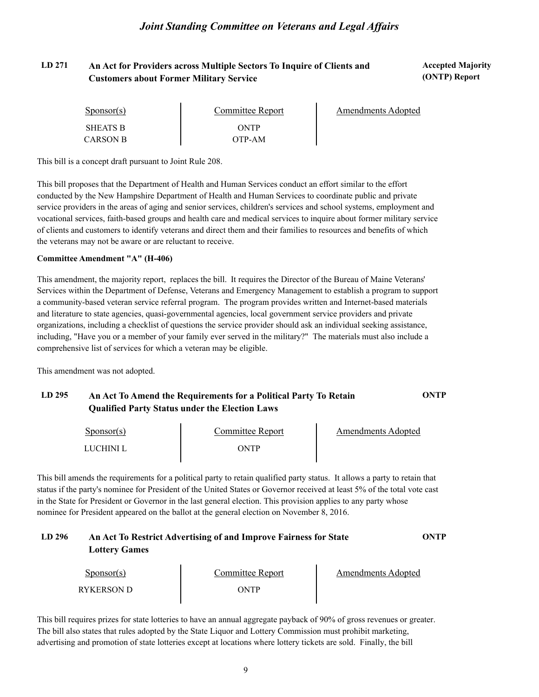### LD 271 An Act for Providers across Multiple Sectors To Inquire of Clients and **Accepted Majority Customers about Former Military Service**

**(ONTP) Report**

| Sponsor(s)      | Committee Report | Amendments Adopted |
|-----------------|------------------|--------------------|
| <b>SHEATS B</b> | ONTP             |                    |
| <b>CARSON B</b> | OTP-AM           |                    |

This bill is a concept draft pursuant to Joint Rule 208.

This bill proposes that the Department of Health and Human Services conduct an effort similar to the effort conducted by the New Hampshire Department of Health and Human Services to coordinate public and private service providers in the areas of aging and senior services, children's services and school systems, employment and vocational services, faith-based groups and health care and medical services to inquire about former military service of clients and customers to identify veterans and direct them and their families to resources and benefits of which the veterans may not be aware or are reluctant to receive.

#### **Committee Amendment "A" (H-406)**

This amendment, the majority report, replaces the bill. It requires the Director of the Bureau of Maine Veterans' Services within the Department of Defense, Veterans and Emergency Management to establish a program to support a community-based veteran service referral program. The program provides written and Internet-based materials and literature to state agencies, quasi-governmental agencies, local government service providers and private organizations, including a checklist of questions the service provider should ask an individual seeking assistance, including, "Have you or a member of your family ever served in the military?" The materials must also include a comprehensive list of services for which a veteran may be eligible.

This amendment was not adopted.

### **LD 295 An Act To Amend the Requirements for a Political Party To Retain ONTP Qualified Party Status under the Election Laws**

| $S_{\text{DONSOT}}(s)$ | Committee Report | Amendments Adopted |
|------------------------|------------------|--------------------|
| LUCHINI L              | ONTP             |                    |

This bill amends the requirements for a political party to retain qualified party status. It allows a party to retain that status if the party's nominee for President of the United States or Governor received at least 5% of the total vote cast in the State for President or Governor in the last general election. This provision applies to any party whose nominee for President appeared on the ballot at the general election on November 8, 2016.

### **LD 296 An Act To Restrict Advertising of and Improve Fairness for State ONTP Lottery Games**

| $S_{\text{PON}(\text{S})}$ | Committee Report | Amendments Adopted |  |
|----------------------------|------------------|--------------------|--|
| RYKERSON D                 | ONTP             |                    |  |

This bill requires prizes for state lotteries to have an annual aggregate payback of 90% of gross revenues or greater. The bill also states that rules adopted by the State Liquor and Lottery Commission must prohibit marketing, advertising and promotion of state lotteries except at locations where lottery tickets are sold. Finally, the bill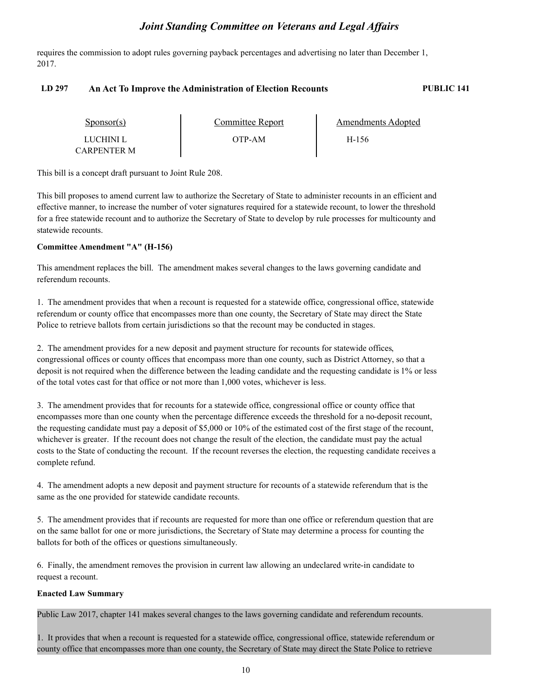requires the commission to adopt rules governing payback percentages and advertising no later than December 1, 2017.

#### **LD 297 An Act To Improve the Administration of Election Recounts PUBLIC 141**

| $S_{\text{POD}S}$ (s) | Committee Report | Amendments Adopted |  |
|-----------------------|------------------|--------------------|--|
| LUCHINI L             | OTP-AM           | H-156              |  |
| CARPENTER M           |                  |                    |  |

This bill is a concept draft pursuant to Joint Rule 208.

This bill proposes to amend current law to authorize the Secretary of State to administer recounts in an efficient and effective manner, to increase the number of voter signatures required for a statewide recount, to lower the threshold for a free statewide recount and to authorize the Secretary of State to develop by rule processes for multicounty and statewide recounts.

#### **Committee Amendment "A" (H-156)**

This amendment replaces the bill. The amendment makes several changes to the laws governing candidate and referendum recounts.

1. The amendment provides that when a recount is requested for a statewide office, congressional office, statewide referendum or county office that encompasses more than one county, the Secretary of State may direct the State Police to retrieve ballots from certain jurisdictions so that the recount may be conducted in stages.

2. The amendment provides for a new deposit and payment structure for recounts for statewide offices, congressional offices or county offices that encompass more than one county, such as District Attorney, so that a deposit is not required when the difference between the leading candidate and the requesting candidate is 1% or less of the total votes cast for that office or not more than 1,000 votes, whichever is less.

3. The amendment provides that for recounts for a statewide office, congressional office or county office that encompasses more than one county when the percentage difference exceeds the threshold for a no-deposit recount, the requesting candidate must pay a deposit of \$5,000 or 10% of the estimated cost of the first stage of the recount, whichever is greater. If the recount does not change the result of the election, the candidate must pay the actual costs to the State of conducting the recount. If the recount reverses the election, the requesting candidate receives a complete refund.

4. The amendment adopts a new deposit and payment structure for recounts of a statewide referendum that is the same as the one provided for statewide candidate recounts.

5. The amendment provides that if recounts are requested for more than one office or referendum question that are on the same ballot for one or more jurisdictions, the Secretary of State may determine a process for counting the ballots for both of the offices or questions simultaneously.

6. Finally, the amendment removes the provision in current law allowing an undeclared write-in candidate to request a recount.

### **Enacted Law Summary**

Public Law 2017, chapter 141 makes several changes to the laws governing candidate and referendum recounts.

1. It provides that when a recount is requested for a statewide office, congressional office, statewide referendum or county office that encompasses more than one county, the Secretary of State may direct the State Police to retrieve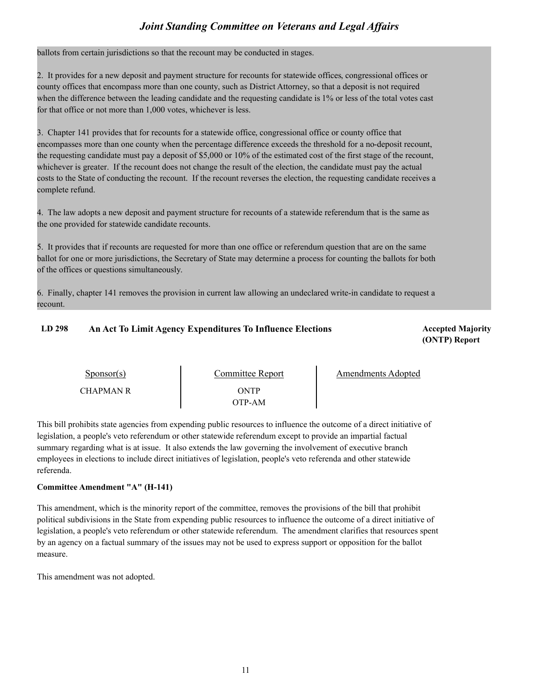ballots from certain jurisdictions so that the recount may be conducted in stages.

2. It provides for a new deposit and payment structure for recounts for statewide offices, congressional offices or county offices that encompass more than one county, such as District Attorney, so that a deposit is not required when the difference between the leading candidate and the requesting candidate is 1% or less of the total votes cast for that office or not more than 1,000 votes, whichever is less.

3. Chapter 141 provides that for recounts for a statewide office, congressional office or county office that encompasses more than one county when the percentage difference exceeds the threshold for a no-deposit recount, the requesting candidate must pay a deposit of \$5,000 or 10% of the estimated cost of the first stage of the recount, whichever is greater. If the recount does not change the result of the election, the candidate must pay the actual costs to the State of conducting the recount. If the recount reverses the election, the requesting candidate receives a complete refund.

4. The law adopts a new deposit and payment structure for recounts of a statewide referendum that is the same as the one provided for statewide candidate recounts.

5. It provides that if recounts are requested for more than one office or referendum question that are on the same ballot for one or more jurisdictions, the Secretary of State may determine a process for counting the ballots for both of the offices or questions simultaneously.

6. Finally, chapter 141 removes the provision in current law allowing an undeclared write-in candidate to request a recount.

### **LD 298 Accepted Majority An Act To Limit Agency Expenditures To Influence Elections**

**(ONTP) Report**

| $S_{\text{ponsor}}(s)$ | Committee Report | Amendments Adopted |
|------------------------|------------------|--------------------|
| <b>CHAPMAN R</b>       | ONTP<br>OTP-AM   |                    |

This bill prohibits state agencies from expending public resources to influence the outcome of a direct initiative of legislation, a people's veto referendum or other statewide referendum except to provide an impartial factual summary regarding what is at issue. It also extends the law governing the involvement of executive branch employees in elections to include direct initiatives of legislation, people's veto referenda and other statewide referenda.

### **Committee Amendment "A" (H-141)**

This amendment, which is the minority report of the committee, removes the provisions of the bill that prohibit political subdivisions in the State from expending public resources to influence the outcome of a direct initiative of legislation, a people's veto referendum or other statewide referendum. The amendment clarifies that resources spent by an agency on a factual summary of the issues may not be used to express support or opposition for the ballot measure.

This amendment was not adopted.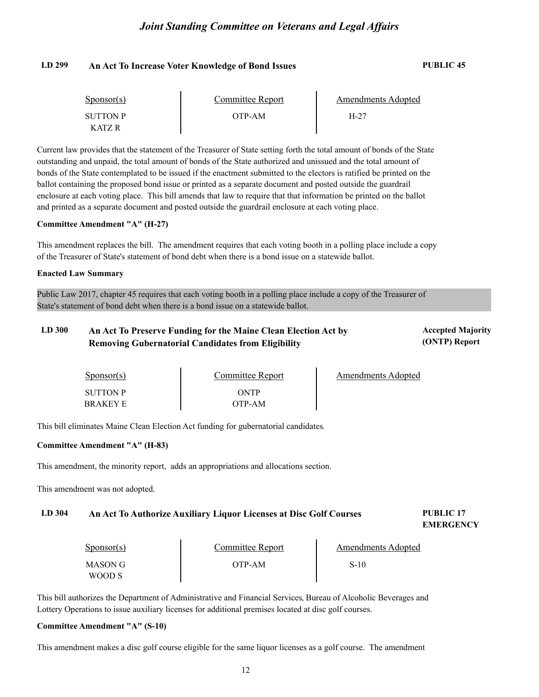#### **LD 299 An Act To Increase Voter Knowledge of Bond Issues PUBLIC 45**

| $S_{\text{ponsor}}(s)$ | Committee Report | Amendments Adopted |  |
|------------------------|------------------|--------------------|--|
| <b>SUTTON P</b>        | OTP-AM           | $H-27$             |  |
| <b>KATZ R</b>          |                  |                    |  |

Current law provides that the statement of the Treasurer of State setting forth the total amount of bonds of the State outstanding and unpaid, the total amount of bonds of the State authorized and unissued and the total amount of bonds of the State contemplated to be issued if the enactment submitted to the electors is ratified be printed on the ballot containing the proposed bond issue or printed as a separate document and posted outside the guardrail enclosure at each voting place. This bill amends that law to require that that information be printed on the ballot and printed as a separate document and posted outside the guardrail enclosure at each voting place.

#### **Committee Amendment "A" (H-27)**

This amendment replaces the bill. The amendment requires that each voting booth in a polling place include a copy of the Treasurer of State's statement of bond debt when there is a bond issue on a statewide ballot.

#### **Enacted Law Summary**

Public Law 2017, chapter 45 requires that each voting booth in a polling place include a copy of the Treasurer of State's statement of bond debt when there is a bond issue on a statewide ballot.

### LD 300 An Act To Preserve Funding for the Maine Clean Election Act by **Accepted Majority Removing Gubernatorial Candidates from Eligibility**

**(ONTP) Report**

| Sponsor(s)      | <b>Committee Report</b> | Amendments Adopted |
|-----------------|-------------------------|--------------------|
| <b>SUTTON P</b> | ONTP                    |                    |
| <b>BRAKEY E</b> | OTP-AM                  |                    |

This bill eliminates Maine Clean Election Act funding for gubernatorial candidates.

#### **Committee Amendment "A" (H-83)**

This amendment, the minority report, adds an appropriations and allocations section.

This amendment was not adopted.

#### **LD 304 PUBLIC 17 An Act To Authorize Auxiliary Liquor Licenses at Disc Golf Courses**

**EMERGENCY**

| $S_{\text{ponsor}}(s)$ | Committee Report | Amendments Adopted |  |
|------------------------|------------------|--------------------|--|
| MASON G<br>WOOD S      | OTP-AM           | S-10               |  |

This bill authorizes the Department of Administrative and Financial Services, Bureau of Alcoholic Beverages and Lottery Operations to issue auxiliary licenses for additional premises located at disc golf courses.

### **Committee Amendment "A" (S-10)**

This amendment makes a disc golf course eligible for the same liquor licenses as a golf course. The amendment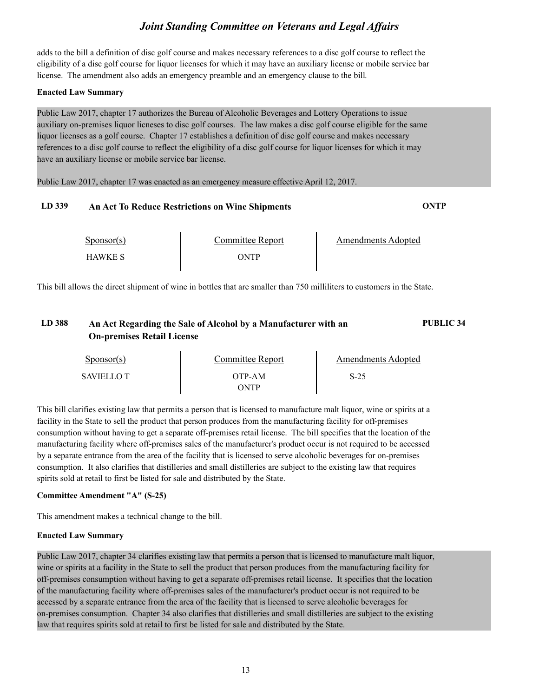adds to the bill a definition of disc golf course and makes necessary references to a disc golf course to reflect the eligibility of a disc golf course for liquor licenses for which it may have an auxiliary license or mobile service bar license. The amendment also adds an emergency preamble and an emergency clause to the bill.

#### **Enacted Law Summary**

Public Law 2017, chapter 17 authorizes the Bureau of Alcoholic Beverages and Lottery Operations to issue auxiliary on-premises liquor licneses to disc golf courses. The law makes a disc golf course eligible for the same liquor licenses as a golf course. Chapter 17 establishes a definition of disc golf course and makes necessary references to a disc golf course to reflect the eligibility of a disc golf course for liquor licenses for which it may have an auxiliary license or mobile service bar license.

Public Law 2017, chapter 17 was enacted as an emergency measure effective April 12, 2017.

#### **LD 339 An Act To Reduce Restrictions on Wine Shipments ONTP**

Sponsor(s)

Sponsor(s) Committee Report<br>
HAWKE S ONTP

Amendments Adopted

This bill allows the direct shipment of wine in bottles that are smaller than 750 milliliters to customers in the State.

### **LD 388 An Act Regarding the Sale of Alcohol by a Manufacturer with an PUBLIC 34 On-premises Retail License**

| Sponsor(s)        | Committee Report | Amendments Adopted |  |
|-------------------|------------------|--------------------|--|
| <b>SAVIELLO T</b> | OTP-AM           | $S-25$             |  |
|                   | NTP              |                    |  |

This bill clarifies existing law that permits a person that is licensed to manufacture malt liquor, wine or spirits at a facility in the State to sell the product that person produces from the manufacturing facility for off-premises consumption without having to get a separate off-premises retail license. The bill specifies that the location of the manufacturing facility where off-premises sales of the manufacturer's product occur is not required to be accessed by a separate entrance from the area of the facility that is licensed to serve alcoholic beverages for on-premises consumption. It also clarifies that distilleries and small distilleries are subject to the existing law that requires spirits sold at retail to first be listed for sale and distributed by the State.

### **Committee Amendment "A" (S-25)**

This amendment makes a technical change to the bill.

### **Enacted Law Summary**

Public Law 2017, chapter 34 clarifies existing law that permits a person that is licensed to manufacture malt liquor, wine or spirits at a facility in the State to sell the product that person produces from the manufacturing facility for off-premises consumption without having to get a separate off-premises retail license. It specifies that the location of the manufacturing facility where off-premises sales of the manufacturer's product occur is not required to be accessed by a separate entrance from the area of the facility that is licensed to serve alcoholic beverages for on-premises consumption. Chapter 34 also clarifies that distilleries and small distilleries are subject to the existing law that requires spirits sold at retail to first be listed for sale and distributed by the State.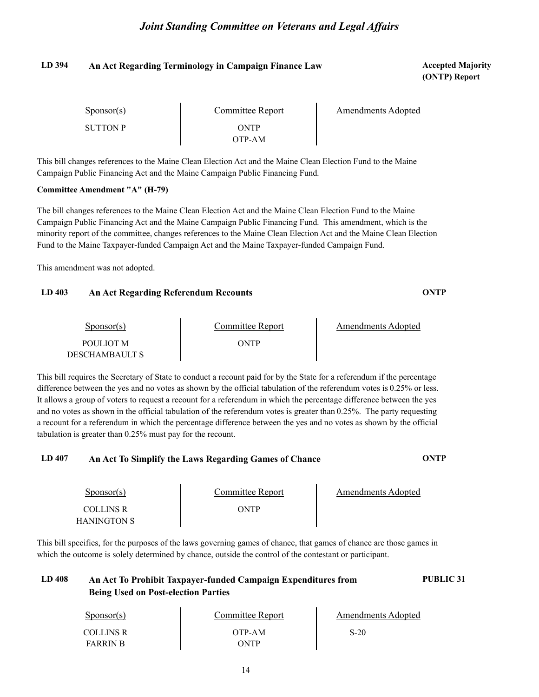### **LD 394 Accepted Majority An Act Regarding Terminology in Campaign Finance Law**

**(ONTP) Report**

| Sponsor(s)      | Committee Report | Amendments Adopted |
|-----------------|------------------|--------------------|
| <b>SUTTON P</b> | ONTP<br>OTP-AM   |                    |

This bill changes references to the Maine Clean Election Act and the Maine Clean Election Fund to the Maine Campaign Public Financing Act and the Maine Campaign Public Financing Fund.

#### **Committee Amendment "A" (H-79)**

The bill changes references to the Maine Clean Election Act and the Maine Clean Election Fund to the Maine Campaign Public Financing Act and the Maine Campaign Public Financing Fund. This amendment, which is the minority report of the committee, changes references to the Maine Clean Election Act and the Maine Clean Election Fund to the Maine Taxpayer-funded Campaign Act and the Maine Taxpayer-funded Campaign Fund.

This amendment was not adopted.

#### **LD 403 An Act Regarding Referendum Recounts ONTP**

| $S_{\text{DODSOT}}(s)$ | Committee Report | <b>Amendments Adopted</b> |  |
|------------------------|------------------|---------------------------|--|
| POULIOT M              | ONTP             |                           |  |
| DESCHAMBAULT S         |                  |                           |  |

This bill requires the Secretary of State to conduct a recount paid for by the State for a referendum if the percentage difference between the yes and no votes as shown by the official tabulation of the referendum votes is 0.25% or less. It allows a group of voters to request a recount for a referendum in which the percentage difference between the yes and no votes as shown in the official tabulation of the referendum votes is greater than 0.25%. The party requesting a recount for a referendum in which the percentage difference between the yes and no votes as shown by the official tabulation is greater than 0.25% must pay for the recount.

#### **LD 407 An Act To Simplify the Laws Regarding Games of Chance ONTP**

| Sponsor(s)                      | Committee Report | Amendments Adopted |  |
|---------------------------------|------------------|--------------------|--|
| <b>COLLINS R</b><br>HANINGTON S | ONTP             |                    |  |

This bill specifies, for the purposes of the laws governing games of chance, that games of chance are those games in which the outcome is solely determined by chance, outside the control of the contestant or participant.

### **LD 408 An Act To Prohibit Taxpayer-funded Campaign Expenditures from PUBLIC 31 Being Used on Post-election Parties**

| $S_{\text{PON}(\text{S})}$ | Committee Report | Amendments Adopted |  |
|----------------------------|------------------|--------------------|--|
| COLLINS R                  | OTP-AM           | $S-20$             |  |
| <b>FARRIN B</b>            | ONTP             |                    |  |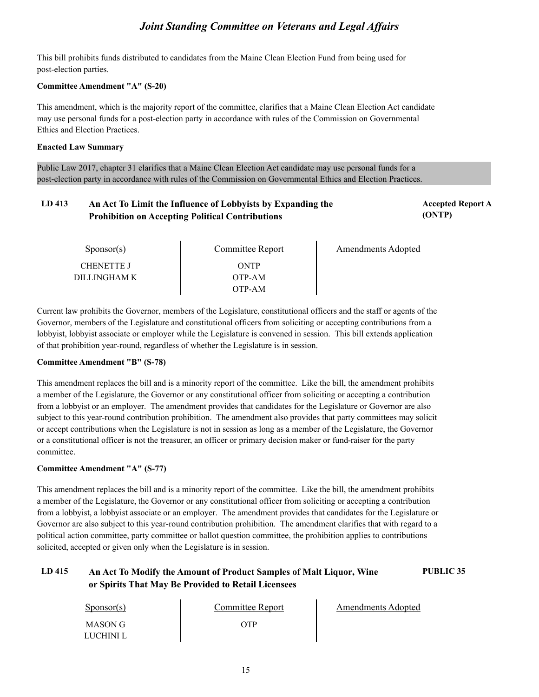This bill prohibits funds distributed to candidates from the Maine Clean Election Fund from being used for post-election parties.

#### **Committee Amendment "A" (S-20)**

This amendment, which is the majority report of the committee, clarifies that a Maine Clean Election Act candidate may use personal funds for a post-election party in accordance with rules of the Commission on Governmental Ethics and Election Practices.

#### **Enacted Law Summary**

Public Law 2017, chapter 31 clarifies that a Maine Clean Election Act candidate may use personal funds for a post-election party in accordance with rules of the Commission on Governmental Ethics and Election Practices.

#### LD 413 An Act To Limit the Influence of Lobbyists by Expanding the *Accepted Report A* **(ONTP) Prohibition on Accepting Political Contributions**

| muupuu nupurt |  |
|---------------|--|
| (ONTP)        |  |

| $S_{\text{ponsor}}(s)$ | Committee Report | <b>Amendments Adopted</b> |
|------------------------|------------------|---------------------------|
| <b>CHENETTE J</b>      | ONTP             |                           |
| DILLINGHAM K           | OTP-AM           |                           |
|                        | OTP-AM           |                           |

Current law prohibits the Governor, members of the Legislature, constitutional officers and the staff or agents of the Governor, members of the Legislature and constitutional officers from soliciting or accepting contributions from a lobbyist, lobbyist associate or employer while the Legislature is convened in session. This bill extends application of that prohibition year-round, regardless of whether the Legislature is in session.

### **Committee Amendment "B" (S-78)**

This amendment replaces the bill and is a minority report of the committee. Like the bill, the amendment prohibits a member of the Legislature, the Governor or any constitutional officer from soliciting or accepting a contribution from a lobbyist or an employer. The amendment provides that candidates for the Legislature or Governor are also subject to this year-round contribution prohibition. The amendment also provides that party committees may solicit or accept contributions when the Legislature is not in session as long as a member of the Legislature, the Governor or a constitutional officer is not the treasurer, an officer or primary decision maker or fund-raiser for the party committee.

### **Committee Amendment "A" (S-77)**

This amendment replaces the bill and is a minority report of the committee. Like the bill, the amendment prohibits a member of the Legislature, the Governor or any constitutional officer from soliciting or accepting a contribution from a lobbyist, a lobbyist associate or an employer. The amendment provides that candidates for the Legislature or Governor are also subject to this year-round contribution prohibition. The amendment clarifies that with regard to a political action committee, party committee or ballot question committee, the prohibition applies to contributions solicited, accepted or given only when the Legislature is in session.

### **LD 415 An Act To Modify the Amount of Product Samples of Malt Liquor, Wine PUBLIC 35 or Spirits That May Be Provided to Retail Licensees**

| $S_{\text{PON}(\text{S})}$ | Committee Report | <b>Amendments Adopted</b> |
|----------------------------|------------------|---------------------------|
| MASON G                    | NTP              |                           |
| LUCHINI L                  |                  |                           |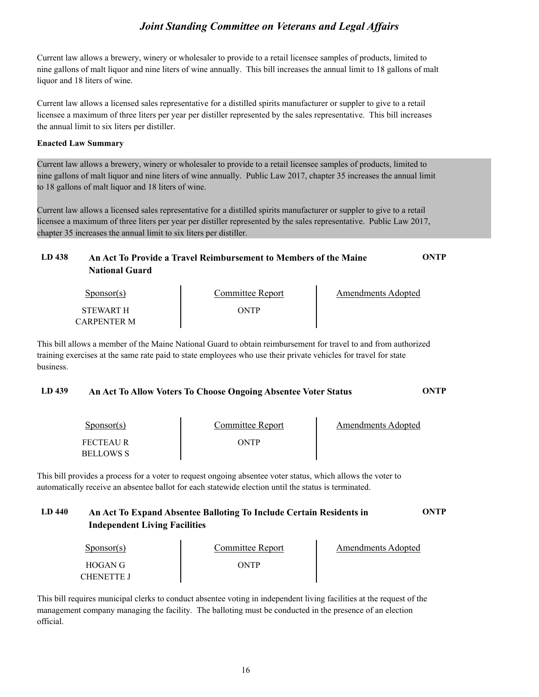Current law allows a brewery, winery or wholesaler to provide to a retail licensee samples of products, limited to nine gallons of malt liquor and nine liters of wine annually. This bill increases the annual limit to 18 gallons of malt liquor and 18 liters of wine.

Current law allows a licensed sales representative for a distilled spirits manufacturer or suppler to give to a retail licensee a maximum of three liters per year per distiller represented by the sales representative. This bill increases the annual limit to six liters per distiller.

#### **Enacted Law Summary**

Current law allows a brewery, winery or wholesaler to provide to a retail licensee samples of products, limited to nine gallons of malt liquor and nine liters of wine annually. Public Law 2017, chapter 35 increases the annual limit to 18 gallons of malt liquor and 18 liters of wine.

Current law allows a licensed sales representative for a distilled spirits manufacturer or suppler to give to a retail licensee a maximum of three liters per year per distiller represented by the sales representative. Public Law 2017, chapter 35 increases the annual limit to six liters per distiller.

| LD 438 | An Act To Provide a Travel Reimbursement to Members of the Maine | ONTP |
|--------|------------------------------------------------------------------|------|
|        | <b>National Guard</b>                                            |      |
|        |                                                                  |      |

| Sponsor(s)                             | Committee Report | Amendments Adopted |  |
|----------------------------------------|------------------|--------------------|--|
| <b>STEWART H</b><br><b>CARPENTER M</b> | ONTP             |                    |  |

This bill allows a member of the Maine National Guard to obtain reimbursement for travel to and from authorized training exercises at the same rate paid to state employees who use their private vehicles for travel for state business.

### **LD 439 An Act To Allow Voters To Choose Ongoing Absentee Voter Status ONTP**

| Sponsor(s)       | Committee Report | Amendments Adopted |
|------------------|------------------|--------------------|
| <b>FECTEAUR</b>  | ONTP             |                    |
| <b>BELLOWS S</b> |                  |                    |

This bill provides a process for a voter to request ongoing absentee voter status, which allows the voter to automatically receive an absentee ballot for each statewide election until the status is terminated.

### **LD 440 An Act To Expand Absentee Balloting To Include Certain Residents in ONTP Independent Living Facilities**

| $S_{\text{DODSOT}}(s)$       | Committee Report | Amendments Adopted |
|------------------------------|------------------|--------------------|
| HOGAN G<br><b>CHENETTE J</b> | ONTP             |                    |

This bill requires municipal clerks to conduct absentee voting in independent living facilities at the request of the management company managing the facility. The balloting must be conducted in the presence of an election official.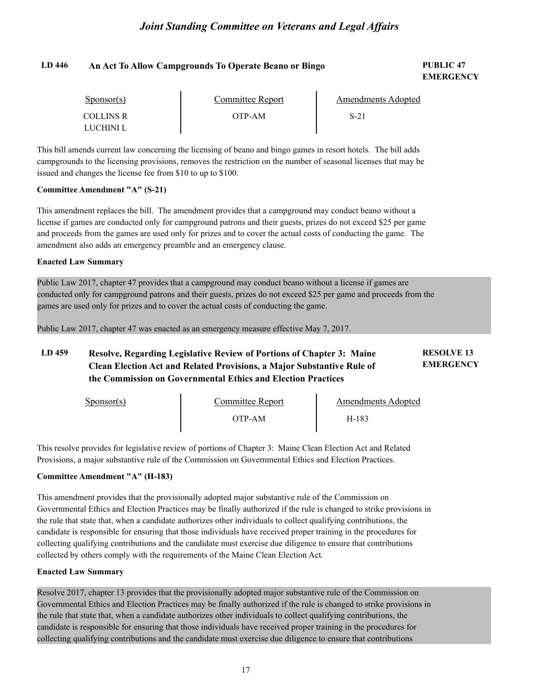### **LD 446 PUBLIC 47 An Act To Allow Campgrounds To Operate Beano or Bingo**

# **EMERGENCY**

| $S_{\text{PON}(\text{S})}$ | Committee Report | Amendments Adopted |  |
|----------------------------|------------------|--------------------|--|
| COLLINS R<br>LUCHINI L     | OTP-AM           | $S-21$             |  |

This bill amends current law concerning the licensing of beano and bingo games in resort hotels. The bill adds campgrounds to the licensing provisions, removes the restriction on the number of seasonal licenses that may be issued and changes the license fee from \$10 to up to \$100.

#### **Committee Amendment "A" (S-21)**

This amendment replaces the bill. The amendment provides that a campground may conduct beano without a license if games are conducted only for campground patrons and their guests, prizes do not exceed \$25 per game and proceeds from the games are used only for prizes and to cover the actual costs of conducting the game. The amendment also adds an emergency preamble and an emergency clause.

#### **Enacted Law Summary**

Public Law 2017, chapter 47 provides that a campground may conduct beano without a license if games are conducted only for campground patrons and their guests, prizes do not exceed \$25 per game and proceeds from the games are used only for prizes and to cover the actual costs of conducting the game.

Public Law 2017, chapter 47 was enacted as an emergency measure effective May 7, 2017.

#### **LD 459 RESOLVE 13 Resolve, Regarding Legislative Review of Portions of Chapter 3: Maine EMERGENCY Clean Election Act and Related Provisions, a Major Substantive Rule of the Commission on Governmental Ethics and Election Practices**

| $S_{\text{ponsor}}(s)$ | Committee Report | <b>Amendments Adopted</b> |
|------------------------|------------------|---------------------------|
|                        | )TP-AM           | H-183                     |

This resolve provides for legislative review of portions of Chapter 3: Maine Clean Election Act and Related Provisions, a major substantive rule of the Commission on Governmental Ethics and Election Practices.

### **Committee Amendment "A" (H-183)**

This amendment provides that the provisionally adopted major substantive rule of the Commission on Governmental Ethics and Election Practices may be finally authorized if the rule is changed to strike provisions in the rule that state that, when a candidate authorizes other individuals to collect qualifying contributions, the candidate is responsible for ensuring that those individuals have received proper training in the procedures for collecting qualifying contributions and the candidate must exercise due diligence to ensure that contributions collected by others comply with the requirements of the Maine Clean Election Act.

#### **Enacted Law Summary**

Resolve 2017, chapter 13 provides that the provisionally adopted major substantive rule of the Commission on Governmental Ethics and Election Practices may be finally authorized if the rule is changed to strike provisions in the rule that state that, when a candidate authorizes other individuals to collect qualifying contributions, the candidate is responsible for ensuring that those individuals have received proper training in the procedures for collecting qualifying contributions and the candidate must exercise due diligence to ensure that contributions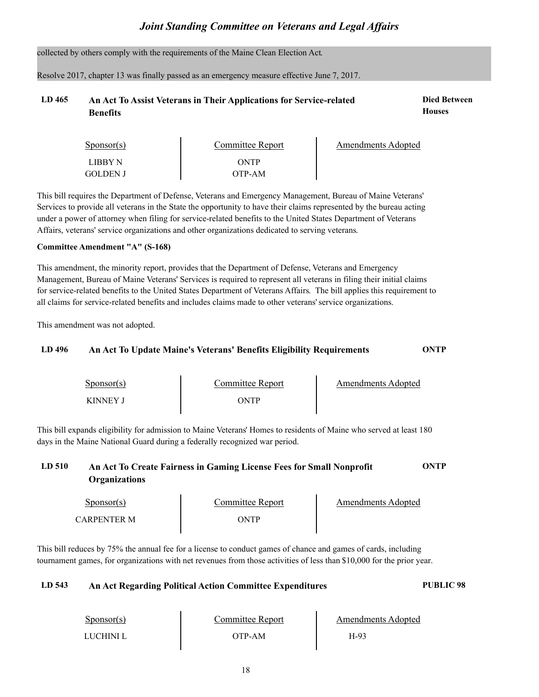collected by others comply with the requirements of the Maine Clean Election Act.

Resolve 2017, chapter 13 was finally passed as an emergency measure effective June 7, 2017.

### LD 465 An Act To Assist Veterans in Their Applications for Service-related **Died Between Benefits**

| This bill requires the Department of Defense, Veterans and Emergency Management, Bureau of Maine Veterans'          |
|---------------------------------------------------------------------------------------------------------------------|
| Services to provide all veterans in the State the opportunity to have their claims represented by the bureau acting |
| under a power of attorney when filing for service-related benefits to the United States Department of Veterans      |
| Affairs, veterans' service organizations and other organizations dedicated to serving veterans.                     |

ONTP OTP-AM

Committee Report Amendments Adopted

#### **Committee Amendment "A" (S-168)**

Sponsor(s) LIBBY N GOLDEN J

This amendment, the minority report, provides that the Department of Defense, Veterans and Emergency Management, Bureau of Maine Veterans' Services is required to represent all veterans in filing their initial claims for service-related benefits to the United States Department of Veterans Affairs. The bill applies this requirement to all claims for service-related benefits and includes claims made to other veterans' service organizations.

This amendment was not adopted.

| LD 496 |                            | An Act To Update Maine's Veterans' Benefits Eligibility Requirements | ONTP                      |  |
|--------|----------------------------|----------------------------------------------------------------------|---------------------------|--|
|        | $S_{\text{PON}(\text{S})}$ | <b>Committee Report</b>                                              | <b>Amendments Adopted</b> |  |
|        | <b>KINNEY J</b>            | ONTP                                                                 |                           |  |

This bill expands eligibility for admission to Maine Veterans' Homes to residents of Maine who served at least 180 days in the Maine National Guard during a federally recognized war period.

### **LD 510 An Act To Create Fairness in Gaming License Fees for Small Nonprofit ONTP Organizations**

| Sponsor(s)  | Committee Report | Amendments Adopted |
|-------------|------------------|--------------------|
| CARPENTER M | ONTP             |                    |

This bill reduces by 75% the annual fee for a license to conduct games of chance and games of cards, including tournament games, for organizations with net revenues from those activities of less than \$10,000 for the prior year.

### **LD 543 An Act Regarding Political Action Committee Expenditures PUBLIC 98**

| $S_{\text{ponsor}}(s)$ | Committee Report | <b>Amendments Adopted</b> |  |
|------------------------|------------------|---------------------------|--|
| LUCHINI L              | OTP-AM           | H-93                      |  |

**Houses**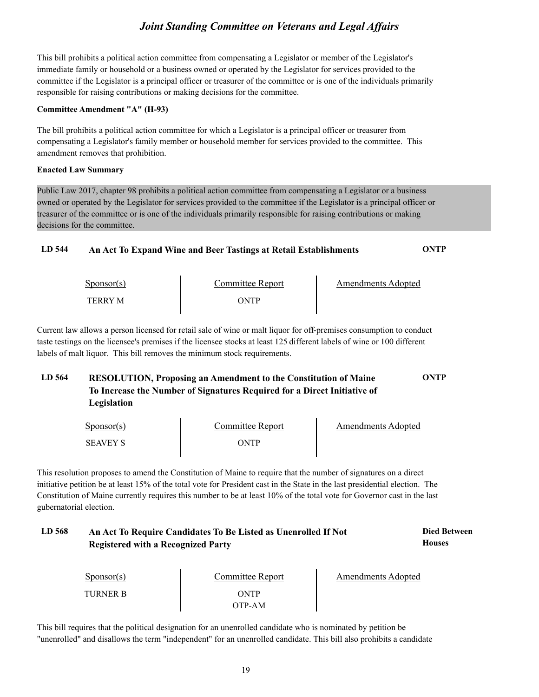This bill prohibits a political action committee from compensating a Legislator or member of the Legislator's immediate family or household or a business owned or operated by the Legislator for services provided to the committee if the Legislator is a principal officer or treasurer of the committee or is one of the individuals primarily responsible for raising contributions or making decisions for the committee.

#### **Committee Amendment "A" (H-93)**

The bill prohibits a political action committee for which a Legislator is a principal officer or treasurer from compensating a Legislator's family member or household member for services provided to the committee. This amendment removes that prohibition.

#### **Enacted Law Summary**

Public Law 2017, chapter 98 prohibits a political action committee from compensating a Legislator or a business owned or operated by the Legislator for services provided to the committee if the Legislator is a principal officer or treasurer of the committee or is one of the individuals primarily responsible for raising contributions or making decisions for the committee.

### **LD 544 An Act To Expand Wine and Beer Tastings at Retail Establishments ONTP**

| $S_{\text{DONSOT}}(s)$ | Committee Report | Amendments Adopted |
|------------------------|------------------|--------------------|
| <b>TERRY M</b>         | WTP-             |                    |

Current law allows a person licensed for retail sale of wine or malt liquor for off-premises consumption to conduct taste testings on the licensee's premises if the licensee stocks at least 125 different labels of wine or 100 different labels of malt liquor. This bill removes the minimum stock requirements.

### **LD 564 RESOLUTION, Proposing an Amendment to the Constitution of Maine ONTP To Increase the Number of Signatures Required for a Direct Initiative of Legislation**

| $S_{\text{PONSOT}}(s)$ | <b>Committee Report</b> | <b>Amendments Adopted</b> |
|------------------------|-------------------------|---------------------------|
| <b>SEAVEY S</b>        | ONTP                    |                           |

This resolution proposes to amend the Constitution of Maine to require that the number of signatures on a direct initiative petition be at least 15% of the total vote for President cast in the State in the last presidential election. The Constitution of Maine currently requires this number to be at least 10% of the total vote for Governor cast in the last gubernatorial election.

#### **LD 568 Died Between An Act To Require Candidates To Be Listed as Unenrolled If Not Houses Registered with a Recognized Party**

| $S_{\text{PONSOT}}(s)$ | Committee Report | <b>Amendments Adopted</b> |
|------------------------|------------------|---------------------------|
| TURNER B               | ONTP<br>OTP-AM   |                           |

This bill requires that the political designation for an unenrolled candidate who is nominated by petition be "unenrolled" and disallows the term "independent" for an unenrolled candidate. This bill also prohibits a candidate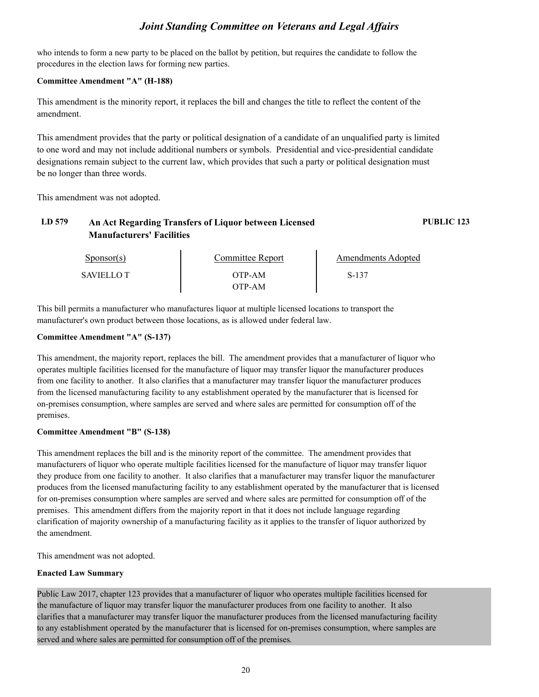who intends to form a new party to be placed on the ballot by petition, but requires the candidate to follow the procedures in the election laws for forming new parties.

#### **Committee Amendment "A" (H-188)**

This amendment is the minority report, it replaces the bill and changes the title to reflect the content of the amendment.

This amendment provides that the party or political designation of a candidate of an unqualified party is limited to one word and may not include additional numbers or symbols. Presidential and vice-presidential candidate designations remain subject to the current law, which provides that such a party or political designation must be no longer than three words.

This amendment was not adopted.

### **LD 579 An Act Regarding Transfers of Liquor between Licensed PUBLIC 123 Manufacturers' Facilities**

| Sponsor(s)       | Committee Report | Amendments Adopted |  |
|------------------|------------------|--------------------|--|
| <b>SAVIELLOT</b> | OTP-AM<br>)TP-AM | S-137              |  |

This bill permits a manufacturer who manufactures liquor at multiple licensed locations to transport the manufacturer's own product between those locations, as is allowed under federal law.

#### **Committee Amendment "A" (S-137)**

This amendment, the majority report, replaces the bill. The amendment provides that a manufacturer of liquor who operates multiple facilities licensed for the manufacture of liquor may transfer liquor the manufacturer produces from one facility to another. It also clarifies that a manufacturer may transfer liquor the manufacturer produces from the licensed manufacturing facility to any establishment operated by the manufacturer that is licensed for on-premises consumption, where samples are served and where sales are permitted for consumption off of the premises.

### **Committee Amendment "B" (S-138)**

This amendment replaces the bill and is the minority report of the committee. The amendment provides that manufacturers of liquor who operate multiple facilities licensed for the manufacture of liquor may transfer liquor they produce from one facility to another. It also clarifies that a manufacturer may transfer liquor the manufacturer produces from the licensed manufacturing facility to any establishment operated by the manufacturer that is licensed for on-premises consumption where samples are served and where sales are permitted for consumption off of the premises. This amendment differs from the majority report in that it does not include language regarding clarification of majority ownership of a manufacturing facility as it applies to the transfer of liquor authorized by the amendment.

This amendment was not adopted.

### **Enacted Law Summary**

Public Law 2017, chapter 123 provides that a manufacturer of liquor who operates multiple facilities licensed for the manufacture of liquor may transfer liquor the manufacturer produces from one facility to another. It also clarifies that a manufacturer may transfer liquor the manufacturer produces from the licensed manufacturing facility to any establishment operated by the manufacturer that is licensed for on-premises consumption, where samples are served and where sales are permitted for consumption off of the premises.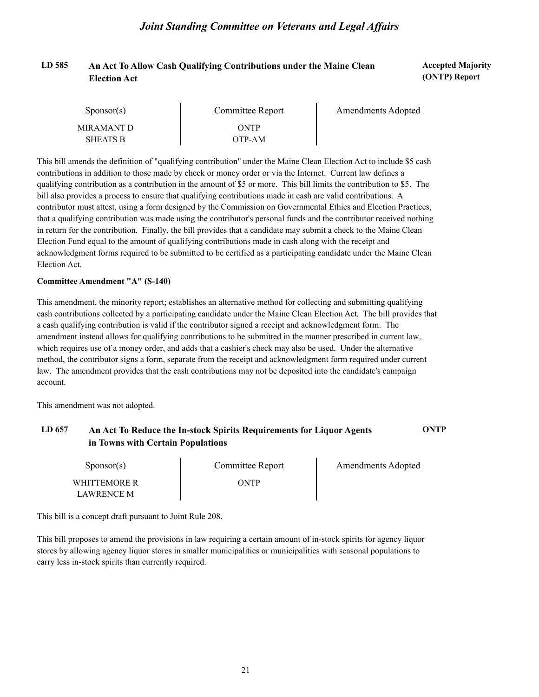### LD 585 An Act To Allow Cash Qualifying Contributions under the Maine Clean **Accepted Majority Election Act**

# **(ONTP) Report**

| Sponsor(s)      | Committee Report | Amendments Adopted |
|-----------------|------------------|--------------------|
| MIR AMANT D     | ONTP             |                    |
| <b>SHEATS B</b> | OTP-AM           |                    |

This bill amends the definition of "qualifying contribution" under the Maine Clean Election Act to include \$5 cash contributions in addition to those made by check or money order or via the Internet. Current law defines a qualifying contribution as a contribution in the amount of \$5 or more. This bill limits the contribution to \$5. The bill also provides a process to ensure that qualifying contributions made in cash are valid contributions. A contributor must attest, using a form designed by the Commission on Governmental Ethics and Election Practices, that a qualifying contribution was made using the contributor's personal funds and the contributor received nothing in return for the contribution. Finally, the bill provides that a candidate may submit a check to the Maine Clean Election Fund equal to the amount of qualifying contributions made in cash along with the receipt and acknowledgment forms required to be submitted to be certified as a participating candidate under the Maine Clean Election Act.

#### **Committee Amendment "A" (S-140)**

This amendment, the minority report; establishes an alternative method for collecting and submitting qualifying cash contributions collected by a participating candidate under the Maine Clean Election Act. The bill provides that a cash qualifying contribution is valid if the contributor signed a receipt and acknowledgment form. The amendment instead allows for qualifying contributions to be submitted in the manner prescribed in current law, which requires use of a money order, and adds that a cashier's check may also be used. Under the alternative method, the contributor signs a form, separate from the receipt and acknowledgment form required under current law. The amendment provides that the cash contributions may not be deposited into the candidate's campaign account.

This amendment was not adopted.

### **LD 657 An Act To Reduce the In-stock Spirits Requirements for Liquor Agents ONTP in Towns with Certain Populations**

| <u>Sponsor(s)</u>                 | Committee Report | Amendments Adopted |
|-----------------------------------|------------------|--------------------|
| WHITTEMORE R<br><b>LAWRENCE M</b> | ONTP             |                    |

This bill is a concept draft pursuant to Joint Rule 208.

This bill proposes to amend the provisions in law requiring a certain amount of in-stock spirits for agency liquor stores by allowing agency liquor stores in smaller municipalities or municipalities with seasonal populations to carry less in-stock spirits than currently required.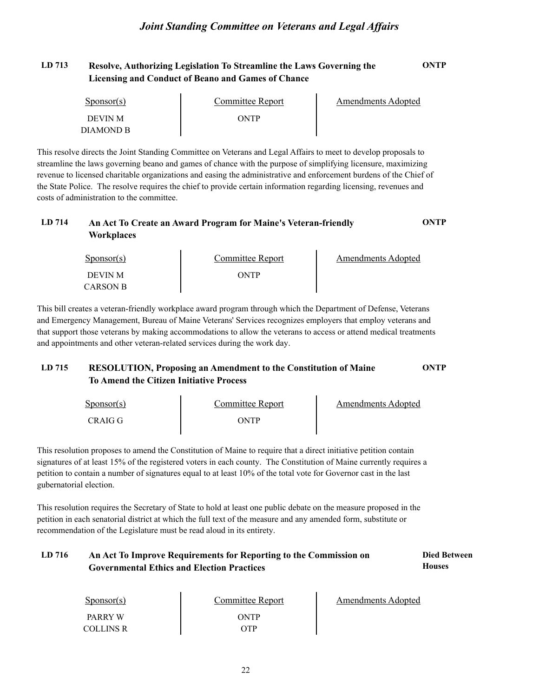### **LD 713 Resolve, Authorizing Legislation To Streamline the Laws Governing the ONTP Licensing and Conduct of Beano and Games of Chance**

| Sponsor(s)     | Committee Report | Amendments Adopted |  |
|----------------|------------------|--------------------|--|
| <b>DEVIN M</b> | ONTP             |                    |  |
| DIAMOND B      |                  |                    |  |

This resolve directs the Joint Standing Committee on Veterans and Legal Affairs to meet to develop proposals to streamline the laws governing beano and games of chance with the purpose of simplifying licensure, maximizing revenue to licensed charitable organizations and easing the administrative and enforcement burdens of the Chief of the State Police. The resolve requires the chief to provide certain information regarding licensing, revenues and costs of administration to the committee.

### **LD 714 An Act To Create an Award Program for Maine's Veteran-friendly ONTP Workplaces**

| $S_{\text{PON}(\text{S})}$ | Committee Report | Amendments Adopted |  |
|----------------------------|------------------|--------------------|--|
| DEVIN M                    | ONTP             |                    |  |
| <b>CARSON B</b>            |                  |                    |  |

This bill creates a veteran-friendly workplace award program through which the Department of Defense, Veterans and Emergency Management, Bureau of Maine Veterans' Services recognizes employers that employ veterans and that support those veterans by making accommodations to allow the veterans to access or attend medical treatments and appointments and other veteran-related services during the work day.

### **LD 715 RESOLUTION, Proposing an Amendment to the Constitution of Maine ONTP To Amend the Citizen Initiative Process**

| $S_{\text{PONSOT}}(s)$ | Committee Report | <b>Amendments Adopted</b> |
|------------------------|------------------|---------------------------|
| CRAIG G                | ONTP             |                           |

This resolution proposes to amend the Constitution of Maine to require that a direct initiative petition contain signatures of at least 15% of the registered voters in each county. The Constitution of Maine currently requires a petition to contain a number of signatures equal to at least 10% of the total vote for Governor cast in the last gubernatorial election.

This resolution requires the Secretary of State to hold at least one public debate on the measure proposed in the petition in each senatorial district at which the full text of the measure and any amended form, substitute or recommendation of the Legislature must be read aloud in its entirety.

#### LD 716 **An Act To Improve Requirements for Reporting to the Commission on <b>Died Between Houses Governmental Ethics and Election Practices**

| $S_{\text{PON}(\text{S})}$         | <b>Committee Report</b> | <b>Amendments Adopted</b> |
|------------------------------------|-------------------------|---------------------------|
| <b>PARRY W</b><br><b>COLLINS R</b> | ONTP<br>OTP             |                           |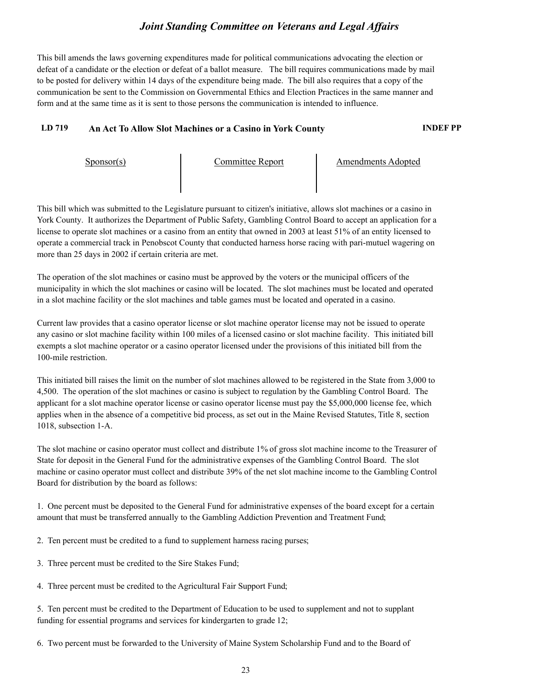This bill amends the laws governing expenditures made for political communications advocating the election or defeat of a candidate or the election or defeat of a ballot measure. The bill requires communications made by mail to be posted for delivery within 14 days of the expenditure being made. The bill also requires that a copy of the communication be sent to the Commission on Governmental Ethics and Election Practices in the same manner and form and at the same time as it is sent to those persons the communication is intended to influence.

### **LD 719 An Act To Allow Slot Machines or a Casino in York County INDEF PP**

Sponsor(s) Committee Report Amendments Adopted

This bill which was submitted to the Legislature pursuant to citizen's initiative, allows slot machines or a casino in York County. It authorizes the Department of Public Safety, Gambling Control Board to accept an application for a license to operate slot machines or a casino from an entity that owned in 2003 at least 51% of an entity licensed to operate a commercial track in Penobscot County that conducted harness horse racing with pari-mutuel wagering on more than 25 days in 2002 if certain criteria are met.

The operation of the slot machines or casino must be approved by the voters or the municipal officers of the municipality in which the slot machines or casino will be located. The slot machines must be located and operated in a slot machine facility or the slot machines and table games must be located and operated in a casino.

Current law provides that a casino operator license or slot machine operator license may not be issued to operate any casino or slot machine facility within 100 miles of a licensed casino or slot machine facility. This initiated bill exempts a slot machine operator or a casino operator licensed under the provisions of this initiated bill from the 100-mile restriction.

This initiated bill raises the limit on the number of slot machines allowed to be registered in the State from 3,000 to 4,500. The operation of the slot machines or casino is subject to regulation by the Gambling Control Board. The applicant for a slot machine operator license or casino operator license must pay the \$5,000,000 license fee, which applies when in the absence of a competitive bid process, as set out in the Maine Revised Statutes, Title 8, section 1018, subsection 1-A.

The slot machine or casino operator must collect and distribute 1% of gross slot machine income to the Treasurer of State for deposit in the General Fund for the administrative expenses of the Gambling Control Board. The slot machine or casino operator must collect and distribute 39% of the net slot machine income to the Gambling Control Board for distribution by the board as follows:

1. One percent must be deposited to the General Fund for administrative expenses of the board except for a certain amount that must be transferred annually to the Gambling Addiction Prevention and Treatment Fund;

2. Ten percent must be credited to a fund to supplement harness racing purses;

3. Three percent must be credited to the Sire Stakes Fund;

4. Three percent must be credited to the Agricultural Fair Support Fund;

5. Ten percent must be credited to the Department of Education to be used to supplement and not to supplant funding for essential programs and services for kindergarten to grade 12;

6. Two percent must be forwarded to the University of Maine System Scholarship Fund and to the Board of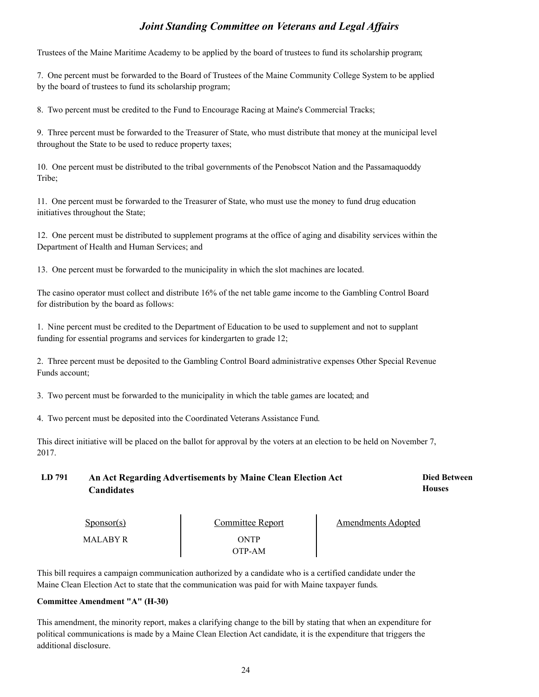Trustees of the Maine Maritime Academy to be applied by the board of trustees to fund its scholarship program;

7. One percent must be forwarded to the Board of Trustees of the Maine Community College System to be applied by the board of trustees to fund its scholarship program;

8. Two percent must be credited to the Fund to Encourage Racing at Maine's Commercial Tracks;

9. Three percent must be forwarded to the Treasurer of State, who must distribute that money at the municipal level throughout the State to be used to reduce property taxes;

10. One percent must be distributed to the tribal governments of the Penobscot Nation and the Passamaquoddy Tribe;

11. One percent must be forwarded to the Treasurer of State, who must use the money to fund drug education initiatives throughout the State;

12. One percent must be distributed to supplement programs at the office of aging and disability services within the Department of Health and Human Services; and

13. One percent must be forwarded to the municipality in which the slot machines are located.

The casino operator must collect and distribute 16% of the net table game income to the Gambling Control Board for distribution by the board as follows:

1. Nine percent must be credited to the Department of Education to be used to supplement and not to supplant funding for essential programs and services for kindergarten to grade 12;

2. Three percent must be deposited to the Gambling Control Board administrative expenses Other Special Revenue Funds account;

3. Two percent must be forwarded to the municipality in which the table games are located; and

4. Two percent must be deposited into the Coordinated Veterans Assistance Fund.

This direct initiative will be placed on the ballot for approval by the voters at an election to be held on November 7, 2017.

LD 791 •• An Act Regarding Advertisements by Maine Clean Election Act **Died Between Houses Candidates**

| $S_{\text{DONSOT}}(s)$ | <b>Committee Report</b> | Amendments Adopted |  |
|------------------------|-------------------------|--------------------|--|
| MALABY R               | ONTP                    |                    |  |
|                        | )TP-AM                  |                    |  |

This bill requires a campaign communication authorized by a candidate who is a certified candidate under the Maine Clean Election Act to state that the communication was paid for with Maine taxpayer funds.

#### **Committee Amendment "A" (H-30)**

This amendment, the minority report, makes a clarifying change to the bill by stating that when an expenditure for political communications is made by a Maine Clean Election Act candidate, it is the expenditure that triggers the additional disclosure.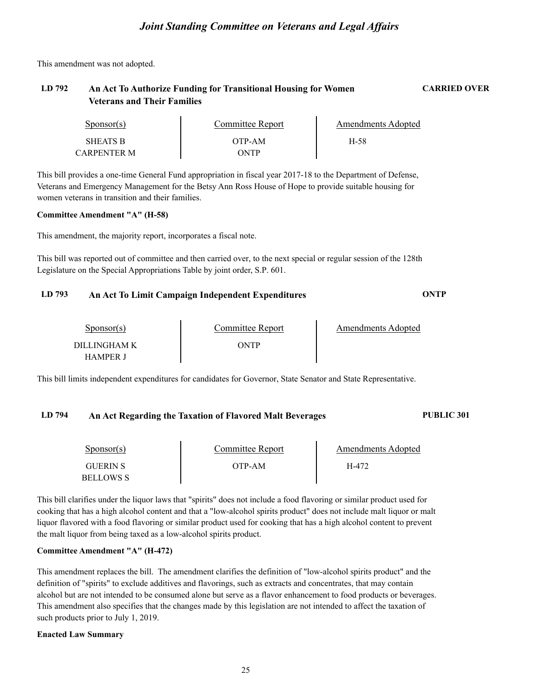This amendment was not adopted.

### **LD 792 An Act To Authorize Funding for Transitional Housing for Women CARRIED OVER Veterans and Their Families**

| Sponsor(s)      | Committee Report | Amendments Adopted |  |
|-----------------|------------------|--------------------|--|
| <b>SHEATS B</b> | OTP-AM           | H-58               |  |
| CARPENTER M     | ONTP             |                    |  |

This bill provides a one-time General Fund appropriation in fiscal year 2017-18 to the Department of Defense, Veterans and Emergency Management for the Betsy Ann Ross House of Hope to provide suitable housing for women veterans in transition and their families.

#### **Committee Amendment "A" (H-58)**

This amendment, the majority report, incorporates a fiscal note.

This bill was reported out of committee and then carried over, to the next special or regular session of the 128th Legislature on the Special Appropriations Table by joint order, S.P. 601.

### **LD 793 An Act To Limit Campaign Independent Expenditures ONTP**

| Sponsor(s)      | Committee Report | Amendments Adopted |  |
|-----------------|------------------|--------------------|--|
| DILLINGHAM K    | <b>DNTP</b>      |                    |  |
| <b>HAMPER I</b> |                  |                    |  |

This bill limits independent expenditures for candidates for Governor, State Senator and State Representative.

#### **LD 794 An Act Regarding the Taxation of Flavored Malt Beverages PUBLIC 301**

| Sponsor(s)      | Committee Report | Amendments Adopted |  |
|-----------------|------------------|--------------------|--|
| <b>GUERIN S</b> | OTP-AM           | H-472              |  |
| BELLOWS S       |                  |                    |  |

This bill clarifies under the liquor laws that "spirits" does not include a food flavoring or similar product used for cooking that has a high alcohol content and that a "low-alcohol spirits product" does not include malt liquor or malt liquor flavored with a food flavoring or similar product used for cooking that has a high alcohol content to prevent the malt liquor from being taxed as a low-alcohol spirits product.

#### **Committee Amendment "A" (H-472)**

This amendment replaces the bill. The amendment clarifies the definition of "low-alcohol spirits product" and the definition of "spirits" to exclude additives and flavorings, such as extracts and concentrates, that may contain alcohol but are not intended to be consumed alone but serve as a flavor enhancement to food products or beverages. This amendment also specifies that the changes made by this legislation are not intended to affect the taxation of such products prior to July 1, 2019.

#### **Enacted Law Summary**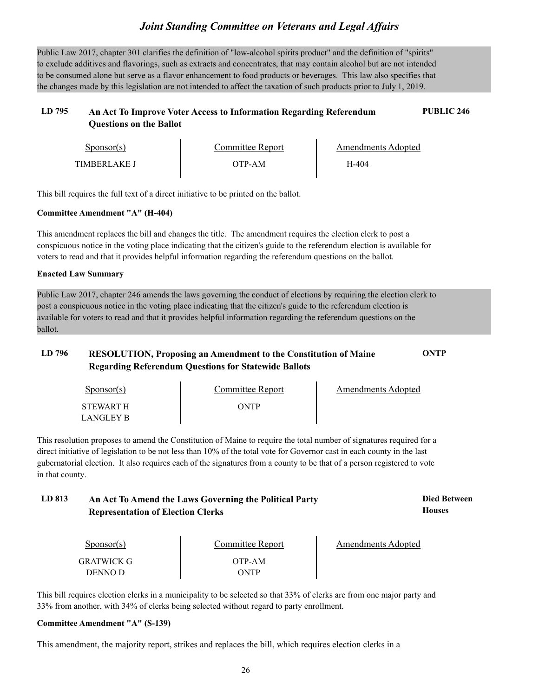Public Law 2017, chapter 301 clarifies the definition of "low-alcohol spirits product" and the definition of "spirits" to exclude additives and flavorings, such as extracts and concentrates, that may contain alcohol but are not intended to be consumed alone but serve as a flavor enhancement to food products or beverages. This law also specifies that the changes made by this legislation are not intended to affect the taxation of such products prior to July 1, 2019.

### **LD 795 An Act To Improve Voter Access to Information Regarding Referendum PUBLIC 246 Questions on the Ballot**

| Sponsor(s)          | Committee Report | Amendments Adopted |  |
|---------------------|------------------|--------------------|--|
| <b>TIMBERLAKE I</b> | )TP-AM           | H-404              |  |

This bill requires the full text of a direct initiative to be printed on the ballot.

### **Committee Amendment "A" (H-404)**

This amendment replaces the bill and changes the title. The amendment requires the election clerk to post a conspicuous notice in the voting place indicating that the citizen's guide to the referendum election is available for voters to read and that it provides helpful information regarding the referendum questions on the ballot.

#### **Enacted Law Summary**

Public Law 2017, chapter 246 amends the laws governing the conduct of elections by requiring the election clerk to post a conspicuous notice in the voting place indicating that the citizen's guide to the referendum election is available for voters to read and that it provides helpful information regarding the referendum questions on the ballot.

### **LD 796 RESOLUTION, Proposing an Amendment to the Constitution of Maine ONTP Regarding Referendum Questions for Statewide Ballots**

| Sponsor(s)             | Committee Report | Amendments Adopted |  |
|------------------------|------------------|--------------------|--|
| STEWART H<br>LANGLEY B | ONTP             |                    |  |

This resolution proposes to amend the Constitution of Maine to require the total number of signatures required for a direct initiative of legislation to be not less than 10% of the total vote for Governor cast in each county in the last gubernatorial election. It also requires each of the signatures from a county to be that of a person registered to vote in that county.

### **LD 813 Died Between An Act To Amend the Laws Governing the Political Party Representation of Election Clerks**

| Sponsor(s)            | Committee Report | Amendments Adopted |
|-----------------------|------------------|--------------------|
| GRATWICK G<br>DENNO D | OTP-AM<br>ONTP   |                    |

**Houses**

This bill requires election clerks in a municipality to be selected so that 33% of clerks are from one major party and 33% from another, with 34% of clerks being selected without regard to party enrollment.

#### **Committee Amendment "A" (S-139)**

This amendment, the majority report, strikes and replaces the bill, which requires election clerks in a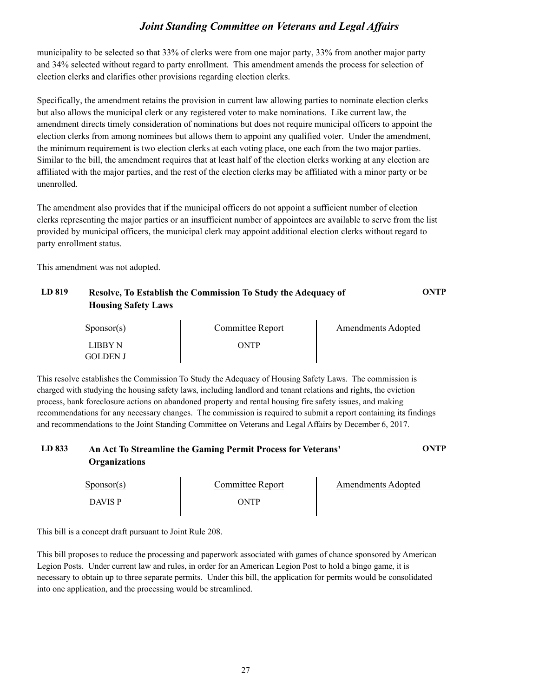municipality to be selected so that 33% of clerks were from one major party, 33% from another major party and 34% selected without regard to party enrollment. This amendment amends the process for selection of election clerks and clarifies other provisions regarding election clerks.

Specifically, the amendment retains the provision in current law allowing parties to nominate election clerks but also allows the municipal clerk or any registered voter to make nominations. Like current law, the amendment directs timely consideration of nominations but does not require municipal officers to appoint the election clerks from among nominees but allows them to appoint any qualified voter. Under the amendment, the minimum requirement is two election clerks at each voting place, one each from the two major parties. Similar to the bill, the amendment requires that at least half of the election clerks working at any election are affiliated with the major parties, and the rest of the election clerks may be affiliated with a minor party or be unenrolled.

The amendment also provides that if the municipal officers do not appoint a sufficient number of election clerks representing the major parties or an insufficient number of appointees are available to serve from the list provided by municipal officers, the municipal clerk may appoint additional election clerks without regard to party enrollment status.

This amendment was not adopted.

### **LD 819 Resolve, To Establish the Commission To Study the Adequacy of ONTP Housing Safety Laws**

| $S_{\text{ponsor}}(s)$ | Committee Report | Amendments Adopted |  |
|------------------------|------------------|--------------------|--|
| LIBBY N                | ONTP             |                    |  |
| GOLDEN J               |                  |                    |  |

This resolve establishes the Commission To Study the Adequacy of Housing Safety Laws. The commission is charged with studying the housing safety laws, including landlord and tenant relations and rights, the eviction process, bank foreclosure actions on abandoned property and rental housing fire safety issues, and making recommendations for any necessary changes. The commission is required to submit a report containing its findings and recommendations to the Joint Standing Committee on Veterans and Legal Affairs by December 6, 2017.

### **LD 833 An Act To Streamline the Gaming Permit Process for Veterans' ONTP Organizations**

| $S_{\text{ponsor}(s)}$ | Committee Report | <b>Amendments Adopted</b> |
|------------------------|------------------|---------------------------|
| <b>DAVIS P</b>         | ONTP             |                           |

This bill is a concept draft pursuant to Joint Rule 208.

This bill proposes to reduce the processing and paperwork associated with games of chance sponsored by American Legion Posts. Under current law and rules, in order for an American Legion Post to hold a bingo game, it is necessary to obtain up to three separate permits. Under this bill, the application for permits would be consolidated into one application, and the processing would be streamlined.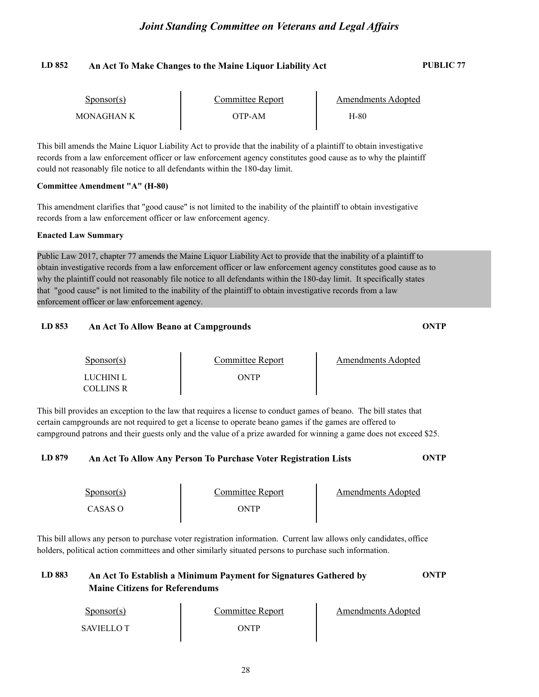### **LD 852 An Act To Make Changes to the Maine Liquor Liability Act PUBLIC 77**

| Sponsor(s) | Committee Report | Amendments Adopted |  |
|------------|------------------|--------------------|--|
| MONAGHAN K | OTP-AM           | H-80               |  |

This bill amends the Maine Liquor Liability Act to provide that the inability of a plaintiff to obtain investigative records from a law enforcement officer or law enforcement agency constitutes good cause as to why the plaintiff could not reasonably file notice to all defendants within the 180-day limit.

#### **Committee Amendment "A" (H-80)**

This amendment clarifies that "good cause" is not limited to the inability of the plaintiff to obtain investigative records from a law enforcement officer or law enforcement agency.

#### **Enacted Law Summary**

Public Law 2017, chapter 77 amends the Maine Liquor Liability Act to provide that the inability of a plaintiff to obtain investigative records from a law enforcement officer or law enforcement agency constitutes good cause as to why the plaintiff could not reasonably file notice to all defendants within the 180-day limit. It specifically states that "good cause" is not limited to the inability of the plaintiff to obtain investigative records from a law enforcement officer or law enforcement agency.

### **LD 853 An Act To Allow Beano at Campgrounds ONTP**

| $S_{\text{PON}(\text{S})}$ | Committee Report | Amendments Adopted |  |
|----------------------------|------------------|--------------------|--|
| LUCHINI L<br>COLLINS R     | ONTP             |                    |  |

This bill provides an exception to the law that requires a license to conduct games of beano. The bill states that certain campgrounds are not required to get a license to operate beano games if the games are offered to campground patrons and their guests only and the value of a prize awarded for winning a game does not exceed \$25.

#### **LD 879 An Act To Allow Any Person To Purchase Voter Registration Lists ONTP**

| $S_{\text{PON}(\text{S})}$ | Committee Report | Amendments Adopted |
|----------------------------|------------------|--------------------|
| CASAS O                    | ONTP             |                    |

This bill allows any person to purchase voter registration information. Current law allows only candidates, office holders, political action committees and other similarly situated persons to purchase such information.

### **LD 883 An Act To Establish a Minimum Payment for Signatures Gathered by ONTP Maine Citizens for Referendums**

| Sponsor(s)       | Committee Report | Amendments Adopted |
|------------------|------------------|--------------------|
| <b>SAVIELLOT</b> | ONTP             |                    |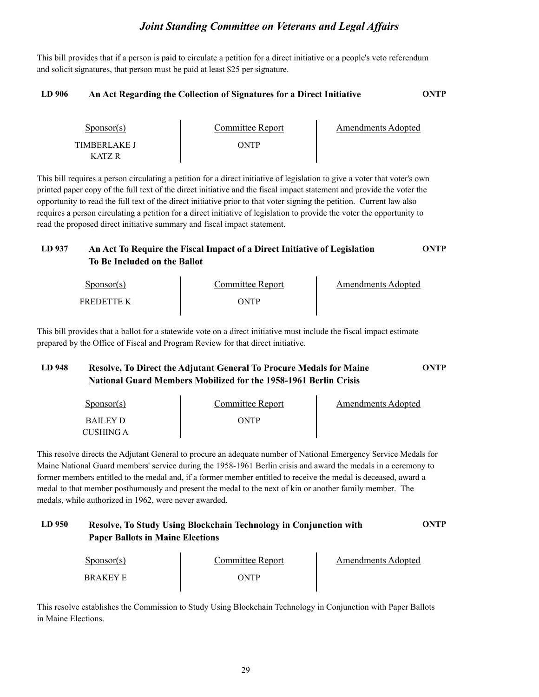This bill provides that if a person is paid to circulate a petition for a direct initiative or a people's veto referendum and solicit signatures, that person must be paid at least \$25 per signature.

#### **LD 906 An Act Regarding the Collection of Signatures for a Direct Initiative ONTP**

| $S_{\text{ponsor}(s)}$ | Committee Report | <b>Amendments Adopted</b> |  |
|------------------------|------------------|---------------------------|--|
| TIMBERLAKE J           | ONTP             |                           |  |
| KATZ R                 |                  |                           |  |

This bill requires a person circulating a petition for a direct initiative of legislation to give a voter that voter's own printed paper copy of the full text of the direct initiative and the fiscal impact statement and provide the voter the opportunity to read the full text of the direct initiative prior to that voter signing the petition. Current law also requires a person circulating a petition for a direct initiative of legislation to provide the voter the opportunity to read the proposed direct initiative summary and fiscal impact statement.

### **LD 937 An Act To Require the Fiscal Impact of a Direct Initiative of Legislation ONTP To Be Included on the Ballot**

| Sponsor(s)        | Committee Report | Amendments Adopted |
|-------------------|------------------|--------------------|
| <b>FREDETTE K</b> | ONTP             |                    |

This bill provides that a ballot for a statewide vote on a direct initiative must include the fiscal impact estimate prepared by the Office of Fiscal and Program Review for that direct initiative.

### **LD 948 Resolve, To Direct the Adjutant General To Procure Medals for Maine ONTP National Guard Members Mobilized for the 1958-1961 Berlin Crisis**

| $S_{\text{ponsor}}(s)$ | Committee Report | Amendments Adopted |
|------------------------|------------------|--------------------|
| BAILEY D               | ONTP             |                    |
| CUSHING A              |                  |                    |

This resolve directs the Adjutant General to procure an adequate number of National Emergency Service Medals for Maine National Guard members' service during the 1958-1961 Berlin crisis and award the medals in a ceremony to former members entitled to the medal and, if a former member entitled to receive the medal is deceased, award a medal to that member posthumously and present the medal to the next of kin or another family member. The medals, while authorized in 1962, were never awarded.

### **LD 950 Resolve, To Study Using Blockchain Technology in Conjunction with ONTP Paper Ballots in Maine Elections**

| $S_{\text{ponsor}}(s)$ | Committee Report | <b>Amendments Adopted</b> |  |
|------------------------|------------------|---------------------------|--|
| BRAKEY E               | ONTP             |                           |  |

This resolve establishes the Commission to Study Using Blockchain Technology in Conjunction with Paper Ballots in Maine Elections.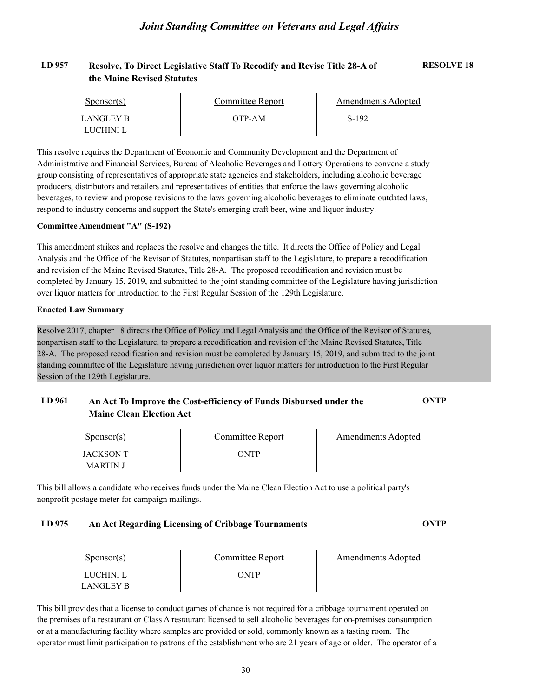### **LD 957 Resolve, To Direct Legislative Staff To Recodify and Revise Title 28-A of RESOLVE 18 the Maine Revised Statutes**

| Sponsor(s) | Committee Report | Amendments Adopted |  |
|------------|------------------|--------------------|--|
| LANGLEY B  | OTP-AM           | S-192              |  |
| LUCHINI L  |                  |                    |  |

This resolve requires the Department of Economic and Community Development and the Department of Administrative and Financial Services, Bureau of Alcoholic Beverages and Lottery Operations to convene a study group consisting of representatives of appropriate state agencies and stakeholders, including alcoholic beverage producers, distributors and retailers and representatives of entities that enforce the laws governing alcoholic beverages, to review and propose revisions to the laws governing alcoholic beverages to eliminate outdated laws, respond to industry concerns and support the State's emerging craft beer, wine and liquor industry.

#### **Committee Amendment "A" (S-192)**

This amendment strikes and replaces the resolve and changes the title. It directs the Office of Policy and Legal Analysis and the Office of the Revisor of Statutes, nonpartisan staff to the Legislature, to prepare a recodification and revision of the Maine Revised Statutes, Title 28-A. The proposed recodification and revision must be completed by January 15, 2019, and submitted to the joint standing committee of the Legislature having jurisdiction over liquor matters for introduction to the First Regular Session of the 129th Legislature.

#### **Enacted Law Summary**

Resolve 2017, chapter 18 directs the Office of Policy and Legal Analysis and the Office of the Revisor of Statutes, nonpartisan staff to the Legislature, to prepare a recodification and revision of the Maine Revised Statut 28-A. The proposed recodification and revision must be completed by January 15, 2019, and submitted to the joint standing committee of the Legislature having jurisdiction over liquor matters for introduction to the First Regular Session of the 129th Legislature.

### **LD 961 An Act To Improve the Cost-efficiency of Funds Disbursed under the ONTP Maine Clean Election Act**

| $S_{\text{ponsor}}(s)$ | Committee Report | Amendments Adopted |  |
|------------------------|------------------|--------------------|--|
| JACKSON T              | ONTP             |                    |  |
| MARTIN J               |                  |                    |  |

This bill allows a candidate who receives funds under the Maine Clean Election Act to use a political party's nonprofit postage meter for campaign mailings.

#### **LD 975 An Act Regarding Licensing of Cribbage Tournaments ONTP**

| $S_{\text{DONSOT}}(s)$ | Committee Report | Amendments Adopted |  |
|------------------------|------------------|--------------------|--|
| LUCHINI L              | ONTP             |                    |  |
| LANGLEY B              |                  |                    |  |

This bill provides that a license to conduct games of chance is not required for a cribbage tournament operated on the premises of a restaurant or Class A restaurant licensed to sell alcoholic beverages for on-premises consumption or at a manufacturing facility where samples are provided or sold, commonly known as a tasting room. The operator must limit participation to patrons of the establishment who are 21 years of age or older. The operator of a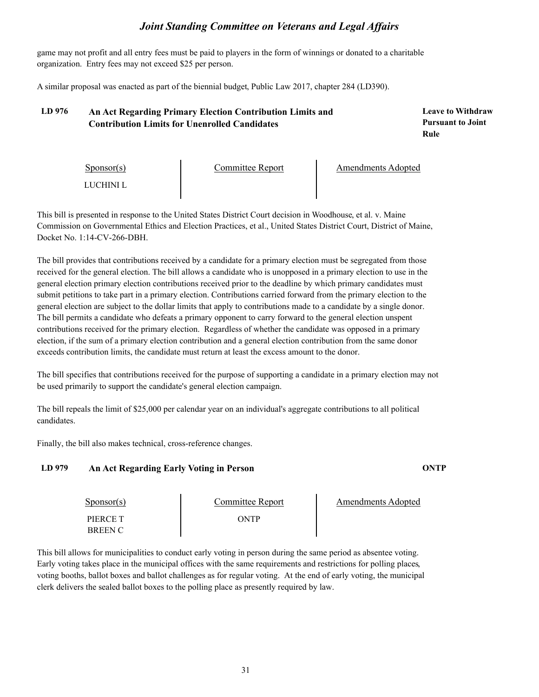game may not profit and all entry fees must be paid to players in the form of winnings or donated to a charitable organization. Entry fees may not exceed \$25 per person.

A similar proposal was enacted as part of the biennial budget, Public Law 2017, chapter 284 (LD390).

### **LD 976 Leave to Withdraw An Act Regarding Primary Election Contribution Limits and Contribution Limits for Unenrolled Candidates**

**Pursuant to Joint Rule**

| $S_{\text{ponsor}}(s)$ | Committee Report | <b>Amendments Adopted</b> |  |
|------------------------|------------------|---------------------------|--|
| LUCHINI L              |                  |                           |  |

This bill is presented in response to the United States District Court decision in Woodhouse, et al. v. Maine Commission on Governmental Ethics and Election Practices, et al., United States District Court, District of Maine, Docket No. 1:14-CV-266-DBH.

The bill provides that contributions received by a candidate for a primary election must be segregated from those received for the general election. The bill allows a candidate who is unopposed in a primary election to use in the general election primary election contributions received prior to the deadline by which primary candidates must submit petitions to take part in a primary election. Contributions carried forward from the primary election to the general election are subject to the dollar limits that apply to contributions made to a candidate by a single donor. The bill permits a candidate who defeats a primary opponent to carry forward to the general election unspent contributions received for the primary election. Regardless of whether the candidate was opposed in a primary election, if the sum of a primary election contribution and a general election contribution from the same donor exceeds contribution limits, the candidate must return at least the excess amount to the donor.

The bill specifies that contributions received for the purpose of supporting a candidate in a primary election may not be used primarily to support the candidate's general election campaign.

The bill repeals the limit of \$25,000 per calendar year on an individual's aggregate contributions to all political candidates.

Finally, the bill also makes technical, cross-reference changes.

### **LD 979 An Act Regarding Early Voting in Person ONTP**

| Sponsor(s)     | Committee Report | Amendments Adopted |
|----------------|------------------|--------------------|
| PIERCE T       | ONTP             |                    |
| <b>BREEN C</b> |                  |                    |

This bill allows for municipalities to conduct early voting in person during the same period as absentee voting. Early voting takes place in the municipal offices with the same requirements and restrictions for polling places, voting booths, ballot boxes and ballot challenges as for regular voting. At the end of early voting, the mun clerk delivers the sealed ballot boxes to the polling place as presently required by law.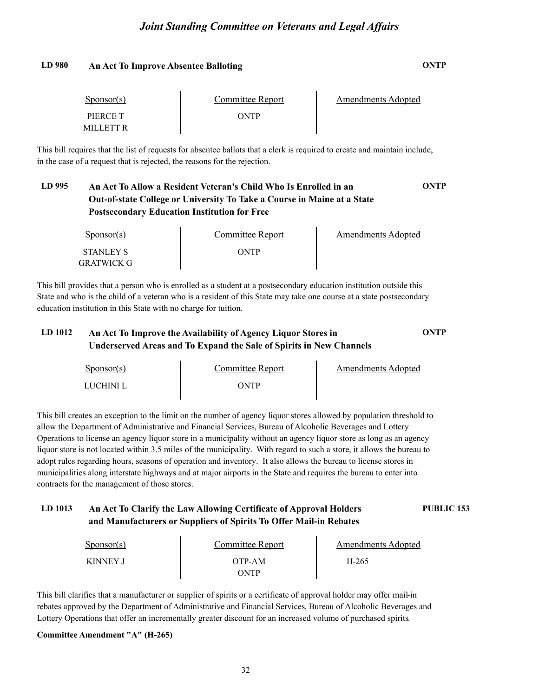#### **LD 980 An Act To Improve Absentee Balloting ONTP**

| $S_{\text{ponsor}}(s)$ | Committee Report | Amendments Adopted |  |
|------------------------|------------------|--------------------|--|
| PIERCE T               | ONTP             |                    |  |
| MILLETT R              |                  |                    |  |

This bill requires that the list of requests for absentee ballots that a clerk is required to create and maintain include, in the case of a request that is rejected, the reasons for the rejection.

### **LD 995 An Act To Allow a Resident Veteran's Child Who Is Enrolled in an ONTP Out-of-state College or University To Take a Course in Maine at a State Postsecondary Education Institution for Free**

| $S_{\text{POD}S}$ (s) | Committee Report | Amendments Adopted |
|-----------------------|------------------|--------------------|
| STANLEY S             | ONTP             |                    |
| GRATWICK G            |                  |                    |

This bill provides that a person who is enrolled as a student at a postsecondary education institution outside this State and who is the child of a veteran who is a resident of this State may take one course at a state postsecondary education institution in this State with no charge for tuition.

### **LD 1012 An Act To Improve the Availability of Agency Liquor Stores in ONTP Underserved Areas and To Expand the Sale of Spirits in New Channels**

Sponsor(s) Sponsor(s) Committee Report<br>LUCHINI L ONTP Amendments Adopted

This bill creates an exception to the limit on the number of agency liquor stores allowed by population threshold to allow the Department of Administrative and Financial Services, Bureau of Alcoholic Beverages and Lottery Operations to license an agency liquor store in a municipality without an agency liquor store as long as an agency liquor store is not located within 3.5 miles of the municipality. With regard to such a store, it allows the bureau to adopt rules regarding hours, seasons of operation and inventory. It also allows the bureau to license stores in municipalities along interstate highways and at major airports in the State and requires the bureau to enter into contracts for the management of those stores.

### **LD 1013 An Act To Clarify the Law Allowing Certificate of Approval Holders PUBLIC 153 and Manufacturers or Suppliers of Spirits To Offer Mail-in Rebates**

| $S_{\text{PONSOT}}(s)$ | Committee Report     | Amendments Adopted |  |
|------------------------|----------------------|--------------------|--|
| <b>KINNEY J</b>        | OTP-AM<br><b>NTP</b> | H-265              |  |

This bill clarifies that a manufacturer or supplier of spirits or a certificate of approval holder may offer mail-in rebates approved by the Department of Administrative and Financial Services, Bureau of Alcoholic Beverages and Lottery Operations that offer an incrementally greater discount for an increased volume of purchased spirits.

### **Committee Amendment "A" (H-265)**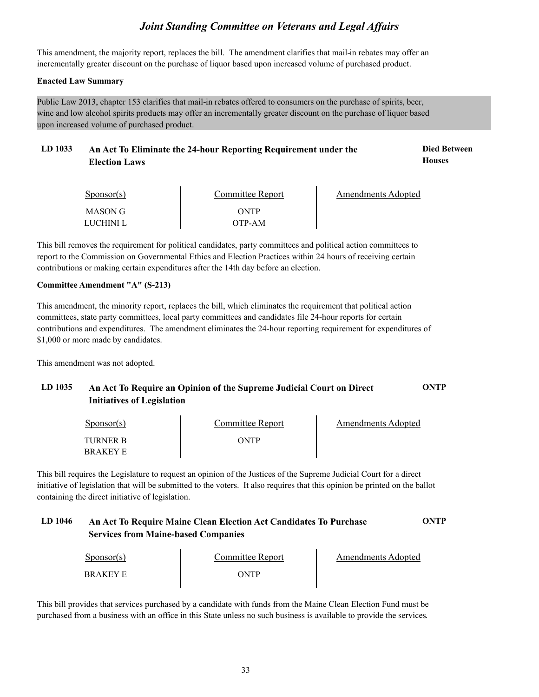This amendment, the majority report, replaces the bill. The amendment clarifies that mail-in rebates may offer an incrementally greater discount on the purchase of liquor based upon increased volume of purchased product.

#### **Enacted Law Summary**

Public Law 2013, chapter 153 clarifies that mail-in rebates offered to consumers on the purchase of spirits, beer, wine and low alcohol spirits products may offer an incrementally greater discount on the purchase of liquor based upon increased volume of purchased product.

### LD 1033 An Act To Eliminate the 24-hour Reporting Requirement under the **Died Between Election Laws**

**Houses**

| $S_{\text{PON}(\text{S})}$ | Committee Report | <b>Amendments Adopted</b> |
|----------------------------|------------------|---------------------------|
| MASON G<br>LUCHINI L       | ONTP<br>OTP-AM   |                           |

This bill removes the requirement for political candidates, party committees and political action committees to report to the Commission on Governmental Ethics and Election Practices within 24 hours of receiving certain contributions or making certain expenditures after the 14th day before an election.

#### **Committee Amendment "A" (S-213)**

This amendment, the minority report, replaces the bill, which eliminates the requirement that political action committees, state party committees, local party committees and candidates file 24-hour reports for certain contributions and expenditures. The amendment eliminates the 24-hour reporting requirement for expenditures of \$1,000 or more made by candidates.

This amendment was not adopted.

### **LD 1035 An Act To Require an Opinion of the Supreme Judicial Court on Direct ONTP Initiatives of Legislation**

| $S_{\text{DONSOT}}(s)$             | Committee Report | Amendments Adopted |  |
|------------------------------------|------------------|--------------------|--|
| <b>TURNER B</b><br><b>BRAKEY E</b> | ONTP             |                    |  |

This bill requires the Legislature to request an opinion of the Justices of the Supreme Judicial Court for a direct initiative of legislation that will be submitted to the voters. It also requires that this opinion be printed on the ballot containing the direct initiative of legislation.

### **LD 1046 An Act To Require Maine Clean Election Act Candidates To Purchase ONTP Services from Maine-based Companies**

| $S_{\text{DONSOT}}(s)$ | Committee Report | Amendments Adopted |
|------------------------|------------------|--------------------|
| BRAKEY E               | ONTP             |                    |

This bill provides that services purchased by a candidate with funds from the Maine Clean Election Fund must be purchased from a business with an office in this State unless no such business is available to provide the services.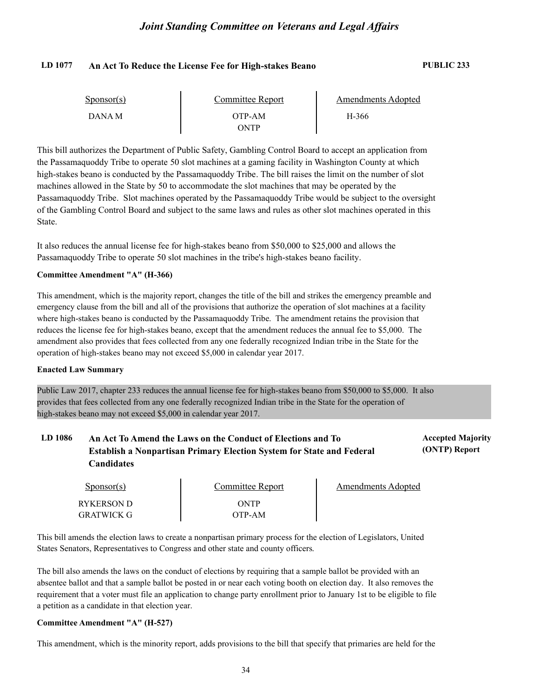#### **LD 1077 An Act To Reduce the License Fee for High-stakes Beano PUBLIC 233**

**(ONTP) Report**

| $S_{\text{ponsor}}(s)$ | Committee Report | Amendments Adopted |  |
|------------------------|------------------|--------------------|--|
| DANA M                 | OTP-AM           | H-366              |  |
|                        | <b>NTP</b>       |                    |  |

This bill authorizes the Department of Public Safety, Gambling Control Board to accept an application from the Passamaquoddy Tribe to operate 50 slot machines at a gaming facility in Washington County at which high-stakes beano is conducted by the Passamaquoddy Tribe. The bill raises the limit on the number of slot machines allowed in the State by 50 to accommodate the slot machines that may be operated by the Passamaquoddy Tribe. Slot machines operated by the Passamaquoddy Tribe would be subject to the oversight of the Gambling Control Board and subject to the same laws and rules as other slot machines operated in this State.

It also reduces the annual license fee for high-stakes beano from \$50,000 to \$25,000 and allows the Passamaquoddy Tribe to operate 50 slot machines in the tribe's high-stakes beano facility.

#### **Committee Amendment "A" (H-366)**

This amendment, which is the majority report, changes the title of the bill and strikes the emergency preamble and emergency clause from the bill and all of the provisions that authorize the operation of slot machines at a facility where high-stakes beano is conducted by the Passamaquoddy Tribe. The amendment retains the provision that reduces the license fee for high-stakes beano, except that the amendment reduces the annual fee to \$5,000. The amendment also provides that fees collected from any one federally recognized Indian tribe in the State for the operation of high-stakes beano may not exceed \$5,000 in calendar year 2017.

#### **Enacted Law Summary**

Public Law 2017, chapter 233 reduces the annual license fee for high-stakes beano from \$50,000 to \$5,000. It also provides that fees collected from any one federally recognized Indian tribe in the State for the operation of high-stakes beano may not exceed \$5,000 in calendar year 2017.

### LD 1086 An Act To Amend the Laws on the Conduct of Elections and To **Accepted Majority Establish a Nonpartisan Primary Election System for State and Federal Candidates**

| $S_{\text{ponsor}}(s)$ | Committee Report | Amendments Adopted |
|------------------------|------------------|--------------------|
| RYKERSON D             | <b>ONTP</b>      |                    |
| <b>GRATWICK G</b>      | OTP-AM           |                    |

This bill amends the election laws to create a nonpartisan primary process for the election of Legislators, United States Senators, Representatives to Congress and other state and county officers.

The bill also amends the laws on the conduct of elections by requiring that a sample ballot be provided with an absentee ballot and that a sample ballot be posted in or near each voting booth on election day. It also removes the requirement that a voter must file an application to change party enrollment prior to January 1st to be eligible to file a petition as a candidate in that election year.

#### **Committee Amendment "A" (H-527)**

This amendment, which is the minority report, adds provisions to the bill that specify that primaries are held for the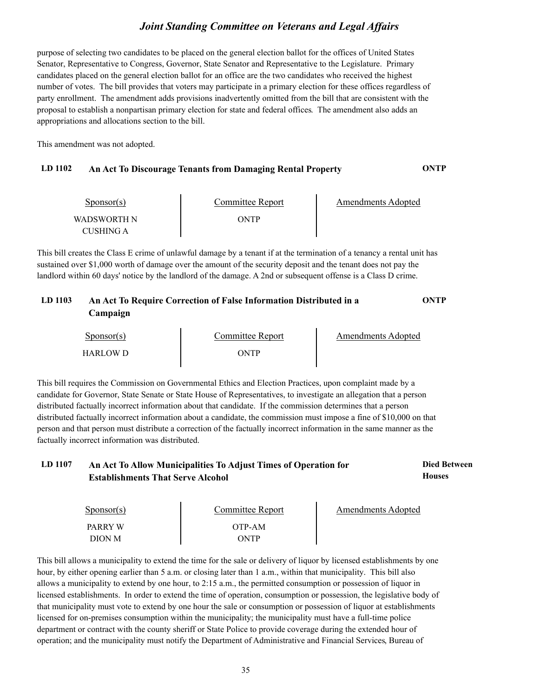purpose of selecting two candidates to be placed on the general election ballot for the offices of United States Senator, Representative to Congress, Governor, State Senator and Representative to the Legislature. Primary candidates placed on the general election ballot for an office are the two candidates who received the highest number of votes. The bill provides that voters may participate in a primary election for these offices regardless of party enrollment. The amendment adds provisions inadvertently omitted from the bill that are consistent with the proposal to establish a nonpartisan primary election for state and federal offices. The amendment also adds an appropriations and allocations section to the bill.

This amendment was not adopted.

#### **LD 1102 An Act To Discourage Tenants from Damaging Rental Property ONTP**

| $S_{\text{DODSOT}}(s)$   | Committee Report | Amendments Adopted |
|--------------------------|------------------|--------------------|
| WADSWORTH N<br>CUSHING A | )NTP             |                    |

This bill creates the Class E crime of unlawful damage by a tenant if at the termination of a tenancy a rental unit has sustained over \$1,000 worth of damage over the amount of the security deposit and the tenant does not pay the landlord within 60 days' notice by the landlord of the damage. A 2nd or subsequent offense is a Class D crime.

### **LD 1103 An Act To Require Correction of False Information Distributed in a ONTP Campaign**

| $S_{\text{DONSOT}}(s)$ | Committee Report | Amendments Adopted |
|------------------------|------------------|--------------------|
| HARLOW D               | WTP              |                    |

This bill requires the Commission on Governmental Ethics and Election Practices, upon complaint made by a candidate for Governor, State Senate or State House of Representatives, to investigate an allegation that a person distributed factually incorrect information about that candidate. If the commission determines that a person distributed factually incorrect information about a candidate, the commission must impose a fine of \$10,000 on that person and that person must distribute a correction of the factually incorrect information in the same manner as the factually incorrect information was distributed.

#### LD 1107 An Act To Allow Municipalities To Adjust Times of Operation for **Died Between Houses Establishments That Serve Alcohol**

| $S_{\text{ponsor}}(s)$ | Committee Report | Amendments Adopted |
|------------------------|------------------|--------------------|
| PARRY W<br>DION M      | OTP-AM<br>ONTP   |                    |

This bill allows a municipality to extend the time for the sale or delivery of liquor by licensed establishments by one hour, by either opening earlier than 5 a.m. or closing later than 1 a.m., within that municipality. This bill also allows a municipality to extend by one hour, to 2:15 a.m., the permitted consumption or possession of liquor in licensed establishments. In order to extend the time of operation, consumption or possession, the legislative body of that municipality must vote to extend by one hour the sale or consumption or possession of liquor at establishments licensed for on-premises consumption within the municipality; the municipality must have a full-time police department or contract with the county sheriff or State Police to provide coverage during the extended hour of operation; and the municipality must notify the Department of Administrative and Financial Services, Bureau of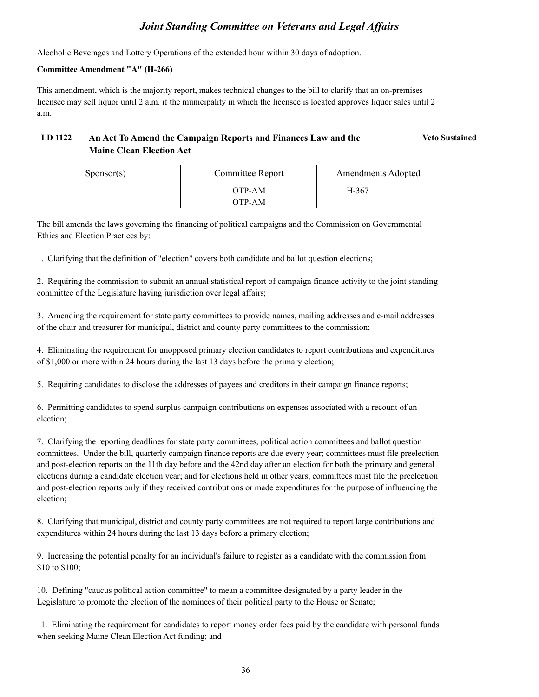Alcoholic Beverages and Lottery Operations of the extended hour within 30 days of adoption.

#### **Committee Amendment "A" (H-266)**

This amendment, which is the majority report, makes technical changes to the bill to clarify that an on-premises licensee may sell liquor until 2 a.m. if the municipality in which the licensee is located approves liquor sales until 2 a.m.

#### **LD 1122 An Act To Amend the Campaign Reports and Finances Law and the Veto Sustained Maine Clean Election Act**

Amendments Adopted<br>H-367

OTP-AM OTP-AM

Sponsor(s) Committee Report The Amendments Adopted

The bill amends the laws governing the financing of political campaigns and the Commission on Governmental Ethics and Election Practices by:

1. Clarifying that the definition of "election" covers both candidate and ballot question elections;

2. Requiring the commission to submit an annual statistical report of campaign finance activity to the joint standing committee of the Legislature having jurisdiction over legal affairs;

3. Amending the requirement for state party committees to provide names, mailing addresses and e-mail addresses of the chair and treasurer for municipal, district and county party committees to the commission;

4. Eliminating the requirement for unopposed primary election candidates to report contributions and expenditures of \$1,000 or more within 24 hours during the last 13 days before the primary election;

5. Requiring candidates to disclose the addresses of payees and creditors in their campaign finance reports;

6. Permitting candidates to spend surplus campaign contributions on expenses associated with a recount of an election;

7. Clarifying the reporting deadlines for state party committees, political action committees and ballot question committees. Under the bill, quarterly campaign finance reports are due every year; committees must file preelection and post-election reports on the 11th day before and the 42nd day after an election for both the primary and general elections during a candidate election year; and for elections held in other years, committees must file the preelection and post-election reports only if they received contributions or made expenditures for the purpose of influencing the election;

8. Clarifying that municipal, district and county party committees are not required to report large contributions and expenditures within 24 hours during the last 13 days before a primary election;

9. Increasing the potential penalty for an individual's failure to register as a candidate with the commission from \$10 to \$100;

10. Defining "caucus political action committee" to mean a committee designated by a party leader in the Legislature to promote the election of the nominees of their political party to the House or Senate;

11. Eliminating the requirement for candidates to report money order fees paid by the candidate with personal funds when seeking Maine Clean Election Act funding; and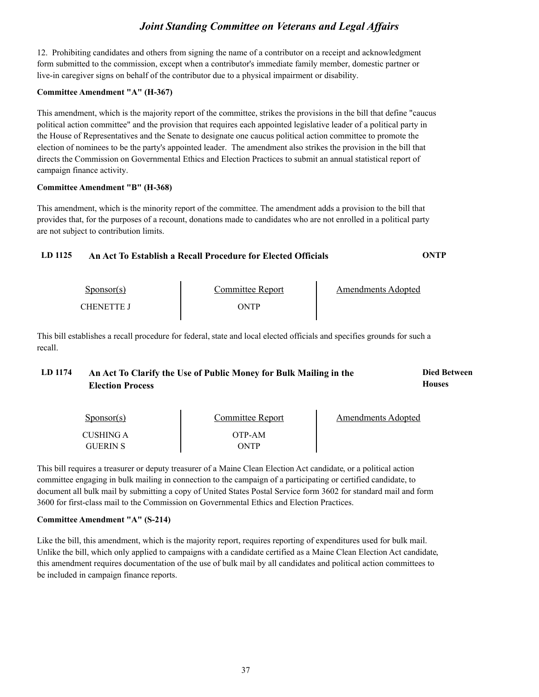12. Prohibiting candidates and others from signing the name of a contributor on a receipt and acknowledgment form submitted to the commission, except when a contributor's immediate family member, domestic partner or live-in caregiver signs on behalf of the contributor due to a physical impairment or disability.

#### **Committee Amendment "A" (H-367)**

This amendment, which is the majority report of the committee, strikes the provisions in the bill that define "caucus political action committee" and the provision that requires each appointed legislative leader of a political party in the House of Representatives and the Senate to designate one caucus political action committee to promote the election of nominees to be the party's appointed leader. The amendment also strikes the provision in the bill that directs the Commission on Governmental Ethics and Election Practices to submit an annual statistical report of campaign finance activity.

#### **Committee Amendment "B" (H-368)**

This amendment, which is the minority report of the committee. The amendment adds a provision to the bill that provides that, for the purposes of a recount, donations made to candidates who are not enrolled in a political party are not subject to contribution limits.

### **LD 1125 An Act To Establish a Recall Procedure for Elected Officials ONTP**

| $S_{\text{DODSOT}}(s)$ | Committee Report | Amendments Adopted |
|------------------------|------------------|--------------------|
| CHENETTE I             | )NTP             |                    |

This bill establishes a recall procedure for federal, state and local elected officials and specifies grounds for such a recall.

#### LD 1174 An Act To Clarify the Use of Public Money for Bulk Mailing in the **Died Between Houses Election Process**

| $S_{\text{PONSOT}}(s)$ | <b>Committee Report</b> | Amendments Adopted |
|------------------------|-------------------------|--------------------|
| CUSHING A              | OTP-AM                  |                    |
| <b>GUERIN S</b>        | NTP                     |                    |

This bill requires a treasurer or deputy treasurer of a Maine Clean Election Act candidate, or a political action committee engaging in bulk mailing in connection to the campaign of a participating or certified candidate, to document all bulk mail by submitting a copy of United States Postal Service form 3602 for standard mail and form 3600 for first-class mail to the Commission on Governmental Ethics and Election Practices.

#### **Committee Amendment "A" (S-214)**

Like the bill, this amendment, which is the majority report, requires reporting of expenditures used for bulk mail. Unlike the bill, which only applied to campaigns with a candidate certified as a Maine Clean Election Act candidate, this amendment requires documentation of the use of bulk mail by all candidates and political action comm be included in campaign finance reports.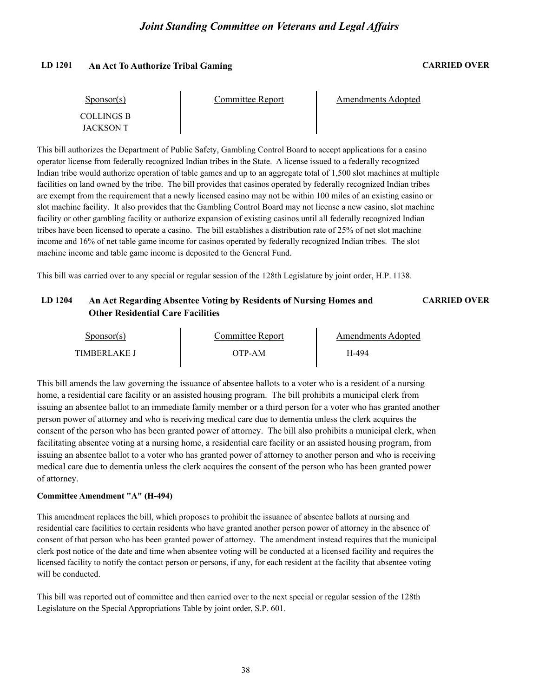#### **LD 1201 An Act To Authorize Tribal Gaming CARRIED OVER**

| $S_{\text{ponsor}(s)}$         | Committee Report | Amendments Adopted |  |
|--------------------------------|------------------|--------------------|--|
| <b>COLLINGS B</b><br>JACKSON T |                  |                    |  |

This bill authorizes the Department of Public Safety, Gambling Control Board to accept applications for a casino operator license from federally recognized Indian tribes in the State. A license issued to a federally recognized Indian tribe would authorize operation of table games and up to an aggregate total of 1,500 slot machines at multiple facilities on land owned by the tribe. The bill provides that casinos operated by federally recognized Indian tribes are exempt from the requirement that a newly licensed casino may not be within 100 miles of an existing casino or slot machine facility. It also provides that the Gambling Control Board may not license a new casino, slot machine facility or other gambling facility or authorize expansion of existing casinos until all federally recognized Indian tribes have been licensed to operate a casino. The bill establishes a distribution rate of 25% of net slot machine income and 16% of net table game income for casinos operated by federally recognized Indian tribes. The slot machine income and table game income is deposited to the General Fund.

This bill was carried over to any special or regular session of the 128th Legislature by joint order, H.P. 1138.

## **LD 1204 An Act Regarding Absentee Voting by Residents of Nursing Homes and CARRIED OVER Other Residential Care Facilities**

| Sponsor(s)          | Committee Report | Amendments Adopted |  |
|---------------------|------------------|--------------------|--|
| <b>TIMBERLAKE J</b> | )TP-AM           | Y-494              |  |

This bill amends the law governing the issuance of absentee ballots to a voter who is a resident of a nursing home, a residential care facility or an assisted housing program. The bill prohibits a municipal clerk from issuing an absentee ballot to an immediate family member or a third person for a voter who has granted another person power of attorney and who is receiving medical care due to dementia unless the clerk acquires the consent of the person who has been granted power of attorney. The bill also prohibits a municipal clerk, when facilitating absentee voting at a nursing home, a residential care facility or an assisted housing program, from issuing an absentee ballot to a voter who has granted power of attorney to another person and who is receiving medical care due to dementia unless the clerk acquires the consent of the person who has been granted power of attorney.

#### **Committee Amendment "A" (H-494)**

This amendment replaces the bill, which proposes to prohibit the issuance of absentee ballots at nursing and residential care facilities to certain residents who have granted another person power of attorney in the absence of consent of that person who has been granted power of attorney. The amendment instead requires that the municipal clerk post notice of the date and time when absentee voting will be conducted at a licensed facility and requires the licensed facility to notify the contact person or persons, if any, for each resident at the facility that absentee voting will be conducted.

This bill was reported out of committee and then carried over to the next special or regular session of the 128th Legislature on the Special Appropriations Table by joint order, S.P. 601.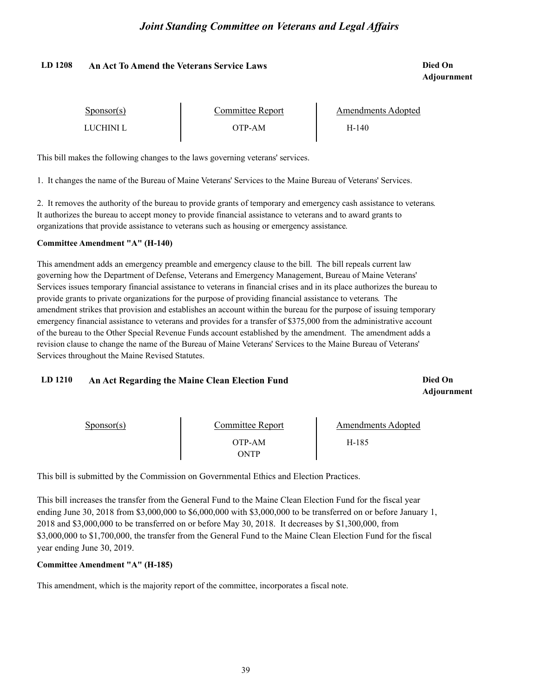#### **LD 1208 Died On An Act To Amend the Veterans Service Laws**

# **Adjournment**

| Sponsor(s) | Committee Report | Amendments Adopted |  |
|------------|------------------|--------------------|--|
| LUCHINI L  | )TP-AM           | H-140              |  |

This bill makes the following changes to the laws governing veterans' services.

1. It changes the name of the Bureau of Maine Veterans' Services to the Maine Bureau of Veterans' Services.

2. It removes the authority of the bureau to provide grants of temporary and emergency cash assistance to veterans. It authorizes the bureau to accept money to provide financial assistance to veterans and to award grants to organizations that provide assistance to veterans such as housing or emergency assistance.

#### **Committee Amendment "A" (H-140)**

This amendment adds an emergency preamble and emergency clause to the bill. The bill repeals current law governing how the Department of Defense, Veterans and Emergency Management, Bureau of Maine Veterans' Services issues temporary financial assistance to veterans in financial crises and in its place authorizes the bureau to provide grants to private organizations for the purpose of providing financial assistance to veterans. The amendment strikes that provision and establishes an account within the bureau for the purpose of issuing temporary emergency financial assistance to veterans and provides for a transfer of \$375,000 from the administrative account of the bureau to the Other Special Revenue Funds account established by the amendment. The amendment adds a revision clause to change the name of the Bureau of Maine Veterans' Services to the Maine Bureau of Veterans' Services throughout the Maine Revised Statutes.

#### **LD 1210 Died On An Act Regarding the Maine Clean Election Fund**

**Adjournment**

| $S_{\text{DONSOT}}(s)$ | Committee Report | <b>Amendments Adopted</b> |
|------------------------|------------------|---------------------------|
|                        | OTP-AM           | H-185                     |
|                        | <b>NTP</b>       |                           |

This bill is submitted by the Commission on Governmental Ethics and Election Practices.

This bill increases the transfer from the General Fund to the Maine Clean Election Fund for the fiscal year ending June 30, 2018 from \$3,000,000 to \$6,000,000 with \$3,000,000 to be transferred on or before January 1, 2018 and \$3,000,000 to be transferred on or before May 30, 2018. It decreases by \$1,300,000, from \$3,000,000 to \$1,700,000, the transfer from the General Fund to the Maine Clean Election Fund for the fiscal year ending June 30, 2019.

#### **Committee Amendment "A" (H-185)**

This amendment, which is the majority report of the committee, incorporates a fiscal note.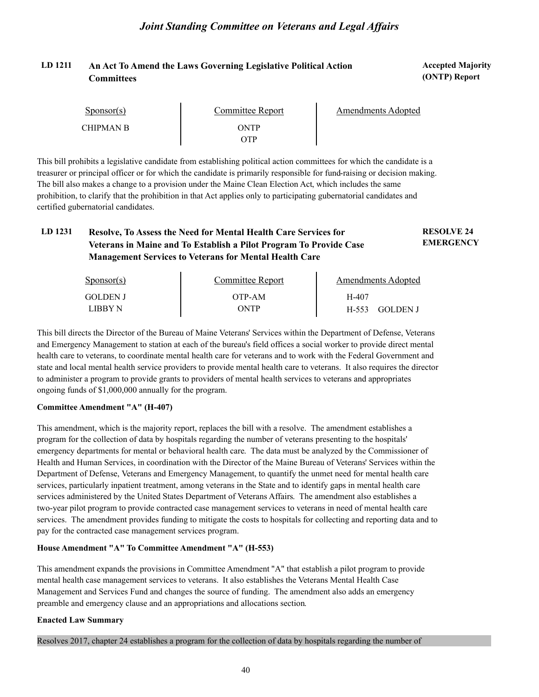## LD 1211 An Act To Amend the Laws Governing Legislative Political Action **Accepted Majority Committees**

**(ONTP) Report**

| Sponsor(s)       | Committee Report  | Amendments Adopted |
|------------------|-------------------|--------------------|
| <b>CHIPMAN B</b> | <b>NTP</b><br>YTP |                    |

This bill prohibits a legislative candidate from establishing political action committees for which the candidate is a treasurer or principal officer or for which the candidate is primarily responsible for fund-raising or decision making. The bill also makes a change to a provision under the Maine Clean Election Act, which includes the same prohibition, to clarify that the prohibition in that Act applies only to participating gubernatorial candidates and certified gubernatorial candidates.

#### **LD 1231 RESOLVE 24 Resolve, To Assess the Need for Mental Health Care Services for EMERGENCY Veterans in Maine and To Establish a Pilot Program To Provide Case Management Services to Veterans for Mental Health Care**

| $S_{\text{DONSOT}}(s)$ | Committee Report | Amendments Adopted |  |
|------------------------|------------------|--------------------|--|
| <b>GOLDEN J</b>        | OTP-AM           | H-407              |  |
| LIBBY N                | ONTP             | H-553<br>GOLDEN J  |  |

This bill directs the Director of the Bureau of Maine Veterans' Services within the Department of Defense, Veterans and Emergency Management to station at each of the bureau's field offices a social worker to provide direct mental health care to veterans, to coordinate mental health care for veterans and to work with the Federal Government and state and local mental health service providers to provide mental health care to veterans. It also requires the director to administer a program to provide grants to providers of mental health services to veterans and appropriates ongoing funds of \$1,000,000 annually for the program.

#### **Committee Amendment "A" (H-407)**

This amendment, which is the majority report, replaces the bill with a resolve. The amendment establishes a program for the collection of data by hospitals regarding the number of veterans presenting to the hospitals' emergency departments for mental or behavioral health care. The data must be analyzed by the Commissioner of Health and Human Services, in coordination with the Director of the Maine Bureau of Veterans' Services within the Department of Defense, Veterans and Emergency Management, to quantify the unmet need for mental health care services, particularly inpatient treatment, among veterans in the State and to identify gaps in mental health care services administered by the United States Department of Veterans Affairs. The amendment also establishes a two-year pilot program to provide contracted case management services to veterans in need of mental health care services. The amendment provides funding to mitigate the costs to hospitals for collecting and reporting data and to pay for the contracted case management services program.

#### **House Amendment "A" To Committee Amendment "A" (H-553)**

This amendment expands the provisions in Committee Amendment "A" that establish a pilot program to provide mental health case management services to veterans. It also establishes the Veterans Mental Health Case Management and Services Fund and changes the source of funding. The amendment also adds an emergency preamble and emergency clause and an appropriations and allocations section.

#### **Enacted Law Summary**

Resolves 2017, chapter 24 establishes a program for the collection of data by hospitals regarding the number of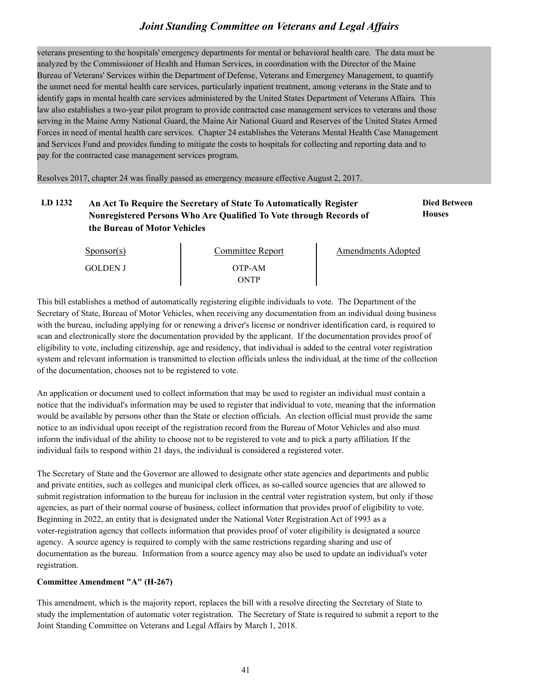veterans presenting to the hospitals' emergency departments for mental or behavioral health care. The data must be analyzed by the Commissioner of Health and Human Services, in coordination with the Director of the Maine Bureau of Veterans' Services within the Department of Defense, Veterans and Emergency Management, to quantify the unmet need for mental health care services, particularly inpatient treatment, among veterans in the State and to identify gaps in mental health care services administered by the United States Department of Veterans Affairs. This law also establishes a two-year pilot program to provide contracted case management services to veterans and those serving in the Maine Army National Guard, the Maine Air National Guard and Reserves of the United States Armed Forces in need of mental health care services. Chapter 24 establishes the Veterans Mental Health Case Management and Services Fund and provides funding to mitigate the costs to hospitals for collecting and reporting data and to pay for the contracted case management services program.

Resolves 2017, chapter 24 was finally passed as emergency measure effective August 2, 2017.

## LD 1232 An Act To Require the Secretary of State To Automatically Register **Died Between Nonregistered Persons Who Are Qualified To Vote through Records of the Bureau of Motor Vehicles**

**Houses**

| $S_{\text{ponsor}}(s)$ | Committee Report | Amendments Adopted |
|------------------------|------------------|--------------------|
| <b>GOLDEN J</b>        | OTP-AM<br>ONTP   |                    |

This bill establishes a method of automatically registering eligible individuals to vote. The Department of the Secretary of State, Bureau of Motor Vehicles, when receiving any documentation from an individual doing business with the bureau, including applying for or renewing a driver's license or nondriver identification card, is required to scan and electronically store the documentation provided by the applicant. If the documentation provides proof of eligibility to vote, including citizenship, age and residency, that individual is added to the central voter registration system and relevant information is transmitted to election officials unless the individual, at the time of the collection of the documentation, chooses not to be registered to vote.

An application or document used to collect information that may be used to register an individual must contain a notice that the individual's information may be used to register that individual to vote, meaning that the information would be available by persons other than the State or election officials. An election official must provide the same notice to an individual upon receipt of the registration record from the Bureau of Motor Vehicles and also must inform the individual of the ability to choose not to be registered to vote and to pick a party affiliation. If the individual fails to respond within 21 days, the individual is considered a registered voter.

The Secretary of State and the Governor are allowed to designate other state agencies and departments and public and private entities, such as colleges and municipal clerk offices, as so-called source agencies that are allowed to submit registration information to the bureau for inclusion in the central voter registration system, but only if those agencies, as part of their normal course of business, collect information that provides proof of eligibility to vote. Beginning in 2022, an entity that is designated under the National Voter Registration Act of 1993 as a voter-registration agency that collects information that provides proof of voter eligibility is designated a source agency. A source agency is required to comply with the same restrictions regarding sharing and use of documentation as the bureau. Information from a source agency may also be used to update an individual's voter registration.

#### **Committee Amendment "A" (H-267)**

This amendment, which is the majority report, replaces the bill with a resolve directing the Secretary of State to study the implementation of automatic voter registration. The Secretary of State is required to submit a report to the Joint Standing Committee on Veterans and Legal Affairs by March 1, 2018.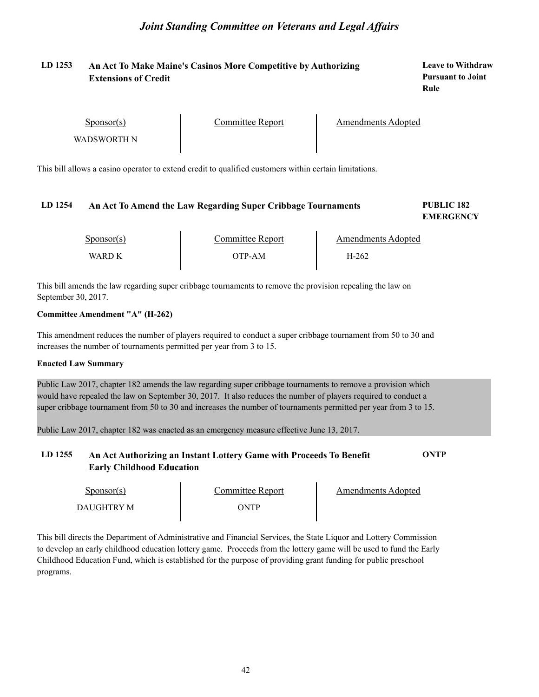## **LD 1253 Leave to Withdraw An Act To Make Maine's Casinos More Competitive by Authorizing Extensions of Credit**

**Pursuant to Joint Rule**

Sponsor(s)

Sponsor(s) Committee Report<br>WADSWORTH N

Amendments Adopted

This bill allows a casino operator to extend credit to qualified customers within certain limitations.

#### **LD 1254 PUBLIC 182 An Act To Amend the Law Regarding Super Cribbage Tournaments**

**EMERGENCY**

| $S_{\text{ponsor}}(s)$ | Committee Report | Amendments Adopted |  |
|------------------------|------------------|--------------------|--|
| WARD K                 | OTP-AM           | H-262              |  |

This bill amends the law regarding super cribbage tournaments to remove the provision repealing the law on September 30, 2017.

#### **Committee Amendment "A" (H-262)**

This amendment reduces the number of players required to conduct a super cribbage tournament from 50 to 30 and increases the number of tournaments permitted per year from 3 to 15.

#### **Enacted Law Summary**

Public Law 2017, chapter 182 amends the law regarding super cribbage tournaments to remove a provision which would have repealed the law on September 30, 2017. It also reduces the number of players required to conduct a super cribbage tournament from 50 to 30 and increases the number of tournaments permitted per year from 3 to 15.

Public Law 2017, chapter 182 was enacted as an emergency measure effective June 13, 2017.

## **LD 1255 An Act Authorizing an Instant Lottery Game with Proceeds To Benefit ONTP Early Childhood Education**

| Sponsor(s) | Committee Report | Amendments Adopted |
|------------|------------------|--------------------|
| DAUGHTRY M | ONTP             |                    |

This bill directs the Department of Administrative and Financial Services, the State Liquor and Lottery Commission to develop an early childhood education lottery game. Proceeds from the lottery game will be used to fund the Early Childhood Education Fund, which is established for the purpose of providing grant funding for public preschool programs.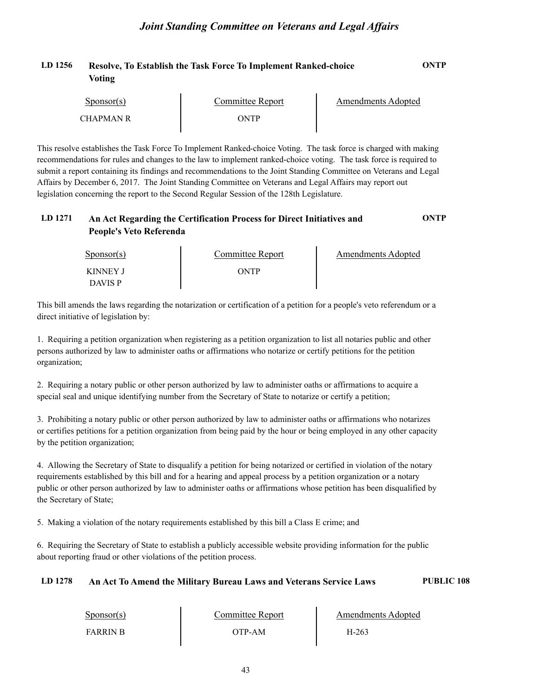| LD 1256 | Resolve, To Establish the Task Force To Implement Ranked-choice | <b>ONTP</b> |  |
|---------|-----------------------------------------------------------------|-------------|--|
|         | <b>Voting</b>                                                   |             |  |

| Sponsor(s) | Committee Report | Amendments Adopted |
|------------|------------------|--------------------|
| CHAPMAN R  | <b>NTP</b>       |                    |

This resolve establishes the Task Force To Implement Ranked-choice Voting. The task force is charged with making recommendations for rules and changes to the law to implement ranked-choice voting. The task force is required to submit a report containing its findings and recommendations to the Joint Standing Committee on Veterans and Legal Affairs by December 6, 2017. The Joint Standing Committee on Veterans and Legal Affairs may report out legislation concerning the report to the Second Regular Session of the 128th Legislature.

## **LD 1271 An Act Regarding the Certification Process for Direct Initiatives and ONTP People's Veto Referenda**

| $S_{\text{DONSOT}}(s)$     | <b>Committee Report</b> | Amendments Adopted |
|----------------------------|-------------------------|--------------------|
| KINNEY J<br><b>DAVIS P</b> | ONTP                    |                    |

This bill amends the laws regarding the notarization or certification of a petition for a people's veto referendum or a direct initiative of legislation by:

1. Requiring a petition organization when registering as a petition organization to list all notaries public and other persons authorized by law to administer oaths or affirmations who notarize or certify petitions for the petition organization;

2. Requiring a notary public or other person authorized by law to administer oaths or affirmations to acquire a special seal and unique identifying number from the Secretary of State to notarize or certify a petition;

3. Prohibiting a notary public or other person authorized by law to administer oaths or affirmations who notarizes or certifies petitions for a petition organization from being paid by the hour or being employed in any other capacity by the petition organization;

4. Allowing the Secretary of State to disqualify a petition for being notarized or certified in violation of the notary requirements established by this bill and for a hearing and appeal process by a petition organization or a notary public or other person authorized by law to administer oaths or affirmations whose petition has been disqualified by the Secretary of State;

5. Making a violation of the notary requirements established by this bill a Class E crime; and

6. Requiring the Secretary of State to establish a publicly accessible website providing information for the public about reporting fraud or other violations of the petition process.

## **LD 1278 An Act To Amend the Military Bureau Laws and Veterans Service Laws PUBLIC 108**

| $S_{\text{PONSOT}}(s)$ | Committee Report | Amendments Adopted |  |
|------------------------|------------------|--------------------|--|
| <b>FARRIN B</b>        | OTP-AM           | H-263              |  |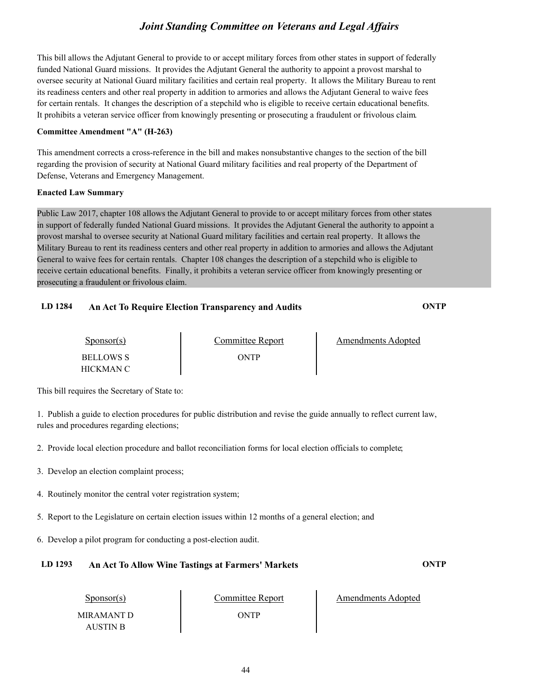This bill allows the Adjutant General to provide to or accept military forces from other states in support of federally funded National Guard missions. It provides the Adjutant General the authority to appoint a provost marshal to oversee security at National Guard military facilities and certain real property. It allows the Military Bureau to rent its readiness centers and other real property in addition to armories and allows the Adjutant General to waive fees for certain rentals. It changes the description of a stepchild who is eligible to receive certain educational benefits. It prohibits a veteran service officer from knowingly presenting or prosecuting a fraudulent or frivolous claim.

#### **Committee Amendment "A" (H-263)**

This amendment corrects a cross-reference in the bill and makes nonsubstantive changes to the section of the bill regarding the provision of security at National Guard military facilities and real property of the Department of Defense, Veterans and Emergency Management.

#### **Enacted Law Summary**

Public Law 2017, chapter 108 allows the Adjutant General to provide to or accept military forces from other states in support of federally funded National Guard missions. It provides the Adjutant General the authority to appoint a provost marshal to oversee security at National Guard military facilities and certain real property. It allows the Military Bureau to rent its readiness centers and other real property in addition to armories and allows the Adjutant General to waive fees for certain rentals. Chapter 108 changes the description of a stepchild who is eligible to receive certain educational benefits. Finally, it prohibits a veteran service officer from knowingly presenting or prosecuting a fraudulent or frivolous claim.

## **LD 1284 An Act To Require Election Transparency and Audits ONTP**

| $S_{\text{DON}(\text{S})}$ | Comm |
|----------------------------|------|
| <b>BELLOWS S</b>           |      |
| HICKMAN C                  |      |

BELLOWS S ONTP

Amendments Adopted

This bill requires the Secretary of State to:

1. Publish a guide to election procedures for public distribution and revise the guide annually to reflect current law, rules and procedures regarding elections;

2. Provide local election procedure and ballot reconciliation forms for local election officials to complete;

- 3. Develop an election complaint process;
- 4. Routinely monitor the central voter registration system;
- 5. Report to the Legislature on certain election issues within 12 months of a general election; and
- 6. Develop a pilot program for conducting a post-election audit.

## **LD 1293 An Act To Allow Wine Tastings at Farmers' Markets ONTP**

Sponsor(s) MIRAMANT D AUSTIN B

ONTP

Committee Report Amendments Adopted

44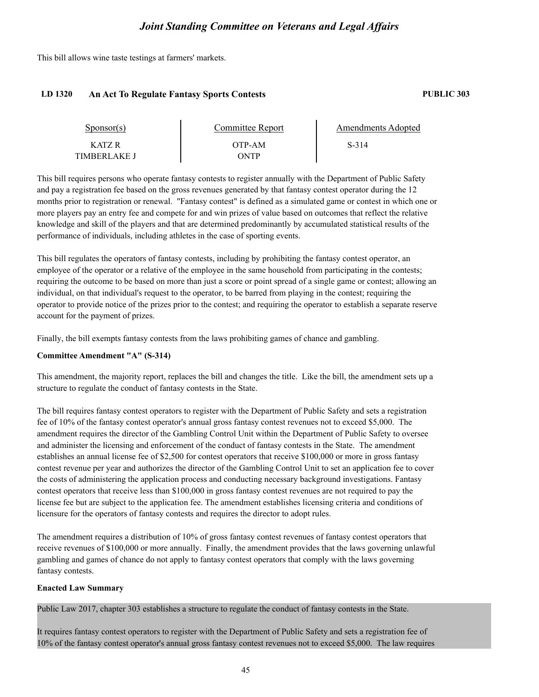This bill allows wine taste testings at farmers' markets.

#### **LD 1320 An Act To Regulate Fantasy Sports Contests PUBLIC 303**

| Sponsor(s)   | Committee Report | Amendments Adopted |  |
|--------------|------------------|--------------------|--|
| KATZ R       | OTP-AM           | S-314              |  |
| TIMBERLAKE I | ONTP             |                    |  |

This bill requires persons who operate fantasy contests to register annually with the Department of Public Safety and pay a registration fee based on the gross revenues generated by that fantasy contest operator during the 12 months prior to registration or renewal. "Fantasy contest" is defined as a simulated game or contest in which one or more players pay an entry fee and compete for and win prizes of value based on outcomes that reflect the relative knowledge and skill of the players and that are determined predominantly by accumulated statistical results of the performance of individuals, including athletes in the case of sporting events.

This bill regulates the operators of fantasy contests, including by prohibiting the fantasy contest operator, an employee of the operator or a relative of the employee in the same household from participating in the contests; requiring the outcome to be based on more than just a score or point spread of a single game or contest; allowing an individual, on that individual's request to the operator, to be barred from playing in the contest; requiring the operator to provide notice of the prizes prior to the contest; and requiring the operator to establish a separate reserve account for the payment of prizes.

Finally, the bill exempts fantasy contests from the laws prohibiting games of chance and gambling.

#### **Committee Amendment "A" (S-314)**

This amendment, the majority report, replaces the bill and changes the title. Like the bill, the amendment sets up a structure to regulate the conduct of fantasy contests in the State.

The bill requires fantasy contest operators to register with the Department of Public Safety and sets a registration fee of 10% of the fantasy contest operator's annual gross fantasy contest revenues not to exceed \$5,000. The amendment requires the director of the Gambling Control Unit within the Department of Public Safety to oversee and administer the licensing and enforcement of the conduct of fantasy contests in the State. The amendment establishes an annual license fee of \$2,500 for contest operators that receive \$100,000 or more in gross fantasy contest revenue per year and authorizes the director of the Gambling Control Unit to set an application fee to cover the costs of administering the application process and conducting necessary background investigations. Fantasy contest operators that receive less than \$100,000 in gross fantasy contest revenues are not required to pay the license fee but are subject to the application fee. The amendment establishes licensing criteria and conditions of licensure for the operators of fantasy contests and requires the director to adopt rules.

The amendment requires a distribution of 10% of gross fantasy contest revenues of fantasy contest operators that receive revenues of \$100,000 or more annually. Finally, the amendment provides that the laws governing unlawful gambling and games of chance do not apply to fantasy contest operators that comply with the laws governing fantasy contests.

#### **Enacted Law Summary**

Public Law 2017, chapter 303 establishes a structure to regulate the conduct of fantasy contests in the State.

It requires fantasy contest operators to register with the Department of Public Safety and sets a registration fee of 10% of the fantasy contest operator's annual gross fantasy contest revenues not to exceed \$5,000. The law requires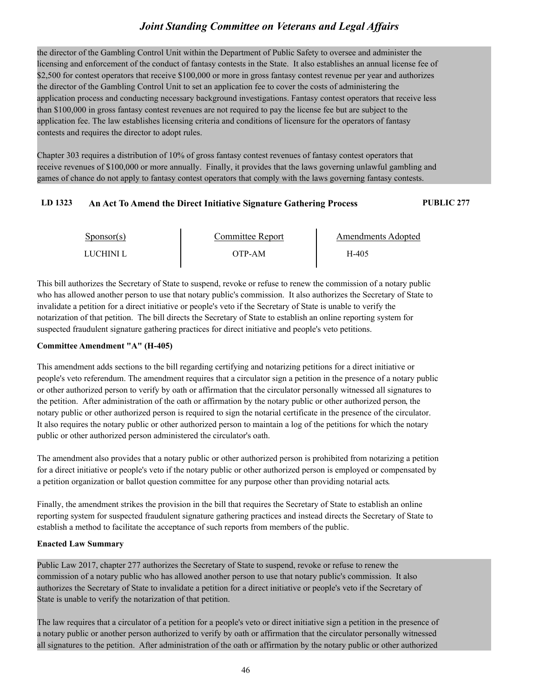the director of the Gambling Control Unit within the Department of Public Safety to oversee and administer the licensing and enforcement of the conduct of fantasy contests in the State. It also establishes an annual license fee of \$2,500 for contest operators that receive \$100,000 or more in gross fantasy contest revenue per year and authorizes the director of the Gambling Control Unit to set an application fee to cover the costs of administering the application process and conducting necessary background investigations. Fantasy contest operators that receive less than \$100,000 in gross fantasy contest revenues are not required to pay the license fee but are subject to the application fee. The law establishes licensing criteria and conditions of licensure for the operators of fantasy contests and requires the director to adopt rules.

Chapter 303 requires a distribution of 10% of gross fantasy contest revenues of fantasy contest operators that receive revenues of \$100,000 or more annually. Finally, it provides that the laws governing unlawful gambling and games of chance do not apply to fantasy contest operators that comply with the laws governing fantasy contests.

### **LD 1323 An Act To Amend the Direct Initiative Signature Gathering Process PUBLIC 277**

| $S_{\text{ponsor}}(s)$ | Committee Report | Amendments Adopted |  |
|------------------------|------------------|--------------------|--|
| LUCHINI L              | OTP-AM           | H-405              |  |

This bill authorizes the Secretary of State to suspend, revoke or refuse to renew the commission of a notary public who has allowed another person to use that notary public's commission. It also authorizes the Secretary of State to invalidate a petition for a direct initiative or people's veto if the Secretary of State is unable to verify the notarization of that petition. The bill directs the Secretary of State to establish an online reporting system for suspected fraudulent signature gathering practices for direct initiative and people's veto petitions.

#### **Committee Amendment "A" (H-405)**

This amendment adds sections to the bill regarding certifying and notarizing petitions for a direct initiative or people's veto referendum. The amendment requires that a circulator sign a petition in the presence of a notary public or other authorized person to verify by oath or affirmation that the circulator personally witnessed all signatures to the petition. After administration of the oath or affirmation by the notary public or other authorized person, the notary public or other authorized person is required to sign the notarial certificate in the presence of the circulator. It also requires the notary public or other authorized person to maintain a log of the petitions for which the notary public or other authorized person administered the circulator's oath.

The amendment also provides that a notary public or other authorized person is prohibited from notarizing a petition for a direct initiative or people's veto if the notary public or other authorized person is employed or compensated by a petition organization or ballot question committee for any purpose other than providing notarial acts.

Finally, the amendment strikes the provision in the bill that requires the Secretary of State to establish an online reporting system for suspected fraudulent signature gathering practices and instead directs the Secretary of State to establish a method to facilitate the acceptance of such reports from members of the public.

#### **Enacted Law Summary**

Public Law 2017, chapter 277 authorizes the Secretary of State to suspend, revoke or refuse to renew the commission of a notary public who has allowed another person to use that notary public's commission. It also authorizes the Secretary of State to invalidate a petition for a direct initiative or people's veto if the Secretary of State is unable to verify the notarization of that petition.

The law requires that a circulator of a petition for a people's veto or direct initiative sign a petition in the presence of a notary public or another person authorized to verify by oath or affirmation that the circulator personally witnessed all signatures to the petition. After administration of the oath or affirmation by the notary public or other authorized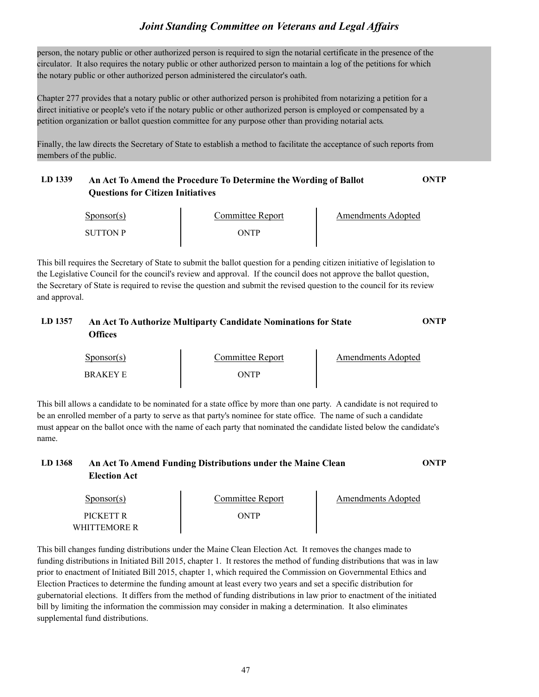person, the notary public or other authorized person is required to sign the notarial certificate in the presence of the circulator. It also requires the notary public or other authorized person to maintain a log of the petitions for which the notary public or other authorized person administered the circulator's oath.

Chapter 277 provides that a notary public or other authorized person is prohibited from notarizing a petition for a direct initiative or people's veto if the notary public or other authorized person is employed or compensated by a petition organization or ballot question committee for any purpose other than providing notarial acts.

Finally, the law directs the Secretary of State to establish a method to facilitate the acceptance of such reports from members of the public.

## **LD 1339 An Act To Amend the Procedure To Determine the Wording of Ballot ONTP Questions for Citizen Initiatives**

| $S_{\text{ponsor}}(s)$ | Committee Report | Amendments Adopted |  |
|------------------------|------------------|--------------------|--|
| SUTTON P               | <b>NTP</b>       |                    |  |

 $\mathbf{r}$ 

This bill requires the Secretary of State to submit the ballot question for a pending citizen initiative of legislation to the Legislative Council for the council's review and approval. If the council does not approve the ballot question, the Secretary of State is required to revise the question and submit the revised question to the council for its review and approval.

## **LD 1357 An Act To Authorize Multiparty Candidate Nominations for State ONTP Offices**

| $S_{\text{DONSOT}}(s)$ | Committee Report | Amendments Adopted |
|------------------------|------------------|--------------------|
| <b>BRAKEY E</b>        | <b>)NTP</b>      |                    |

This bill allows a candidate to be nominated for a state office by more than one party. A candidate is not required to be an enrolled member of a party to serve as that party's nominee for state office. The name of such a candidate must appear on the ballot once with the name of each party that nominated the candidate listed below the candidate's name.

## **LD 1368 An Act To Amend Funding Distributions under the Maine Clean ONTP Election Act**

| Sponsor(s)   | Committee Report | Amendments Adopted |  |
|--------------|------------------|--------------------|--|
| PICKETT R    | )NTP             |                    |  |
| WHITTEMORE R |                  |                    |  |

This bill changes funding distributions under the Maine Clean Election Act. It removes the changes made to funding distributions in Initiated Bill 2015, chapter 1. It restores the method of funding distributions that was in law prior to enactment of Initiated Bill 2015, chapter 1, which required the Commission on Governmental Ethics and Election Practices to determine the funding amount at least every two years and set a specific distribution for gubernatorial elections. It differs from the method of funding distributions in law prior to enactment of the initiated bill by limiting the information the commission may consider in making a determination. It also eliminates supplemental fund distributions.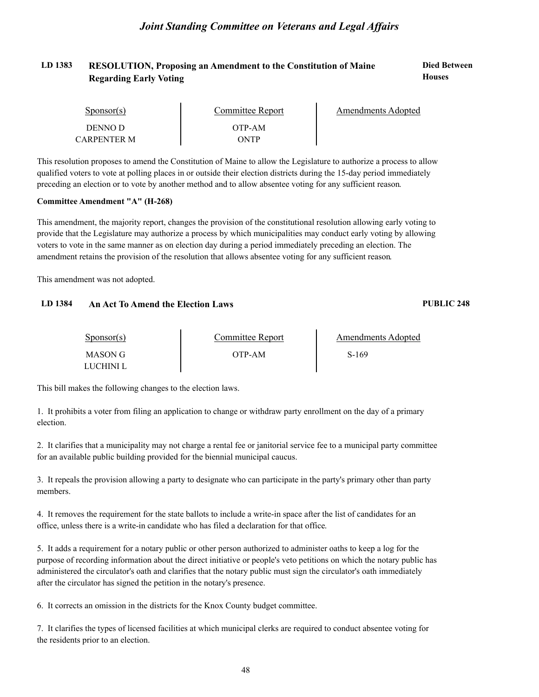#### LD 1383 RESOLUTION, Proposing an Amendment to the Constitution of Maine **Died Between Houses Regarding Early Voting**

| $S_{\text{POD}S}$ (s) | Committee Report | Amendments Adopted |
|-----------------------|------------------|--------------------|
| DENNO D               | OTP-AM           |                    |
| CARPENTER M           | ONTP             |                    |

This resolution proposes to amend the Constitution of Maine to allow the Legislature to authorize a process to allow qualified voters to vote at polling places in or outside their election districts during the 15-day period immediately preceding an election or to vote by another method and to allow absentee voting for any sufficient reason.

#### **Committee Amendment "A" (H-268)**

This amendment, the majority report, changes the provision of the constitutional resolution allowing early voting to provide that the Legislature may authorize a process by which municipalities may conduct early voting by allowing voters to vote in the same manner as on election day during a period immediately preceding an election. The amendment retains the provision of the resolution that allows absentee voting for any sufficient reason.

This amendment was not adopted.

#### **LD 1384 An Act To Amend the Election Laws PUBLIC 248**

#### Sponsor(s) MASON G OTP-AM LUCHINI L Committee Report The Amendments Adopted S-169

This bill makes the following changes to the election laws.

1. It prohibits a voter from filing an application to change or withdraw party enrollment on the day of a primary election.

2. It clarifies that a municipality may not charge a rental fee or janitorial service fee to a municipal party committee for an available public building provided for the biennial municipal caucus.

3. It repeals the provision allowing a party to designate who can participate in the party's primary other than party members.

4. It removes the requirement for the state ballots to include a write-in space after the list of candidates for an office, unless there is a write-in candidate who has filed a declaration for that office.

5. It adds a requirement for a notary public or other person authorized to administer oaths to keep a log for the purpose of recording information about the direct initiative or people's veto petitions on which the notary public has administered the circulator's oath and clarifies that the notary public must sign the circulator's oath immediately after the circulator has signed the petition in the notary's presence.

6. It corrects an omission in the districts for the Knox County budget committee.

7. It clarifies the types of licensed facilities at which municipal clerks are required to conduct absentee voting for the residents prior to an election.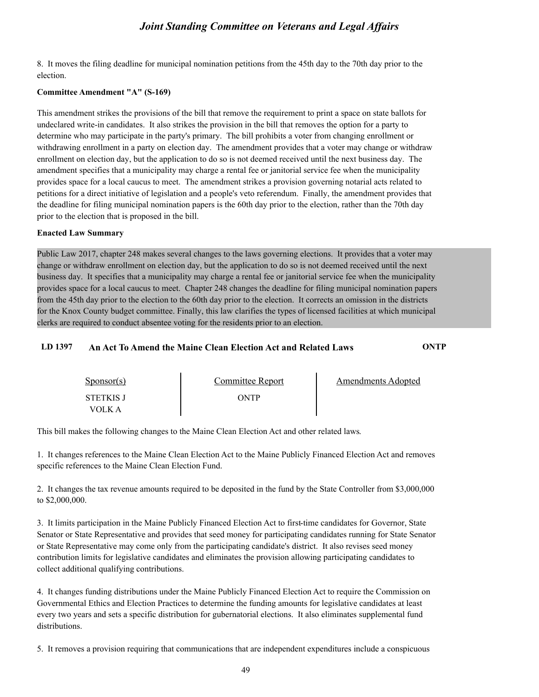8. It moves the filing deadline for municipal nomination petitions from the 45th day to the 70th day prior to the election.

#### **Committee Amendment "A" (S-169)**

This amendment strikes the provisions of the bill that remove the requirement to print a space on state ballots for undeclared write-in candidates. It also strikes the provision in the bill that removes the option for a party to determine who may participate in the party's primary. The bill prohibits a voter from changing enrollment or withdrawing enrollment in a party on election day. The amendment provides that a voter may change or withdraw enrollment on election day, but the application to do so is not deemed received until the next business day. The amendment specifies that a municipality may charge a rental fee or janitorial service fee when the municipality provides space for a local caucus to meet. The amendment strikes a provision governing notarial acts related to petitions for a direct initiative of legislation and a people's veto referendum. Finally, the amendment provides that the deadline for filing municipal nomination papers is the 60th day prior to the election, rather than the 70th day prior to the election that is proposed in the bill.

#### **Enacted Law Summary**

Public Law 2017, chapter 248 makes several changes to the laws governing elections. It provides that a voter may change or withdraw enrollment on election day, but the application to do so is not deemed received until the next business day. It specifies that a municipality may charge a rental fee or janitorial service fee when the municipality provides space for a local caucus to meet. Chapter 248 changes the deadline for filing municipal nomination papers from the 45th day prior to the election to the 60th day prior to the election. It corrects an omission in the districts for the Knox County budget committee. Finally, this law clarifies the types of licensed facilities at which municipal clerks are required to conduct absentee voting for the residents prior to an election.

#### **LD 1397 An Act To Amend the Maine Clean Election Act and Related Laws ONTP**

| Sponsor(s)                 | Committee Report | Amendments Adopted |
|----------------------------|------------------|--------------------|
| <b>STETKIS J</b><br>VOLK A | ONTP             |                    |

This bill makes the following changes to the Maine Clean Election Act and other related laws.

1. It changes references to the Maine Clean Election Act to the Maine Publicly Financed Election Act and removes specific references to the Maine Clean Election Fund.

2. It changes the tax revenue amounts required to be deposited in the fund by the State Controller from \$3,000,000 to \$2,000,000.

3. It limits participation in the Maine Publicly Financed Election Act to first-time candidates for Governor, State Senator or State Representative and provides that seed money for participating candidates running for State Senator or State Representative may come only from the participating candidate's district. It also revises seed money contribution limits for legislative candidates and eliminates the provision allowing participating candidates to collect additional qualifying contributions.

4. It changes funding distributions under the Maine Publicly Financed Election Act to require the Commission on Governmental Ethics and Election Practices to determine the funding amounts for legislative candidates at least every two years and sets a specific distribution for gubernatorial elections. It also eliminates supplemental fund distributions.

5. It removes a provision requiring that communications that are independent expenditures include a conspicuous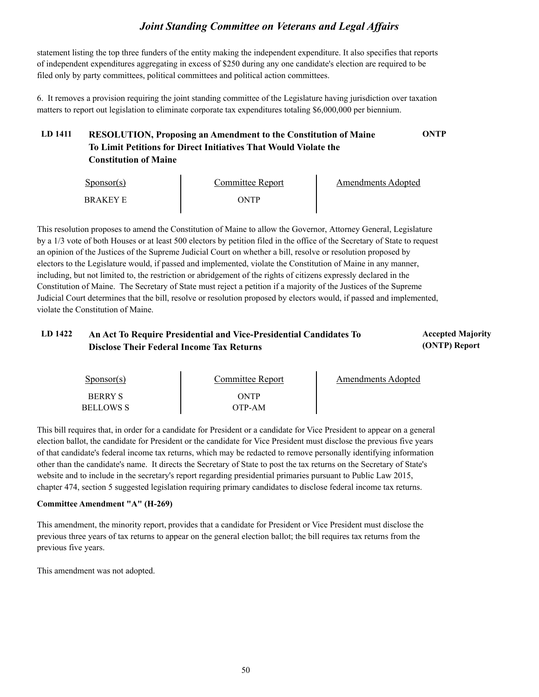statement listing the top three funders of the entity making the independent expenditure. It also specifies that reports of independent expenditures aggregating in excess of \$250 during any one candidate's election are required to be filed only by party committees, political committees and political action committees.

6. It removes a provision requiring the joint standing committee of the Legislature having jurisdiction over taxation matters to report out legislation to eliminate corporate tax expenditures totaling \$6,000,000 per biennium.

## **LD 1411 RESOLUTION, Proposing an Amendment to the Constitution of Maine ONTP To Limit Petitions for Direct Initiatives That Would Violate the Constitution of Maine**

| $S_{\text{PON}(\text{s})}$ | Committee Report | Amendments Adopted |
|----------------------------|------------------|--------------------|
| BRAKEY E                   | ONTP             |                    |

This resolution proposes to amend the Constitution of Maine to allow the Governor, Attorney General, Legislature by a 1/3 vote of both Houses or at least 500 electors by petition filed in the office of the Secretary of State to request an opinion of the Justices of the Supreme Judicial Court on whether a bill, resolve or resolution proposed by electors to the Legislature would, if passed and implemented, violate the Constitution of Maine in any manner, including, but not limited to, the restriction or abridgement of the rights of citizens expressly declared in the Constitution of Maine. The Secretary of State must reject a petition if a majority of the Justices of the Supreme Judicial Court determines that the bill, resolve or resolution proposed by electors would, if passed and implemented, violate the Constitution of Maine.

## LD 1422 An Act To Require Presidential and Vice-Presidential Candidates To **Accepted Majority Disclose Their Federal Income Tax Returns**

# **(ONTP) Report**

| Sponsor(s)       | Committee Report | Amendments Adopted |
|------------------|------------------|--------------------|
| <b>BERRY S</b>   | ONTP             |                    |
| <b>BELLOWS S</b> | ЭТР-АМ           |                    |

This bill requires that, in order for a candidate for President or a candidate for Vice President to appear on a general election ballot, the candidate for President or the candidate for Vice President must disclose the previous five years of that candidate's federal income tax returns, which may be redacted to remove personally identifying information other than the candidate's name. It directs the Secretary of State to post the tax returns on the Secretary of State's website and to include in the secretary's report regarding presidential primaries pursuant to Public Law 2015, chapter 474, section 5 suggested legislation requiring primary candidates to disclose federal income tax returns.

#### **Committee Amendment "A" (H-269)**

This amendment, the minority report, provides that a candidate for President or Vice President must disclose the previous three years of tax returns to appear on the general election ballot; the bill requires tax returns from the previous five years.

This amendment was not adopted.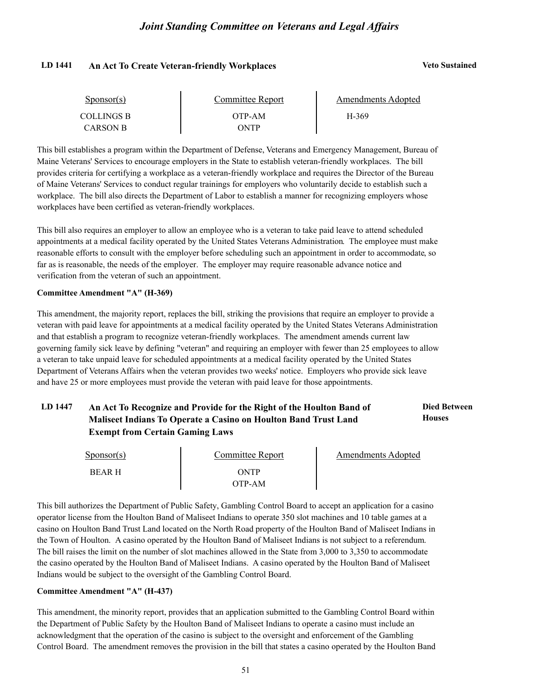#### **LD 1441 An Act To Create Veteran-friendly Workplaces Veto Sustained**

| Sponsor(s)        | Committee Report | Amendments Adopted |  |
|-------------------|------------------|--------------------|--|
| <b>COLLINGS B</b> | OTP-AM           | H-369              |  |
| CARSON B          | ONTP             |                    |  |

This bill establishes a program within the Department of Defense, Veterans and Emergency Management, Bureau of Maine Veterans' Services to encourage employers in the State to establish veteran-friendly workplaces. The bill provides criteria for certifying a workplace as a veteran-friendly workplace and requires the Director of the Bureau of Maine Veterans' Services to conduct regular trainings for employers who voluntarily decide to establish such a workplace. The bill also directs the Department of Labor to establish a manner for recognizing employers whose workplaces have been certified as veteran-friendly workplaces.

This bill also requires an employer to allow an employee who is a veteran to take paid leave to attend scheduled appointments at a medical facility operated by the United States Veterans Administration. The employee must make reasonable efforts to consult with the employer before scheduling such an appointment in order to accommodate, so far as is reasonable, the needs of the employer. The employer may require reasonable advance notice and verification from the veteran of such an appointment.

#### **Committee Amendment "A" (H-369)**

This amendment, the majority report, replaces the bill, striking the provisions that require an employer to provide a veteran with paid leave for appointments at a medical facility operated by the United States Veterans Administration and that establish a program to recognize veteran-friendly workplaces. The amendment amends current law governing family sick leave by defining "veteran" and requiring an employer with fewer than 25 employees to allow a veteran to take unpaid leave for scheduled appointments at a medical facility operated by the United States Department of Veterans Affairs when the veteran provides two weeks' notice. Employers who provide sick leave and have 25 or more employees must provide the veteran with paid leave for those appointments.

#### LD 1447 An Act To Recognize and Provide for the Right of the Houlton Band of **Died Between Houses Maliseet Indians To Operate a Casino on Houlton Band Trust Land Exempt from Certain Gaming Laws**

| $S_{\text{ponsor}}(s)$ | Committee Report | Amendments Adopted |
|------------------------|------------------|--------------------|
| <b>BEAR H</b>          | ONTP             |                    |
|                        | OTP-AM           |                    |

This bill authorizes the Department of Public Safety, Gambling Control Board to accept an application for a casino operator license from the Houlton Band of Maliseet Indians to operate 350 slot machines and 10 table games at a casino on Houlton Band Trust Land located on the North Road property of the Houlton Band of Maliseet Indians in the Town of Houlton. A casino operated by the Houlton Band of Maliseet Indians is not subject to a referendum. The bill raises the limit on the number of slot machines allowed in the State from 3,000 to 3,350 to accommodate the casino operated by the Houlton Band of Maliseet Indians. A casino operated by the Houlton Band of Maliseet Indians would be subject to the oversight of the Gambling Control Board.

#### **Committee Amendment "A" (H-437)**

This amendment, the minority report, provides that an application submitted to the Gambling Control Board within the Department of Public Safety by the Houlton Band of Maliseet Indians to operate a casino must include an acknowledgment that the operation of the casino is subject to the oversight and enforcement of the Gambling Control Board. The amendment removes the provision in the bill that states a casino operated by the Houlton Band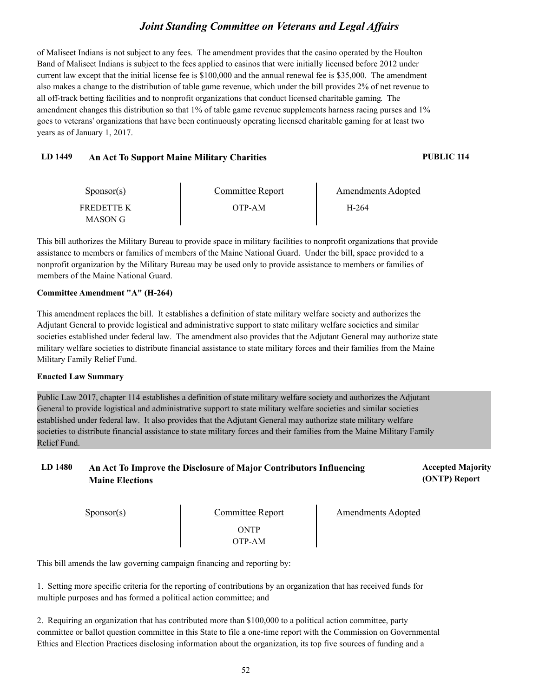of Maliseet Indians is not subject to any fees. The amendment provides that the casino operated by the Houlton Band of Maliseet Indians is subject to the fees applied to casinos that were initially licensed before 2012 under current law except that the initial license fee is \$100,000 and the annual renewal fee is \$35,000. The amendment also makes a change to the distribution of table game revenue, which under the bill provides 2% of net revenue to all off-track betting facilities and to nonprofit organizations that conduct licensed charitable gaming. The amendment changes this distribution so that 1% of table game revenue supplements harness racing purses and 1% goes to veterans' organizations that have been continuously operating licensed charitable gaming for at least two years as of January 1, 2017.

#### **LD 1449 An Act To Support Maine Military Charities PUBLIC 114**

| Sponsor(s) | Committee Report | Amendments Adopted |  |
|------------|------------------|--------------------|--|
| FREDETTE K | OTP-AM           | H-264              |  |
| MASON G    |                  |                    |  |

This bill authorizes the Military Bureau to provide space in military facilities to nonprofit organizations that provide assistance to members or families of members of the Maine National Guard. Under the bill, space provided to a nonprofit organization by the Military Bureau may be used only to provide assistance to members or families of members of the Maine National Guard.

#### **Committee Amendment "A" (H-264)**

This amendment replaces the bill. It establishes a definition of state military welfare society and authorizes the Adjutant General to provide logistical and administrative support to state military welfare societies and similar societies established under federal law. The amendment also provides that the Adjutant General may authorize state military welfare societies to distribute financial assistance to state military forces and their families from the Maine Military Family Relief Fund.

#### **Enacted Law Summary**

Public Law 2017, chapter 114 establishes a definition of state military welfare society and authorizes the Adjutant General to provide logistical and administrative support to state military welfare societies and similar societies established under federal law. It also provides that the Adjutant General may authorize state military welfare societies to distribute financial assistance to state military forces and their families from the Maine Military Family Relief Fund.

### LD 1480 An Act To Improve the Disclosure of Major Contributors Influencing **Provident Accepted Majority Maine Elections**

**(ONTP) Report**

Sponsor(s)

Committee Report<br>ONTP OTP-AM

Amendments Adopted

This bill amends the law governing campaign financing and reporting by:

1. Setting more specific criteria for the reporting of contributions by an organization that has received funds for multiple purposes and has formed a political action committee; and

2. Requiring an organization that has contributed more than \$100,000 to a political action committee, party committee or ballot question committee in this State to file a one-time report with the Commission on Governmental Ethics and Election Practices disclosing information about the organization, its top five sources of funding and a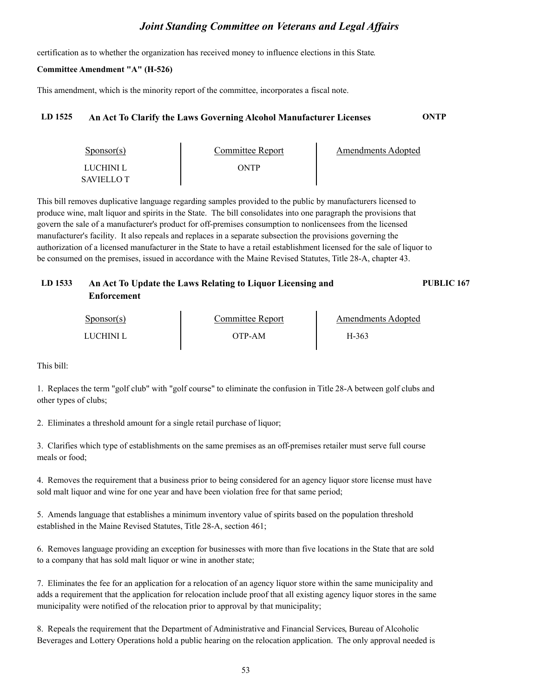certification as to whether the organization has received money to influence elections in this State.

#### **Committee Amendment "A" (H-526)**

This amendment, which is the minority report of the committee, incorporates a fiscal note.

### **LD 1525 An Act To Clarify the Laws Governing Alcohol Manufacturer Licenses ONTP**

| Sponsor(s)                     | Committee Report | Amendments Adopted |
|--------------------------------|------------------|--------------------|
| LUCHINI L<br><b>SAVIELLO T</b> | ONTP             |                    |

This bill removes duplicative language regarding samples provided to the public by manufacturers licensed to produce wine, malt liquor and spirits in the State. The bill consolidates into one paragraph the provisions that govern the sale of a manufacturer's product for off-premises consumption to nonlicensees from the licensed manufacturer's facility. It also repeals and replaces in a separate subsection the provisions governing the authorization of a licensed manufacturer in the State to have a retail establishment licensed for the sale of liquor to be consumed on the premises, issued in accordance with the Maine Revised Statutes, Title 28-A, chapter 43.

| LD 1533 | An Act To Update the Laws Relating to Liquor Licensing and | <b>PUBLIC 167</b> |
|---------|------------------------------------------------------------|-------------------|
|         | Enforcement                                                |                   |

| $S_{\text{POD}S}$ (s) | Committee Report | Amendments Adopted |
|-----------------------|------------------|--------------------|
| LUCHINI L             | )TP-AM           | H-363              |

This bill:

1. Replaces the term "golf club" with "golf course" to eliminate the confusion in Title 28-A between golf clubs and other types of clubs;

2. Eliminates a threshold amount for a single retail purchase of liquor;

3. Clarifies which type of establishments on the same premises as an off-premises retailer must serve full course meals or food;

4. Removes the requirement that a business prior to being considered for an agency liquor store license must have sold malt liquor and wine for one year and have been violation free for that same period;

5. Amends language that establishes a minimum inventory value of spirits based on the population threshold established in the Maine Revised Statutes, Title 28-A, section 461;

6. Removes language providing an exception for businesses with more than five locations in the State that are sold to a company that has sold malt liquor or wine in another state;

7. Eliminates the fee for an application for a relocation of an agency liquor store within the same municipality and adds a requirement that the application for relocation include proof that all existing agency liquor stores in the same municipality were notified of the relocation prior to approval by that municipality;

8. Repeals the requirement that the Department of Administrative and Financial Services, Bureau of Alcoholic Beverages and Lottery Operations hold a public hearing on the relocation application. The only approval needed is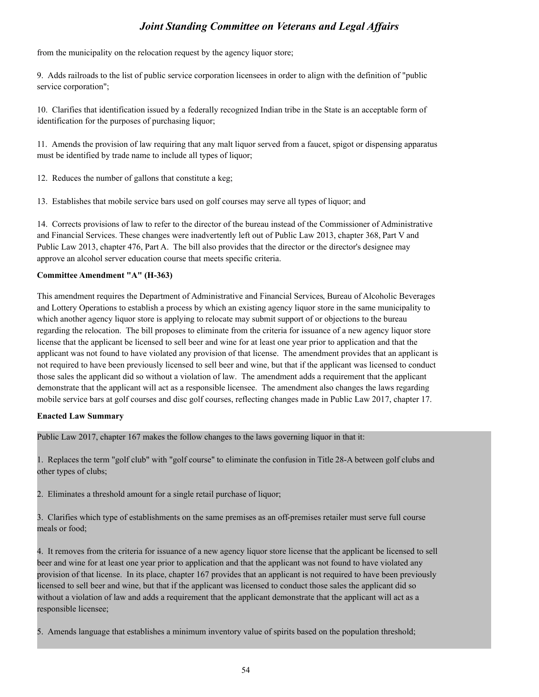from the municipality on the relocation request by the agency liquor store;

9. Adds railroads to the list of public service corporation licensees in order to align with the definition of "public service corporation";

10. Clarifies that identification issued by a federally recognized Indian tribe in the State is an acceptable form of identification for the purposes of purchasing liquor;

11. Amends the provision of law requiring that any malt liquor served from a faucet, spigot or dispensing apparatus must be identified by trade name to include all types of liquor;

12. Reduces the number of gallons that constitute a keg;

13. Establishes that mobile service bars used on golf courses may serve all types of liquor; and

14. Corrects provisions of law to refer to the director of the bureau instead of the Commissioner of Administrative and Financial Services. These changes were inadvertently left out of Public Law 2013, chapter 368, Part V and Public Law 2013, chapter 476, Part A. The bill also provides that the director or the director's designee may approve an alcohol server education course that meets specific criteria.

#### **Committee Amendment "A" (H-363)**

This amendment requires the Department of Administrative and Financial Services, Bureau of Alcoholic Beverages and Lottery Operations to establish a process by which an existing agency liquor store in the same municipality to which another agency liquor store is applying to relocate may submit support of or objections to the bureau regarding the relocation. The bill proposes to eliminate from the criteria for issuance of a new agency liquor store license that the applicant be licensed to sell beer and wine for at least one year prior to application and that the applicant was not found to have violated any provision of that license. The amendment provides that an applicant is not required to have been previously licensed to sell beer and wine, but that if the applicant was licensed to conduct those sales the applicant did so without a violation of law. The amendment adds a requirement that the applicant demonstrate that the applicant will act as a responsible licensee. The amendment also changes the laws regarding mobile service bars at golf courses and disc golf courses, reflecting changes made in Public Law 2017, chapter 17.

#### **Enacted Law Summary**

Public Law 2017, chapter 167 makes the follow changes to the laws governing liquor in that it:

1. Replaces the term "golf club" with "golf course" to eliminate the confusion in Title 28-A between golf clubs and other types of clubs;

2. Eliminates a threshold amount for a single retail purchase of liquor;

3. Clarifies which type of establishments on the same premises as an off-premises retailer must serve full course meals or food;

4. It removes from the criteria for issuance of a new agency liquor store license that the applicant be licensed to sell beer and wine for at least one year prior to application and that the applicant was not found to have violated any provision of that license. In its place, chapter 167 provides that an applicant is not required to have been previously licensed to sell beer and wine, but that if the applicant was licensed to conduct those sales the applicant did so without a violation of law and adds a requirement that the applicant demonstrate that the applicant will act as a responsible licensee;

5. Amends language that establishes a minimum inventory value of spirits based on the population threshold;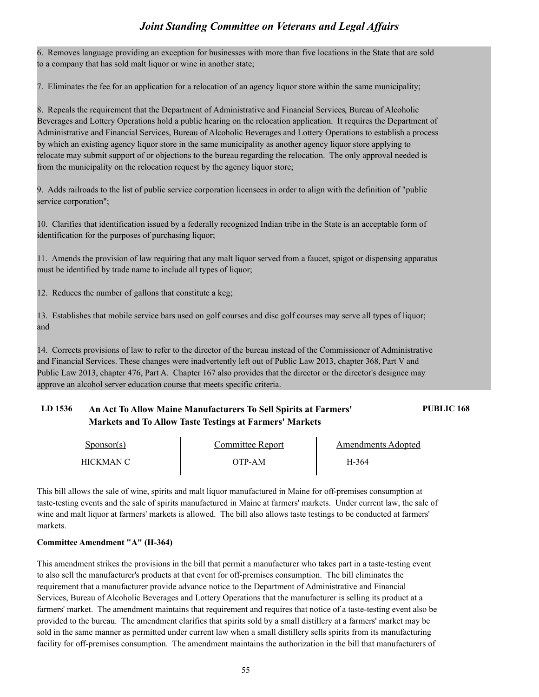6. Removes language providing an exception for businesses with more than five locations in the State that are sold to a company that has sold malt liquor or wine in another state;

7. Eliminates the fee for an application for a relocation of an agency liquor store within the same municipality;

8. Repeals the requirement that the Department of Administrative and Financial Services, Bureau of Alcoholic Beverages and Lottery Operations hold a public hearing on the relocation application. It requires the Department of Administrative and Financial Services, Bureau of Alcoholic Beverages and Lottery Operations to establish a process by which an existing agency liquor store in the same municipality as another agency liquor store applying to relocate may submit support of or objections to the bureau regarding the relocation. The only approval needed is from the municipality on the relocation request by the agency liquor store;

9. Adds railroads to the list of public service corporation licensees in order to align with the definition of "public service corporation";

10. Clarifies that identification issued by a federally recognized Indian tribe in the State is an acceptable form of identification for the purposes of purchasing liquor;

11. Amends the provision of law requiring that any malt liquor served from a faucet, spigot or dispensing apparatus must be identified by trade name to include all types of liquor;

12. Reduces the number of gallons that constitute a keg;

13. Establishes that mobile service bars used on golf courses and disc golf courses may serve all types of liquor; and

14. Corrects provisions of law to refer to the director of the bureau instead of the Commissioner of Administrative and Financial Services. These changes were inadvertently left out of Public Law 2013, chapter 368, Part V and Public Law 2013, chapter 476, Part A. Chapter 167 also provides that the director or the director's designee may approve an alcohol server education course that meets specific criteria.

## **LD 1536 An Act To Allow Maine Manufacturers To Sell Spirits at Farmers' PUBLIC 168 Markets and To Allow Taste Testings at Farmers' Markets**

| Sponsor(s) | Committee Report | Amendments Adopted |  |
|------------|------------------|--------------------|--|
| HICKMAN C- | ЭТР-АМ           | H-364              |  |

This bill allows the sale of wine, spirits and malt liquor manufactured in Maine for off-premises consumption at taste-testing events and the sale of spirits manufactured in Maine at farmers' markets. Under current law, the sale of wine and malt liquor at farmers' markets is allowed. The bill also allows taste testings to be conducted at farmers' markets.

#### **Committee Amendment "A" (H-364)**

This amendment strikes the provisions in the bill that permit a manufacturer who takes part in a taste-testing event to also sell the manufacturer's products at that event for off-premises consumption. The bill eliminates the requirement that a manufacturer provide advance notice to the Department of Administrative and Financial Services, Bureau of Alcoholic Beverages and Lottery Operations that the manufacturer is selling its product at a farmers' market. The amendment maintains that requirement and requires that notice of a taste-testing event also be provided to the bureau. The amendment clarifies that spirits sold by a small distillery at a farmers' market may be sold in the same manner as permitted under current law when a small distillery sells spirits from its manufacturing facility for off-premises consumption. The amendment maintains the authorization in the bill that manufacturers of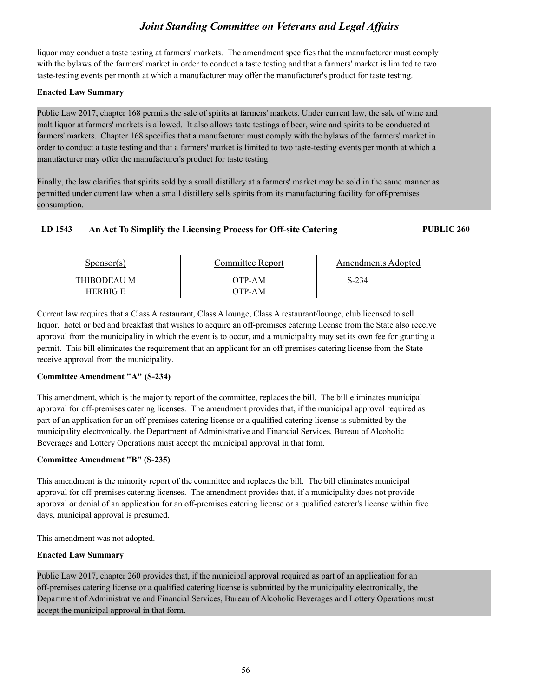liquor may conduct a taste testing at farmers' markets. The amendment specifies that the manufacturer must comply with the bylaws of the farmers' market in order to conduct a taste testing and that a farmers' market is limited to two taste-testing events per month at which a manufacturer may offer the manufacturer's product for taste testing.

#### **Enacted Law Summary**

Public Law 2017, chapter 168 permits the sale of spirits at farmers' markets. Under current law, the sale of wine and malt liquor at farmers' markets is allowed. It also allows taste testings of beer, wine and spirits to be conducted at farmers' markets. Chapter 168 specifies that a manufacturer must comply with the bylaws of the farmers' market in order to conduct a taste testing and that a farmers' market is limited to two taste-testing events per month at which a manufacturer may offer the manufacturer's product for taste testing.

Finally, the law clarifies that spirits sold by a small distillery at a farmers' market may be sold in the same manner as permitted under current law when a small distillery sells spirits from its manufacturing facility for off-premises consumption.

## **LD 1543 An Act To Simplify the Licensing Process for Off-site Catering PUBLIC 260**

| Sponsor(s)              | Committee Report | Amendments Adopted |  |
|-------------------------|------------------|--------------------|--|
| THIBODEAU M<br>HERBIG E | OTP-AM<br>OTP-AM | S-234              |  |

Current law requires that a Class A restaurant, Class A lounge, Class A restaurant/lounge, club licensed to sell liquor, hotel or bed and breakfast that wishes to acquire an off-premises catering license from the State also receive approval from the municipality in which the event is to occur, and a municipality may set its own fee for granting a permit. This bill eliminates the requirement that an applicant for an off-premises catering license from the State receive approval from the municipality.

#### **Committee Amendment "A" (S-234)**

This amendment, which is the majority report of the committee, replaces the bill. The bill eliminates municipal approval for off-premises catering licenses. The amendment provides that, if the municipal approval required as part of an application for an off-premises catering license or a qualified catering license is submitted by the municipality electronically, the Department of Administrative and Financial Services, Bureau of Alcoholic Beverages and Lottery Operations must accept the municipal approval in that form.

#### **Committee Amendment "B" (S-235)**

This amendment is the minority report of the committee and replaces the bill. The bill eliminates municipal approval for off-premises catering licenses. The amendment provides that, if a municipality does not provide approval or denial of an application for an off-premises catering license or a qualified caterer's license within five days, municipal approval is presumed.

This amendment was not adopted.

#### **Enacted Law Summary**

Public Law 2017, chapter 260 provides that, if the municipal approval required as part of an application for an off-premises catering license or a qualified catering license is submitted by the municipality electronically, the Department of Administrative and Financial Services, Bureau of Alcoholic Beverages and Lottery Operations must accept the municipal approval in that form.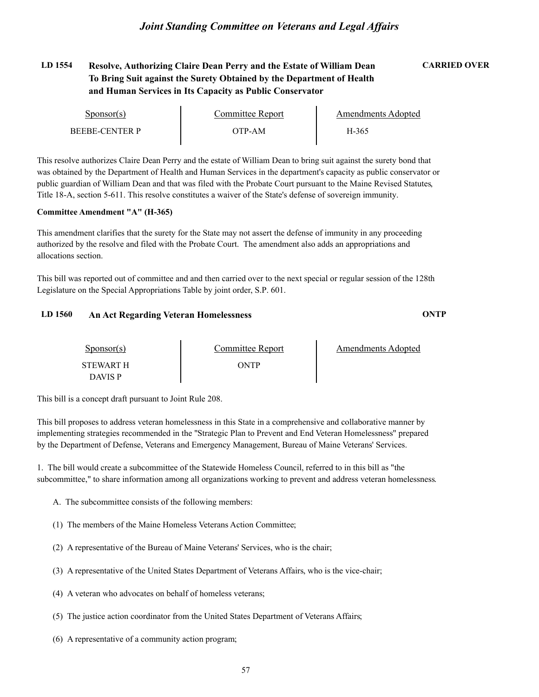## **LD 1554 Resolve, Authorizing Claire Dean Perry and the Estate of William Dean CARRIED OVER To Bring Suit against the Surety Obtained by the Department of Health and Human Services in Its Capacity as Public Conservator**

| Sponsor(s)     | Committee Renort | Amendments Adopted |  |
|----------------|------------------|--------------------|--|
| BEEBE-CENTER P | ОТР-АМ           | H-365              |  |

This resolve authorizes Claire Dean Perry and the estate of William Dean to bring suit against the surety bond that was obtained by the Department of Health and Human Services in the department's capacity as public conservator or public guardian of William Dean and that was filed with the Probate Court pursuant to the Maine Revised Statutes, Title 18-A, section 5-611. This resolve constitutes a waiver of the State's defense of sovereign immunity.

#### **Committee Amendment "A" (H-365)**

This amendment clarifies that the surety for the State may not assert the defense of immunity in any proceeding authorized by the resolve and filed with the Probate Court. The amendment also adds an appropriations and allocations section.

This bill was reported out of committee and and then carried over to the next special or regular session of the 128th Legislature on the Special Appropriations Table by joint order, S.P. 601.

#### **LD 1560 An Act Regarding Veteran Homelessness ONTP**

| Sponsor(s)       | Committee Report | Amendments Adopted |
|------------------|------------------|--------------------|
| <b>STEWART H</b> | ONTP             |                    |
| <b>DAVIS P</b>   |                  |                    |

This bill is a concept draft pursuant to Joint Rule 208.

This bill proposes to address veteran homelessness in this State in a comprehensive and collaborative manner by implementing strategies recommended in the "Strategic Plan to Prevent and End Veteran Homelessness" prepared by the Department of Defense, Veterans and Emergency Management, Bureau of Maine Veterans' Services.

1. The bill would create a subcommittee of the Statewide Homeless Council, referred to in this bill as "the subcommittee," to share information among all organizations working to prevent and address veteran homelessness.

- A. The subcommittee consists of the following members:
- (1) The members of the Maine Homeless Veterans Action Committee;
- (2) A representative of the Bureau of Maine Veterans' Services, who is the chair;
- (3) A representative of the United States Department of Veterans Affairs, who is the vice-chair;
- (4) A veteran who advocates on behalf of homeless veterans;
- (5) The justice action coordinator from the United States Department of Veterans Affairs;
- (6) A representative of a community action program;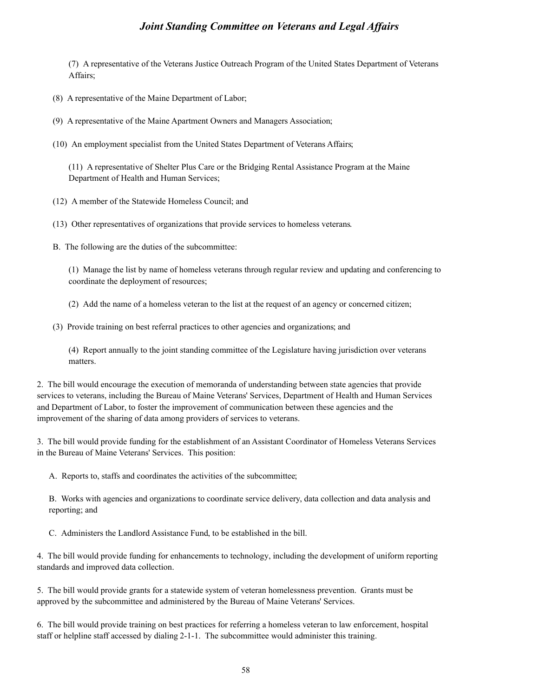(7) A representative of the Veterans Justice Outreach Program of the United States Department of Veterans Affairs;

(8) A representative of the Maine Department of Labor;

(9) A representative of the Maine Apartment Owners and Managers Association;

(10) An employment specialist from the United States Department of Veterans Affairs;

(11) A representative of Shelter Plus Care or the Bridging Rental Assistance Program at the Maine Department of Health and Human Services;

- (12) A member of the Statewide Homeless Council; and
- (13) Other representatives of organizations that provide services to homeless veterans.
- B. The following are the duties of the subcommittee:

(1) Manage the list by name of homeless veterans through regular review and updating and conferencing to coordinate the deployment of resources;

(2) Add the name of a homeless veteran to the list at the request of an agency or concerned citizen;

(3) Provide training on best referral practices to other agencies and organizations; and

(4) Report annually to the joint standing committee of the Legislature having jurisdiction over veterans matters.

2. The bill would encourage the execution of memoranda of understanding between state agencies that provide services to veterans, including the Bureau of Maine Veterans' Services, Department of Health and Human Services and Department of Labor, to foster the improvement of communication between these agencies and the improvement of the sharing of data among providers of services to veterans.

3. The bill would provide funding for the establishment of an Assistant Coordinator of Homeless Veterans Services in the Bureau of Maine Veterans' Services. This position:

A. Reports to, staffs and coordinates the activities of the subcommittee;

B. Works with agencies and organizations to coordinate service delivery, data collection and data analysis and reporting; and

C. Administers the Landlord Assistance Fund, to be established in the bill.

4. The bill would provide funding for enhancements to technology, including the development of uniform reporting standards and improved data collection.

5. The bill would provide grants for a statewide system of veteran homelessness prevention. Grants must be approved by the subcommittee and administered by the Bureau of Maine Veterans' Services.

6. The bill would provide training on best practices for referring a homeless veteran to law enforcement, hospital staff or helpline staff accessed by dialing 2-1-1. The subcommittee would administer this training.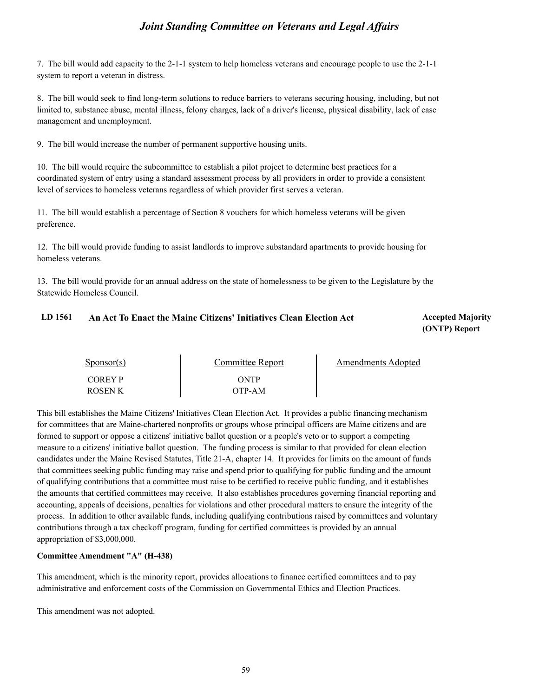7. The bill would add capacity to the 2-1-1 system to help homeless veterans and encourage people to use the 2-1-1 system to report a veteran in distress.

8. The bill would seek to find long-term solutions to reduce barriers to veterans securing housing, including, but not limited to, substance abuse, mental illness, felony charges, lack of a driver's license, physical disability, lack of case management and unemployment.

9. The bill would increase the number of permanent supportive housing units.

10. The bill would require the subcommittee to establish a pilot project to determine best practices for a coordinated system of entry using a standard assessment process by all providers in order to provide a consistent level of services to homeless veterans regardless of which provider first serves a veteran.

11. The bill would establish a percentage of Section 8 vouchers for which homeless veterans will be given preference.

12. The bill would provide funding to assist landlords to improve substandard apartments to provide housing for homeless veterans.

13. The bill would provide for an annual address on the state of homelessness to be given to the Legislature by the Statewide Homeless Council.

## LD 1561 An Act To Enact the Maine Citizens' Initiatives Clean Election Act **Accepted Majority**

## **(ONTP) Report**

| $S_{\text{PONSOT}}(s)$           | Committee Report | <b>Amendments Adopted</b> |  |
|----------------------------------|------------------|---------------------------|--|
| <b>COREY P</b><br><b>ROSEN K</b> | ONTP<br>OTP-AM   |                           |  |

This bill establishes the Maine Citizens' Initiatives Clean Election Act. It provides a public financing mechanism for committees that are Maine-chartered nonprofits or groups whose principal officers are Maine citizens and are formed to support or oppose a citizens' initiative ballot question or a people's veto or to support a competing measure to a citizens' initiative ballot question. The funding process is similar to that provided for clean election candidates under the Maine Revised Statutes, Title 21-A, chapter 14. It provides for limits on the amount of funds that committees seeking public funding may raise and spend prior to qualifying for public funding and the amount of qualifying contributions that a committee must raise to be certified to receive public funding, and it establishes the amounts that certified committees may receive. It also establishes procedures governing financial reporting and accounting, appeals of decisions, penalties for violations and other procedural matters to ensure the integrity of the process. In addition to other available funds, including qualifying contributions raised by committees and voluntary contributions through a tax checkoff program, funding for certified committees is provided by an annual appropriation of \$3,000,000.

#### **Committee Amendment "A" (H-438)**

This amendment, which is the minority report, provides allocations to finance certified committees and to pay administrative and enforcement costs of the Commission on Governmental Ethics and Election Practices.

This amendment was not adopted.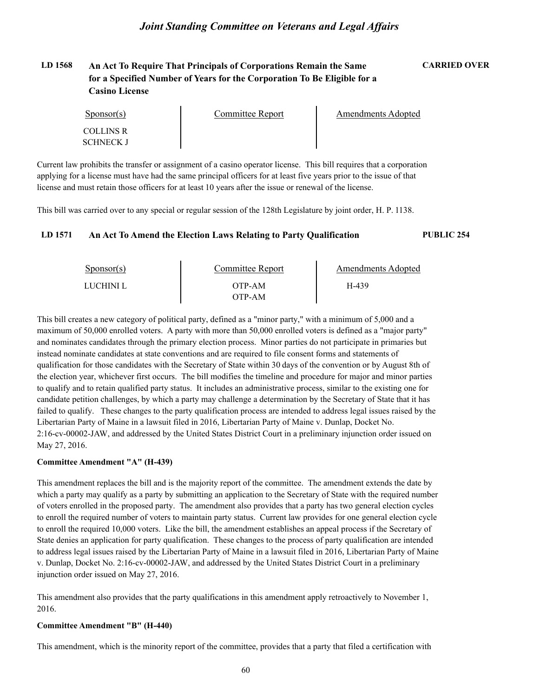## **LD 1568 An Act To Require That Principals of Corporations Remain the Same CARRIED OVER for a Specified Number of Years for the Corporation To Be Eligible for a Casino License**

| $S_{\text{PON}(\text{S})}$ | Committee Report | Amendments Adopted |  |
|----------------------------|------------------|--------------------|--|
| COLLINS R                  |                  |                    |  |
| SCHNECK J                  |                  |                    |  |

Current law prohibits the transfer or assignment of a casino operator license. This bill requires that a corporation applying for a license must have had the same principal officers for at least five years prior to the issue of that license and must retain those officers for at least 10 years after the issue or renewal of the license.

This bill was carried over to any special or regular session of the 128th Legislature by joint order, H. P. 1138.

#### **LD 1571 An Act To Amend the Election Laws Relating to Party Qualification PUBLIC 254**

| $S_{\text{ponsor}}(s)$ | Committee Report | Amendments Adopted |  |
|------------------------|------------------|--------------------|--|
| LUCHINI L              | OTP-AM           | H-439              |  |
|                        | OTP-AM-          |                    |  |

This bill creates a new category of political party, defined as a "minor party," with a minimum of 5,000 and a maximum of 50,000 enrolled voters. A party with more than 50,000 enrolled voters is defined as a "major party" and nominates candidates through the primary election process. Minor parties do not participate in primaries but instead nominate candidates at state conventions and are required to file consent forms and statements of qualification for those candidates with the Secretary of State within 30 days of the convention or by August 8th of the election year, whichever first occurs. The bill modifies the timeline and procedure for major and minor parties to qualify and to retain qualified party status. It includes an administrative process, similar to the existing one for candidate petition challenges, by which a party may challenge a determination by the Secretary of State that it has failed to qualify. These changes to the party qualification process are intended to address legal issues raised by the Libertarian Party of Maine in a lawsuit filed in 2016, Libertarian Party of Maine v. Dunlap, Docket No. 2:16-cv-00002-JAW, and addressed by the United States District Court in a preliminary injunction order issued on May 27, 2016.

#### **Committee Amendment "A" (H-439)**

This amendment replaces the bill and is the majority report of the committee. The amendment extends the date by which a party may qualify as a party by submitting an application to the Secretary of State with the required number of voters enrolled in the proposed party. The amendment also provides that a party has two general election cycles to enroll the required number of voters to maintain party status. Current law provides for one general election cycle to enroll the required 10,000 voters. Like the bill, the amendment establishes an appeal process if the Secretary of State denies an application for party qualification. These changes to the process of party qualification are intended to address legal issues raised by the Libertarian Party of Maine in a lawsuit filed in 2016, Libertarian Party of Maine v. Dunlap, Docket No. 2:16-cv-00002-JAW, and addressed by the United States District Court in a preliminary injunction order issued on May 27, 2016.

This amendment also provides that the party qualifications in this amendment apply retroactively to November 1, 2016.

#### **Committee Amendment "B" (H-440)**

This amendment, which is the minority report of the committee, provides that a party that filed a certification with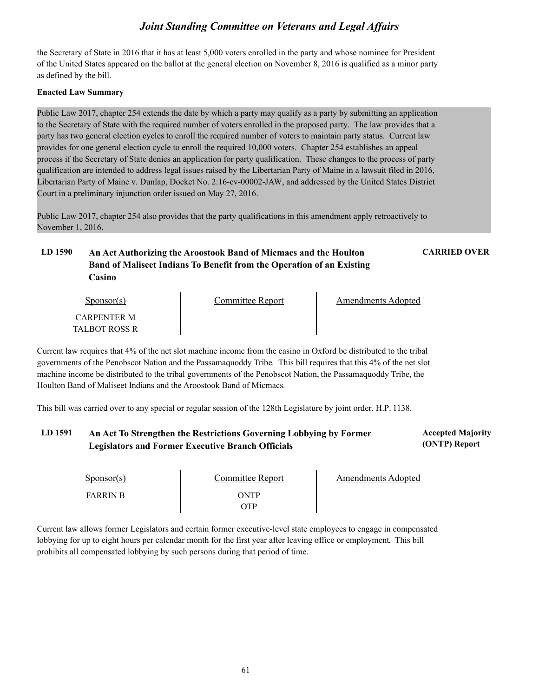the Secretary of State in 2016 that it has at least 5,000 voters enrolled in the party and whose nominee for President of the United States appeared on the ballot at the general election on November 8, 2016 is qualified as a minor party as defined by the bill.

#### **Enacted Law Summary**

Public Law 2017, chapter 254 extends the date by which a party may qualify as a party by submitting an application to the Secretary of State with the required number of voters enrolled in the proposed party. The law provides that a party has two general election cycles to enroll the required number of voters to maintain party status. Current law provides for one general election cycle to enroll the required 10,000 voters. Chapter 254 establishes an appeal process if the Secretary of State denies an application for party qualification. These changes to the process of party qualification are intended to address legal issues raised by the Libertarian Party of Maine in a lawsuit filed in 2016, Libertarian Party of Maine v. Dunlap, Docket No. 2:16-cv-00002-JAW, and addressed by the United States District Court in a preliminary injunction order issued on May 27, 2016.

Public Law 2017, chapter 254 also provides that the party qualifications in this amendment apply retroactively to November 1, 2016.

## **LD 1590 An Act Authorizing the Aroostook Band of Micmacs and the Houlton CARRIED OVER Band of Maliseet Indians To Benefit from the Operation of an Existing Casino**

| $S_{\text{ponsor}}(s)$              | Committee Report | <b>Amendments Adopted</b> |  |
|-------------------------------------|------------------|---------------------------|--|
| <b>CARPENTER M</b><br>TALBOT ROSS R |                  |                           |  |

Current law requires that 4% of the net slot machine income from the casino in Oxford be distributed to the tribal governments of the Penobscot Nation and the Passamaquoddy Tribe. This bill requires that this 4% of the net slot machine income be distributed to the tribal governments of the Penobscot Nation, the Passamaquoddy Tribe, the Houlton Band of Maliseet Indians and the Aroostook Band of Micmacs.

This bill was carried over to any special or regular session of the 128th Legislature by joint order, H.P. 1138.

#### LD 1591 An Act To Strengthen the Restrictions Governing Lobbying by Former **Accepted Majority (ONTP) Report Legislators and Former Executive Branch Officials**

| $S_{\text{DONSOT}}(s)$ | <b>Committee Report</b> | Amendments Adopted |  |
|------------------------|-------------------------|--------------------|--|
| <b>FARRIN B</b>        | )NTP                    |                    |  |

Current law allows former Legislators and certain former executive-level state employees to engage in compensated lobbying for up to eight hours per calendar month for the first year after leaving office or employment. This bill prohibits all compensated lobbying by such persons during that period of time.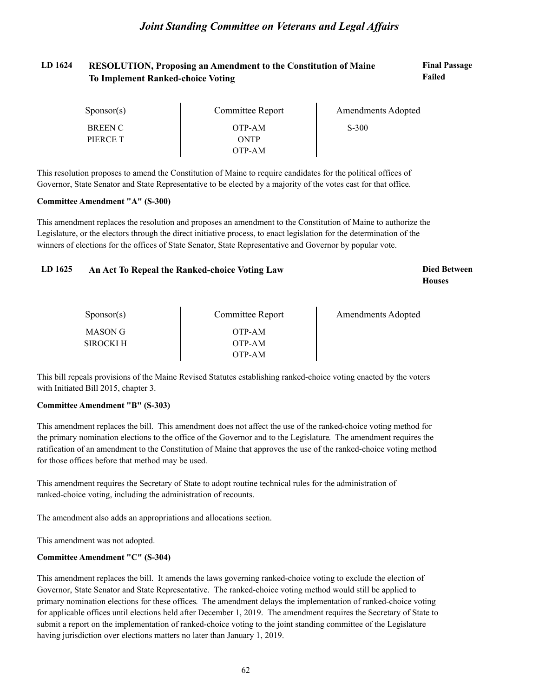#### LD 1624 RESOLUTION, Proposing an Amendment to the Constitution of Maine **Final Passage Failed To Implement Ranked-choice Voting**

| $S_{\text{PONSOT}}(s)$ | <b>Committee Report</b> | <b>Amendments Adopted</b> |  |
|------------------------|-------------------------|---------------------------|--|
| <b>BREEN C</b>         | OTP-AM                  | $S-300$                   |  |
| PIERCE T               | <b>ONTP</b>             |                           |  |
|                        | OTP-AM                  |                           |  |

This resolution proposes to amend the Constitution of Maine to require candidates for the political offices of Governor, State Senator and State Representative to be elected by a majority of the votes cast for that office.

#### **Committee Amendment "A" (S-300)**

This amendment replaces the resolution and proposes an amendment to the Constitution of Maine to authorize the Legislature, or the electors through the direct initiative process, to enact legislation for the determination of the winners of elections for the offices of State Senator, State Representative and Governor by popular vote.

#### LD 1625 An Act To Repeal the Ranked-choice Voting Law **Died Between**

## **Houses**

| $S_{\text{PON}(\text{S})}$ | <b>Committee Report</b> | <b>Amendments Adopted</b> |
|----------------------------|-------------------------|---------------------------|
| MASON G                    | OTP-AM                  |                           |
| <b>SIROCKI H</b>           | OTP-AM                  |                           |
|                            | OTP-AM                  |                           |

This bill repeals provisions of the Maine Revised Statutes establishing ranked-choice voting enacted by the voters with Initiated Bill 2015, chapter 3.

#### **Committee Amendment "B" (S-303)**

This amendment replaces the bill. This amendment does not affect the use of the ranked-choice voting method for the primary nomination elections to the office of the Governor and to the Legislature. The amendment requires the ratification of an amendment to the Constitution of Maine that approves the use of the ranked-choice voting method for those offices before that method may be used.

This amendment requires the Secretary of State to adopt routine technical rules for the administration of ranked-choice voting, including the administration of recounts.

The amendment also adds an appropriations and allocations section.

This amendment was not adopted.

#### **Committee Amendment "C" (S-304)**

This amendment replaces the bill. It amends the laws governing ranked-choice voting to exclude the election of Governor, State Senator and State Representative. The ranked-choice voting method would still be applied to primary nomination elections for these offices. The amendment delays the implementation of ranked-choice voting for applicable offices until elections held after December 1, 2019. The amendment requires the Secretary of State to submit a report on the implementation of ranked-choice voting to the joint standing committee of the Legislature having jurisdiction over elections matters no later than January 1, 2019.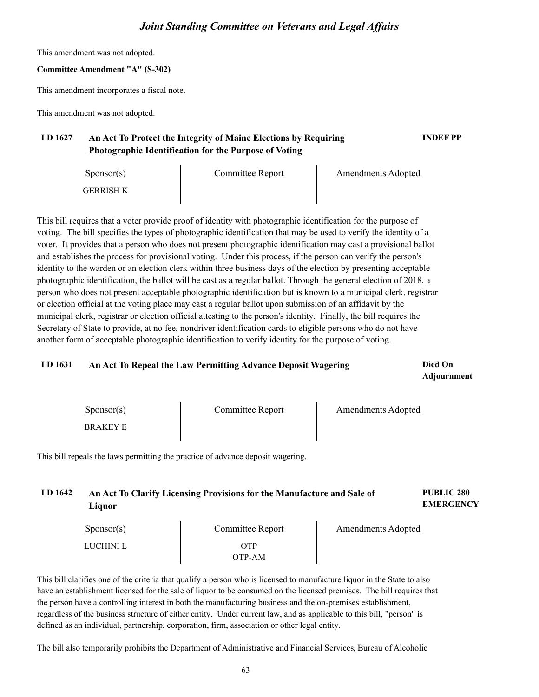This amendment was not adopted.

## **Committee Amendment "A" (S-302)**

This amendment incorporates a fiscal note.

This amendment was not adopted.

## **LD 1627 An Act To Protect the Integrity of Maine Elections by Requiring INDEF PP Photographic Identification for the Purpose of Voting**

| $S_{\text{ponsor}}(s)$ | Committee Report | <b>Amendments Adopted</b> |  |
|------------------------|------------------|---------------------------|--|
| GERRISH K              |                  |                           |  |

This bill requires that a voter provide proof of identity with photographic identification for the purpose of voting. The bill specifies the types of photographic identification that may be used to verify the identity of a voter. It provides that a person who does not present photographic identification may cast a provisional ballot and establishes the process for provisional voting. Under this process, if the person can verify the person's identity to the warden or an election clerk within three business days of the election by presenting acceptable photographic identification, the ballot will be cast as a regular ballot. Through the general election of 2018, a person who does not present acceptable photographic identification but is known to a municipal clerk, registrar or election official at the voting place may cast a regular ballot upon submission of an affidavit by the municipal clerk, registrar or election official attesting to the person's identity. Finally, the bill requires the Secretary of State to provide, at no fee, nondriver identification cards to eligible persons who do not have another form of acceptable photographic identification to verify identity for the purpose of voting.

## **LD 1631 Died On An Act To Repeal the Law Permitting Advance Deposit Wagering**

**Adjournment**

| $S_{\text{DON}(\text{S})}$ | Committee Report | <b>Amendments Adopted</b> |
|----------------------------|------------------|---------------------------|
| <b>BRAKEYE</b>             |                  |                           |

This bill repeals the laws permitting the practice of advance deposit wagering.

## **LD 1642 PUBLIC 280 An Act To Clarify Licensing Provisions for the Manufacture and Sale of Liquor**

**EMERGENCY**

| $S_{\text{PON}(\text{S})}$ | Committee Report | Amendments Adopted |  |
|----------------------------|------------------|--------------------|--|
| LUCHINI L                  | )TP<br>OTP-AM    |                    |  |

This bill clarifies one of the criteria that qualify a person who is licensed to manufacture liquor in the State to also have an establishment licensed for the sale of liquor to be consumed on the licensed premises. The bill requires that the person have a controlling interest in both the manufacturing business and the on-premises establishment, regardless of the business structure of either entity. Under current law, and as applicable to this bill, "person" is defined as an individual, partnership, corporation, firm, association or other legal entity.

The bill also temporarily prohibits the Department of Administrative and Financial Services, Bureau of Alcoholic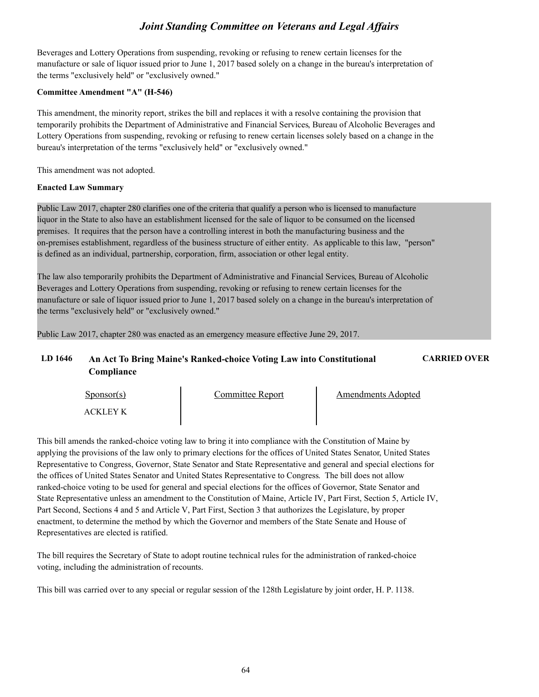Beverages and Lottery Operations from suspending, revoking or refusing to renew certain licenses for the manufacture or sale of liquor issued prior to June 1, 2017 based solely on a change in the bureau's interpretation of the terms "exclusively held" or "exclusively owned."

#### **Committee Amendment "A" (H-546)**

This amendment, the minority report, strikes the bill and replaces it with a resolve containing the provision that temporarily prohibits the Department of Administrative and Financial Services, Bureau of Alcoholic Beverages and Lottery Operations from suspending, revoking or refusing to renew certain licenses solely based on a change in the bureau's interpretation of the terms "exclusively held" or "exclusively owned."

This amendment was not adopted.

#### **Enacted Law Summary**

Public Law 2017, chapter 280 clarifies one of the criteria that qualify a person who is licensed to manufacture liquor in the State to also have an establishment licensed for the sale of liquor to be consumed on the licensed premises. It requires that the person have a controlling interest in both the manufacturing business and the on-premises establishment, regardless of the business structure of either entity. As applicable to this law, "person" is defined as an individual, partnership, corporation, firm, association or other legal entity.

The law also temporarily prohibits the Department of Administrative and Financial Services, Bureau of Alcoholic Beverages and Lottery Operations from suspending, revoking or refusing to renew certain licenses for the manufacture or sale of liquor issued prior to June 1, 2017 based solely on a change in the bureau's interpretation of the terms "exclusively held" or "exclusively owned."

Public Law 2017, chapter 280 was enacted as an emergency measure effective June 29, 2017.

## **LD 1646 An Act To Bring Maine's Ranked-choice Voting Law into Constitutional CARRIED OVER Compliance**

| Sponsor(s) | Committee Report | <b>Amendments Adopted</b> |  |
|------------|------------------|---------------------------|--|
| ACKI EV K  |                  |                           |  |

This bill amends the ranked-choice voting law to bring it into compliance with the Constitution of Maine by applying the provisions of the law only to primary elections for the offices of United States Senator, United States Representative to Congress, Governor, State Senator and State Representative and general and special elections for the offices of United States Senator and United States Representative to Congress. The bill does not allow ranked-choice voting to be used for general and special elections for the offices of Governor, State Senator and State Representative unless an amendment to the Constitution of Maine, Article IV, Part First, Section 5, Article IV, Part Second, Sections 4 and 5 and Article V, Part First, Section 3 that authorizes the Legislature, by proper enactment, to determine the method by which the Governor and members of the State Senate and House of Representatives are elected is ratified.

The bill requires the Secretary of State to adopt routine technical rules for the administration of ranked-choice voting, including the administration of recounts.

This bill was carried over to any special or regular session of the 128th Legislature by joint order, H. P. 1138.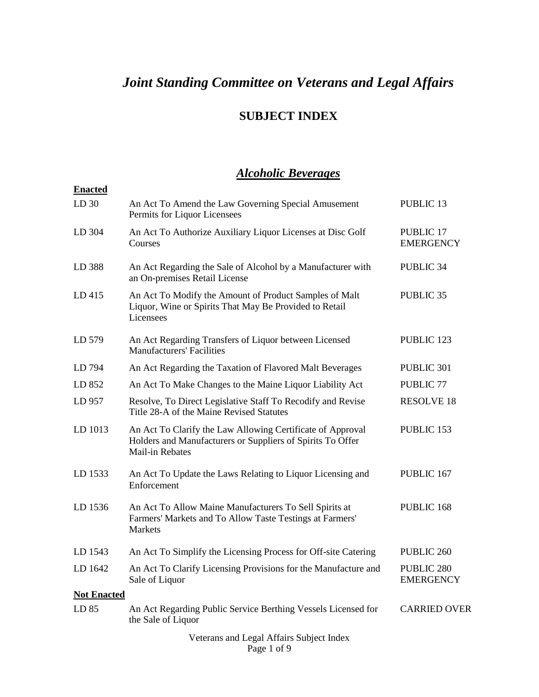## **SUBJECT INDEX**

## *Alcoholic Beverages*

| <b>Enacted</b>     |                                                                                                                                                    |                                           |
|--------------------|----------------------------------------------------------------------------------------------------------------------------------------------------|-------------------------------------------|
| LD <sub>30</sub>   | An Act To Amend the Law Governing Special Amusement<br>Permits for Liquor Licensees                                                                | <b>PUBLIC 13</b>                          |
| LD 304             | An Act To Authorize Auxiliary Liquor Licenses at Disc Golf<br>Courses                                                                              | <b>PUBLIC 17</b><br><b>EMERGENCY</b>      |
| LD 388             | An Act Regarding the Sale of Alcohol by a Manufacturer with<br>an On-premises Retail License                                                       | PUBLIC 34                                 |
| LD415              | An Act To Modify the Amount of Product Samples of Malt<br>Liquor, Wine or Spirits That May Be Provided to Retail<br>Licensees                      | <b>PUBLIC 35</b>                          |
| LD 579             | An Act Regarding Transfers of Liquor between Licensed<br><b>Manufacturers' Facilities</b>                                                          | PUBLIC 123                                |
| LD 794             | An Act Regarding the Taxation of Flavored Malt Beverages                                                                                           | PUBLIC 301                                |
| LD 852             | An Act To Make Changes to the Maine Liquor Liability Act                                                                                           | <b>PUBLIC 77</b>                          |
| LD 957             | Resolve, To Direct Legislative Staff To Recodify and Revise<br>Title 28-A of the Maine Revised Statutes                                            | <b>RESOLVE 18</b>                         |
| LD 1013            | An Act To Clarify the Law Allowing Certificate of Approval<br>Holders and Manufacturers or Suppliers of Spirits To Offer<br><b>Mail-in Rebates</b> | PUBLIC 153                                |
| LD 1533            | An Act To Update the Laws Relating to Liquor Licensing and<br>Enforcement                                                                          | PUBLIC 167                                |
| LD 1536            | An Act To Allow Maine Manufacturers To Sell Spirits at<br>Farmers' Markets and To Allow Taste Testings at Farmers'<br><b>Markets</b>               | PUBLIC 168                                |
| LD 1543            | An Act To Simplify the Licensing Process for Off-site Catering                                                                                     | PUBLIC <sub>260</sub>                     |
| LD 1642            | An Act To Clarify Licensing Provisions for the Manufacture and<br>Sale of Liquor                                                                   | PUBLIC <sub>280</sub><br><b>EMERGENCY</b> |
| <b>Not Enacted</b> |                                                                                                                                                    |                                           |
| LD 85              | An Act Regarding Public Service Berthing Vessels Licensed for<br>the Sale of Liquor                                                                | <b>CARRIED OVER</b>                       |
|                    | Votorans and Logal Affairs Subject Indov                                                                                                           |                                           |

Veterans and Legal Affairs Subject Index Page 1 of 9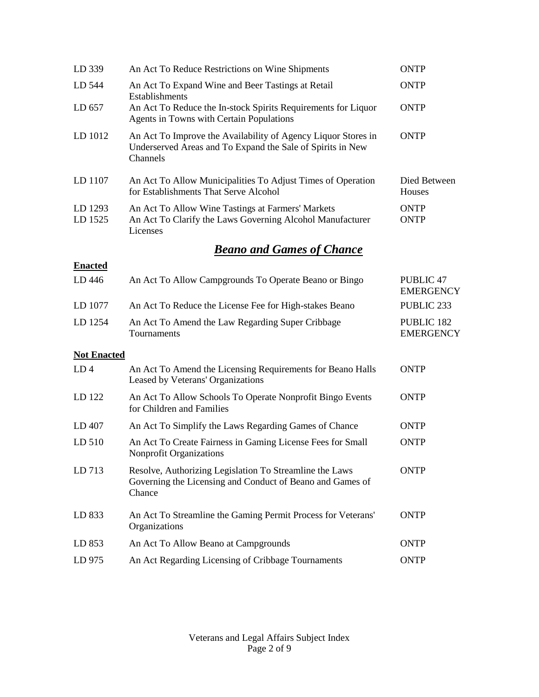| LD 339             | An Act To Reduce Restrictions on Wine Shipments                                                                                         | <b>ONTP</b>                          |
|--------------------|-----------------------------------------------------------------------------------------------------------------------------------------|--------------------------------------|
| LD 544             | An Act To Expand Wine and Beer Tastings at Retail<br>Establishments                                                                     | <b>ONTP</b>                          |
| LD 657             | An Act To Reduce the In-stock Spirits Requirements for Liquor<br>Agents in Towns with Certain Populations                               | <b>ONTP</b>                          |
| LD 1012            | An Act To Improve the Availability of Agency Liquor Stores in<br>Underserved Areas and To Expand the Sale of Spirits in New<br>Channels | <b>ONTP</b>                          |
| LD 1107            | An Act To Allow Municipalities To Adjust Times of Operation<br>for Establishments That Serve Alcohol                                    | Died Between<br>Houses               |
| LD 1293<br>LD 1525 | An Act To Allow Wine Tastings at Farmers' Markets<br>An Act To Clarify the Laws Governing Alcohol Manufacturer<br>Licenses              | <b>ONTP</b><br><b>ONTP</b>           |
|                    | <b>Beano and Games of Chance</b>                                                                                                        |                                      |
| <b>Enacted</b>     |                                                                                                                                         |                                      |
| LD 446             | An Act To Allow Campgrounds To Operate Beano or Bingo                                                                                   | <b>PUBLIC 47</b><br><b>EMERGENCY</b> |
| LD 1077            | An Act To Reduce the License Fee for High-stakes Beano                                                                                  | PUBLIC <sub>233</sub>                |
| LD 1254            | An Act To Amend the Law Regarding Super Cribbage<br>Tournaments                                                                         | PUBLIC 182<br><b>EMERGENCY</b>       |
| <b>Not Enacted</b> |                                                                                                                                         |                                      |
| LD <sub>4</sub>    | An Act To Amend the Licensing Requirements for Beano Halls<br>Leased by Veterans' Organizations                                         | <b>ONTP</b>                          |
| LD 122             | An Act To Allow Schools To Operate Nonprofit Bingo Events<br>for Children and Families                                                  | <b>ONTP</b>                          |
| LD 407             | An Act To Simplify the Laws Regarding Games of Chance                                                                                   | <b>ONTP</b>                          |
| LD 510             | An Act To Create Fairness in Gaming License Fees for Small<br><b>Nonprofit Organizations</b>                                            | <b>ONTP</b>                          |
| LD 713             | Resolve, Authorizing Legislation To Streamline the Laws<br>Governing the Licensing and Conduct of Beano and Games of<br>Chance          | <b>ONTP</b>                          |
| LD 833             | An Act To Streamline the Gaming Permit Process for Veterans'<br>Organizations                                                           | <b>ONTP</b>                          |
| LD 853             | An Act To Allow Beano at Campgrounds                                                                                                    | <b>ONTP</b>                          |
| LD 975             | An Act Regarding Licensing of Cribbage Tournaments                                                                                      | <b>ONTP</b>                          |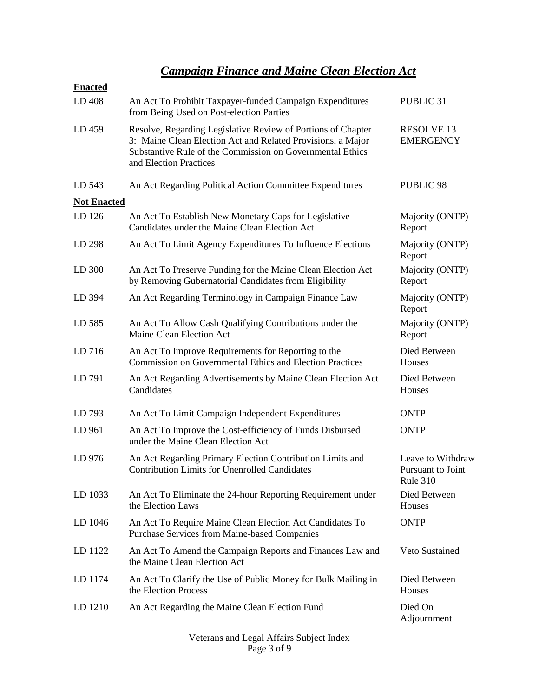## *Campaign Finance and Maine Clean Election Act*

| <b>Enacted</b>     |                                                                                                                                                                                                                    |                                                           |
|--------------------|--------------------------------------------------------------------------------------------------------------------------------------------------------------------------------------------------------------------|-----------------------------------------------------------|
| LD 408             | An Act To Prohibit Taxpayer-funded Campaign Expenditures<br>from Being Used on Post-election Parties                                                                                                               | PUBLIC <sub>31</sub>                                      |
| LD 459             | Resolve, Regarding Legislative Review of Portions of Chapter<br>3: Maine Clean Election Act and Related Provisions, a Major<br>Substantive Rule of the Commission on Governmental Ethics<br>and Election Practices | <b>RESOLVE 13</b><br><b>EMERGENCY</b>                     |
| LD 543             | An Act Regarding Political Action Committee Expenditures                                                                                                                                                           | <b>PUBLIC 98</b>                                          |
| <b>Not Enacted</b> |                                                                                                                                                                                                                    |                                                           |
| LD 126             | An Act To Establish New Monetary Caps for Legislative<br>Candidates under the Maine Clean Election Act                                                                                                             | Majority (ONTP)<br>Report                                 |
| LD 298             | An Act To Limit Agency Expenditures To Influence Elections                                                                                                                                                         | Majority (ONTP)<br>Report                                 |
| LD 300             | An Act To Preserve Funding for the Maine Clean Election Act<br>by Removing Gubernatorial Candidates from Eligibility                                                                                               | Majority (ONTP)<br>Report                                 |
| LD 394             | An Act Regarding Terminology in Campaign Finance Law                                                                                                                                                               | Majority (ONTP)<br>Report                                 |
| LD 585             | An Act To Allow Cash Qualifying Contributions under the<br>Maine Clean Election Act                                                                                                                                | Majority (ONTP)<br>Report                                 |
| LD 716             | An Act To Improve Requirements for Reporting to the<br><b>Commission on Governmental Ethics and Election Practices</b>                                                                                             | Died Between<br>Houses                                    |
| LD 791             | An Act Regarding Advertisements by Maine Clean Election Act<br>Candidates                                                                                                                                          | Died Between<br>Houses                                    |
| LD 793             | An Act To Limit Campaign Independent Expenditures                                                                                                                                                                  | <b>ONTP</b>                                               |
| LD 961             | An Act To Improve the Cost-efficiency of Funds Disbursed<br>under the Maine Clean Election Act                                                                                                                     | <b>ONTP</b>                                               |
| LD 976             | An Act Regarding Primary Election Contribution Limits and<br><b>Contribution Limits for Unenrolled Candidates</b>                                                                                                  | Leave to Withdraw<br>Pursuant to Joint<br><b>Rule 310</b> |
| LD 1033            | An Act To Eliminate the 24-hour Reporting Requirement under<br>the Election Laws                                                                                                                                   | Died Between<br>Houses                                    |
| LD 1046            | An Act To Require Maine Clean Election Act Candidates To<br><b>Purchase Services from Maine-based Companies</b>                                                                                                    | <b>ONTP</b>                                               |
| LD 1122            | An Act To Amend the Campaign Reports and Finances Law and<br>the Maine Clean Election Act                                                                                                                          | Veto Sustained                                            |
| LD 1174            | An Act To Clarify the Use of Public Money for Bulk Mailing in<br>the Election Process                                                                                                                              | Died Between<br>Houses                                    |
| LD 1210            | An Act Regarding the Maine Clean Election Fund                                                                                                                                                                     | Died On<br>Adjournment                                    |

Veterans and Legal Affairs Subject Index Page 3 of 9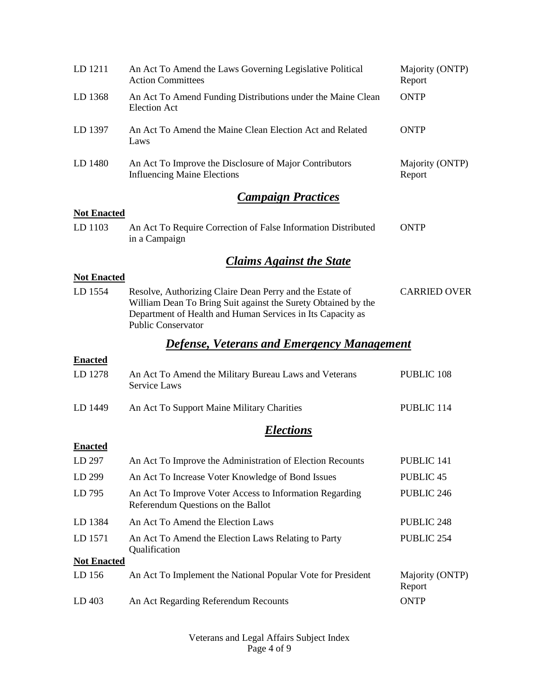| LD 1211            | An Act To Amend the Laws Governing Legislative Political<br><b>Action Committees</b>                                                                                                                                 | Majority (ONTP)<br>Report |
|--------------------|----------------------------------------------------------------------------------------------------------------------------------------------------------------------------------------------------------------------|---------------------------|
| LD 1368            | An Act To Amend Funding Distributions under the Maine Clean<br><b>Election Act</b>                                                                                                                                   | <b>ONTP</b>               |
| LD 1397            | An Act To Amend the Maine Clean Election Act and Related<br>Laws                                                                                                                                                     | <b>ONTP</b>               |
| LD 1480            | An Act To Improve the Disclosure of Major Contributors<br><b>Influencing Maine Elections</b>                                                                                                                         | Majority (ONTP)<br>Report |
|                    | <b>Campaign Practices</b>                                                                                                                                                                                            |                           |
| <b>Not Enacted</b> |                                                                                                                                                                                                                      |                           |
| LD 1103            | An Act To Require Correction of False Information Distributed<br>in a Campaign                                                                                                                                       | <b>ONTP</b>               |
|                    | <b>Claims Against the State</b>                                                                                                                                                                                      |                           |
| <b>Not Enacted</b> |                                                                                                                                                                                                                      |                           |
| LD 1554            | Resolve, Authorizing Claire Dean Perry and the Estate of<br>William Dean To Bring Suit against the Surety Obtained by the<br>Department of Health and Human Services in Its Capacity as<br><b>Public Conservator</b> | <b>CARRIED OVER</b>       |
|                    | <b>Defense, Veterans and Emergency Management</b>                                                                                                                                                                    |                           |
| <b>Enacted</b>     |                                                                                                                                                                                                                      |                           |
| LD 1278            | An Act To Amend the Military Bureau Laws and Veterans<br>Service Laws                                                                                                                                                | PUBLIC 108                |
| LD 1449            | An Act To Support Maine Military Charities                                                                                                                                                                           | PUBLIC 114                |
|                    | Elections                                                                                                                                                                                                            |                           |
| <b>Enacted</b>     |                                                                                                                                                                                                                      |                           |
| LD 297             | An Act To Improve the Administration of Election Recounts                                                                                                                                                            | PUBLIC 141                |
| LD 299             | An Act To Increase Voter Knowledge of Bond Issues                                                                                                                                                                    | <b>PUBLIC 45</b>          |
| LD 795             | An Act To Improve Voter Access to Information Regarding<br>Referendum Questions on the Ballot                                                                                                                        | PUBLIC 246                |
| LD 1384            | An Act To Amend the Election Laws                                                                                                                                                                                    | PUBLIC 248                |
| LD 1571            | An Act To Amend the Election Laws Relating to Party<br>Qualification                                                                                                                                                 | PUBLIC 254                |
| <b>Not Enacted</b> |                                                                                                                                                                                                                      |                           |
| LD 156             | An Act To Implement the National Popular Vote for President                                                                                                                                                          | Majority (ONTP)<br>Report |
| LD 403             | An Act Regarding Referendum Recounts                                                                                                                                                                                 | <b>ONTP</b>               |

Veterans and Legal Affairs Subject Index Page 4 of 9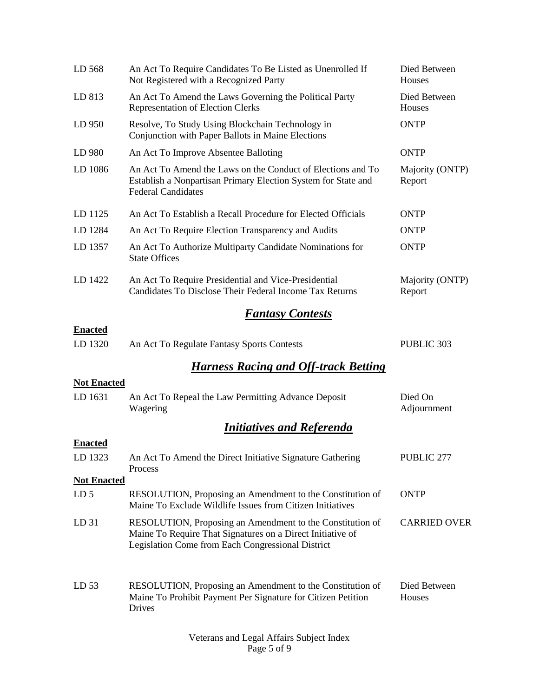| LD 568             | An Act To Require Candidates To Be Listed as Unenrolled If<br>Not Registered with a Recognized Party                                                                         | Died Between<br>Houses    |
|--------------------|------------------------------------------------------------------------------------------------------------------------------------------------------------------------------|---------------------------|
| LD 813             | An Act To Amend the Laws Governing the Political Party<br><b>Representation of Election Clerks</b>                                                                           | Died Between<br>Houses    |
| LD 950             | Resolve, To Study Using Blockchain Technology in<br>Conjunction with Paper Ballots in Maine Elections                                                                        | <b>ONTP</b>               |
| LD 980             | An Act To Improve Absentee Balloting                                                                                                                                         | <b>ONTP</b>               |
| LD 1086            | An Act To Amend the Laws on the Conduct of Elections and To<br>Establish a Nonpartisan Primary Election System for State and<br><b>Federal Candidates</b>                    | Majority (ONTP)<br>Report |
| LD 1125            | An Act To Establish a Recall Procedure for Elected Officials                                                                                                                 | <b>ONTP</b>               |
| LD 1284            | An Act To Require Election Transparency and Audits                                                                                                                           | <b>ONTP</b>               |
| LD 1357            | An Act To Authorize Multiparty Candidate Nominations for<br><b>State Offices</b>                                                                                             | <b>ONTP</b>               |
| LD 1422            | An Act To Require Presidential and Vice-Presidential<br>Candidates To Disclose Their Federal Income Tax Returns                                                              | Majority (ONTP)<br>Report |
|                    | <b>Fantasy Contests</b>                                                                                                                                                      |                           |
| <b>Enacted</b>     |                                                                                                                                                                              |                           |
| LD 1320            | An Act To Regulate Fantasy Sports Contests                                                                                                                                   | PUBLIC 303                |
|                    | <b>Harness Racing and Off-track Betting</b>                                                                                                                                  |                           |
| <b>Not Enacted</b> |                                                                                                                                                                              |                           |
| LD 1631            | An Act To Repeal the Law Permitting Advance Deposit<br>Wagering                                                                                                              | Died On<br>Adjournment    |
|                    | <b>Initiatives and Referenda</b>                                                                                                                                             |                           |
| <b>Enacted</b>     |                                                                                                                                                                              |                           |
| LD 1323            | An Act To Amend the Direct Initiative Signature Gathering<br>Process                                                                                                         | PUBLIC 277                |
| <b>Not Enacted</b> |                                                                                                                                                                              |                           |
| LD <sub>5</sub>    | RESOLUTION, Proposing an Amendment to the Constitution of<br>Maine To Exclude Wildlife Issues from Citizen Initiatives                                                       | <b>ONTP</b>               |
| LD <sub>31</sub>   | RESOLUTION, Proposing an Amendment to the Constitution of<br>Maine To Require That Signatures on a Direct Initiative of<br>Legislation Come from Each Congressional District | <b>CARRIED OVER</b>       |
| LD <sub>53</sub>   | RESOLUTION, Proposing an Amendment to the Constitution of<br>Maine To Prohibit Payment Per Signature for Citizen Petition<br>Drives                                          | Died Between<br>Houses    |

Veterans and Legal Affairs Subject Index Page 5 of 9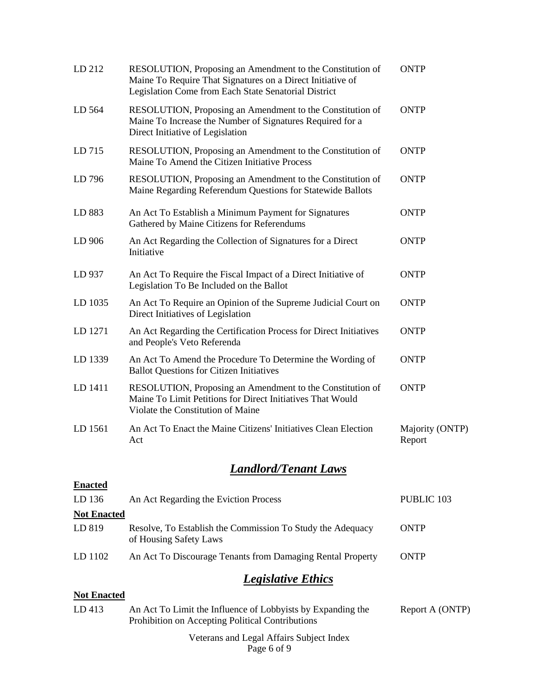| LD 212             | RESOLUTION, Proposing an Amendment to the Constitution of<br>Maine To Require That Signatures on a Direct Initiative of<br>Legislation Come from Each State Senatorial District | <b>ONTP</b>               |
|--------------------|---------------------------------------------------------------------------------------------------------------------------------------------------------------------------------|---------------------------|
| LD 564             | RESOLUTION, Proposing an Amendment to the Constitution of<br>Maine To Increase the Number of Signatures Required for a<br>Direct Initiative of Legislation                      | <b>ONTP</b>               |
| LD 715             | RESOLUTION, Proposing an Amendment to the Constitution of<br>Maine To Amend the Citizen Initiative Process                                                                      | <b>ONTP</b>               |
| LD 796             | RESOLUTION, Proposing an Amendment to the Constitution of<br>Maine Regarding Referendum Questions for Statewide Ballots                                                         | <b>ONTP</b>               |
| LD 883             | An Act To Establish a Minimum Payment for Signatures<br>Gathered by Maine Citizens for Referendums                                                                              | <b>ONTP</b>               |
| LD 906             | An Act Regarding the Collection of Signatures for a Direct<br>Initiative                                                                                                        | <b>ONTP</b>               |
| LD 937             | An Act To Require the Fiscal Impact of a Direct Initiative of<br>Legislation To Be Included on the Ballot                                                                       | <b>ONTP</b>               |
| LD 1035            | An Act To Require an Opinion of the Supreme Judicial Court on<br>Direct Initiatives of Legislation                                                                              | <b>ONTP</b>               |
| LD 1271            | An Act Regarding the Certification Process for Direct Initiatives<br>and People's Veto Referenda                                                                                | <b>ONTP</b>               |
| LD 1339            | An Act To Amend the Procedure To Determine the Wording of<br><b>Ballot Questions for Citizen Initiatives</b>                                                                    | <b>ONTP</b>               |
| LD 1411            | RESOLUTION, Proposing an Amendment to the Constitution of<br>Maine To Limit Petitions for Direct Initiatives That Would<br>Violate the Constitution of Maine                    | <b>ONTP</b>               |
| LD 1561            | An Act To Enact the Maine Citizens' Initiatives Clean Election<br>Act                                                                                                           | Majority (ONTP)<br>Report |
|                    | <b>Landlord/Tenant Laws</b>                                                                                                                                                     |                           |
| <b>Enacted</b>     |                                                                                                                                                                                 |                           |
| LD 136             | An Act Regarding the Eviction Process                                                                                                                                           | PUBLIC 103                |
| <b>Not Enacted</b> |                                                                                                                                                                                 |                           |
| LD 819             | Resolve, To Establish the Commission To Study the Adequacy<br>of Housing Safety Laws                                                                                            | <b>ONTP</b>               |
| LD 1102            | An Act To Discourage Tenants from Damaging Rental Property                                                                                                                      | <b>ONTP</b>               |
|                    | <b>Legislative Ethics</b>                                                                                                                                                       |                           |
| <b>Not Enacted</b> |                                                                                                                                                                                 |                           |
| LD 413             | An Act To Limit the Influence of Lobbyists by Expanding the<br>Prohibition on Accepting Political Contributions                                                                 | Report A (ONTP)           |

Veterans and Legal Affairs Subject Index Page 6 of 9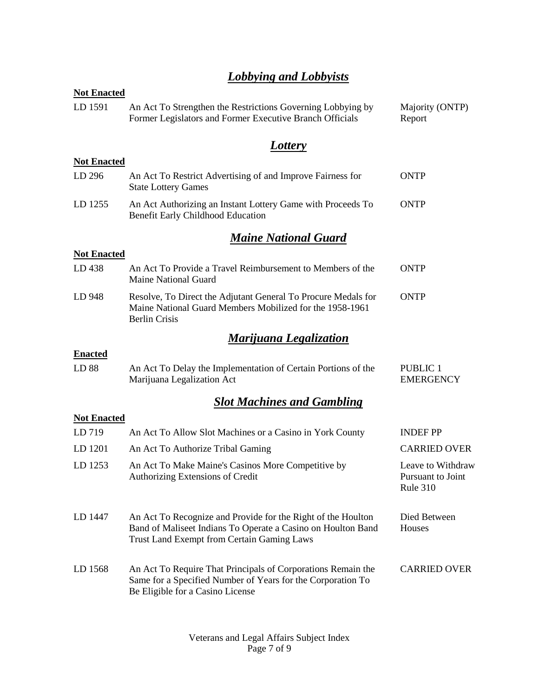## *Lobbying and Lobbyists*

| <b>Not Enacted</b> |                                                                                                                                                                            |                                                           |  |  |
|--------------------|----------------------------------------------------------------------------------------------------------------------------------------------------------------------------|-----------------------------------------------------------|--|--|
| LD 1591            | An Act To Strengthen the Restrictions Governing Lobbying by<br>Former Legislators and Former Executive Branch Officials                                                    | Majority (ONTP)<br>Report                                 |  |  |
|                    | <b>Lottery</b>                                                                                                                                                             |                                                           |  |  |
| <b>Not Enacted</b> |                                                                                                                                                                            |                                                           |  |  |
| LD 296             | An Act To Restrict Advertising of and Improve Fairness for<br><b>State Lottery Games</b>                                                                                   | <b>ONTP</b>                                               |  |  |
| LD 1255            | An Act Authorizing an Instant Lottery Game with Proceeds To<br>Benefit Early Childhood Education                                                                           | <b>ONTP</b>                                               |  |  |
|                    | <b>Maine National Guard</b>                                                                                                                                                |                                                           |  |  |
| <b>Not Enacted</b> |                                                                                                                                                                            |                                                           |  |  |
| LD 438             | An Act To Provide a Travel Reimbursement to Members of the<br><b>Maine National Guard</b>                                                                                  | <b>ONTP</b>                                               |  |  |
| LD 948             | Resolve, To Direct the Adjutant General To Procure Medals for<br>Maine National Guard Members Mobilized for the 1958-1961<br><b>Berlin Crisis</b>                          | <b>ONTP</b>                                               |  |  |
|                    | <b>Marijuana Legalization</b>                                                                                                                                              |                                                           |  |  |
| <b>Enacted</b>     |                                                                                                                                                                            |                                                           |  |  |
| LD 88              | An Act To Delay the Implementation of Certain Portions of the<br>Marijuana Legalization Act                                                                                | <b>PUBLIC 1</b><br><b>EMERGENCY</b>                       |  |  |
|                    | <b>Slot Machines and Gambling</b>                                                                                                                                          |                                                           |  |  |
| <b>Not Enacted</b> |                                                                                                                                                                            |                                                           |  |  |
| LD 719             | An Act To Allow Slot Machines or a Casino in York County                                                                                                                   | <b>INDEF PP</b>                                           |  |  |
| LD 1201            | An Act To Authorize Tribal Gaming                                                                                                                                          | <b>CARRIED OVER</b>                                       |  |  |
| LD 1253            | An Act To Make Maine's Casinos More Competitive by<br><b>Authorizing Extensions of Credit</b>                                                                              | Leave to Withdraw<br>Pursuant to Joint<br><b>Rule 310</b> |  |  |
| LD 1447            | An Act To Recognize and Provide for the Right of the Houlton<br>Band of Maliseet Indians To Operate a Casino on Houlton Band<br>Trust Land Exempt from Certain Gaming Laws | Died Between<br>Houses                                    |  |  |
| LD 1568            | An Act To Require That Principals of Corporations Remain the<br>Same for a Specified Number of Years for the Corporation To<br>Be Eligible for a Casino License            | <b>CARRIED OVER</b>                                       |  |  |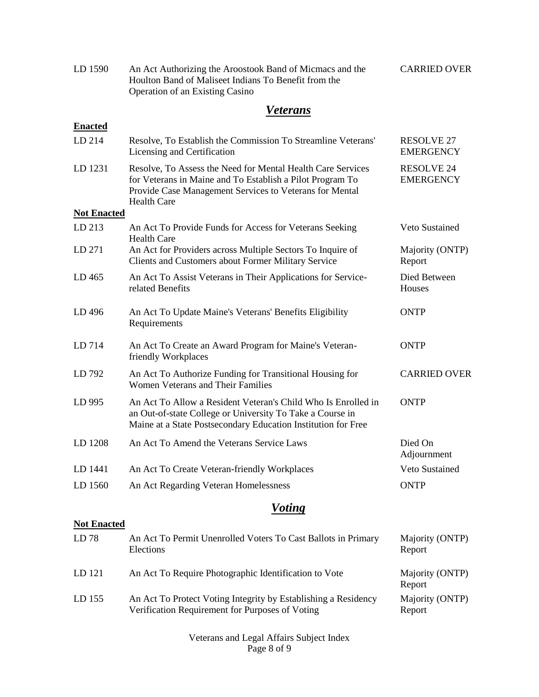| LD 1590 | An Act Authorizing the Aroostook Band of Micmacs and the | <b>CARRIED OVER</b> |
|---------|----------------------------------------------------------|---------------------|
|         | Houlton Band of Maliseet Indians To Benefit from the     |                     |
|         | <b>Operation of an Existing Casino</b>                   |                     |

## *Veterans*

| <b>Enacted</b>     |                                                                                                                                                                                                           |                                       |
|--------------------|-----------------------------------------------------------------------------------------------------------------------------------------------------------------------------------------------------------|---------------------------------------|
| LD 214             | Resolve, To Establish the Commission To Streamline Veterans'<br>Licensing and Certification                                                                                                               | <b>RESOLVE 27</b><br><b>EMERGENCY</b> |
| LD 1231            | Resolve, To Assess the Need for Mental Health Care Services<br>for Veterans in Maine and To Establish a Pilot Program To<br>Provide Case Management Services to Veterans for Mental<br><b>Health Care</b> | <b>RESOLVE 24</b><br><b>EMERGENCY</b> |
| <b>Not Enacted</b> |                                                                                                                                                                                                           |                                       |
| LD 213             | An Act To Provide Funds for Access for Veterans Seeking<br><b>Health Care</b>                                                                                                                             | Veto Sustained                        |
| LD 271             | An Act for Providers across Multiple Sectors To Inquire of<br>Clients and Customers about Former Military Service                                                                                         | Majority (ONTP)<br>Report             |
| LD465              | An Act To Assist Veterans in Their Applications for Service-<br>related Benefits                                                                                                                          | Died Between<br>Houses                |
| LD 496             | An Act To Update Maine's Veterans' Benefits Eligibility<br>Requirements                                                                                                                                   | <b>ONTP</b>                           |
| LD 714             | An Act To Create an Award Program for Maine's Veteran-<br>friendly Workplaces                                                                                                                             | <b>ONTP</b>                           |
| LD 792             | An Act To Authorize Funding for Transitional Housing for<br>Women Veterans and Their Families                                                                                                             | <b>CARRIED OVER</b>                   |
| LD 995             | An Act To Allow a Resident Veteran's Child Who Is Enrolled in<br>an Out-of-state College or University To Take a Course in<br>Maine at a State Postsecondary Education Institution for Free               | <b>ONTP</b>                           |
| LD 1208            | An Act To Amend the Veterans Service Laws                                                                                                                                                                 | Died On<br>Adjournment                |
| LD 1441            | An Act To Create Veteran-friendly Workplaces                                                                                                                                                              | Veto Sustained                        |
| LD 1560            | An Act Regarding Veteran Homelessness                                                                                                                                                                     | <b>ONTP</b>                           |
|                    | <b>Voting</b>                                                                                                                                                                                             |                                       |
| <b>Not Enacted</b> |                                                                                                                                                                                                           |                                       |
| LD 78              | An Act To Permit Unenrolled Voters To Cast Ballots in Primary<br>Elections                                                                                                                                | Majority (ONTP)<br>Report             |
| LD 121             | An Act To Require Photographic Identification to Vote                                                                                                                                                     | Majority (ONTP)<br>Report             |
| LD 155             | An Act To Protect Voting Integrity by Establishing a Residency<br>Verification Requirement for Purposes of Voting                                                                                         | Majority (ONTP)<br>Report             |

Veterans and Legal Affairs Subject Index Page 8 of 9